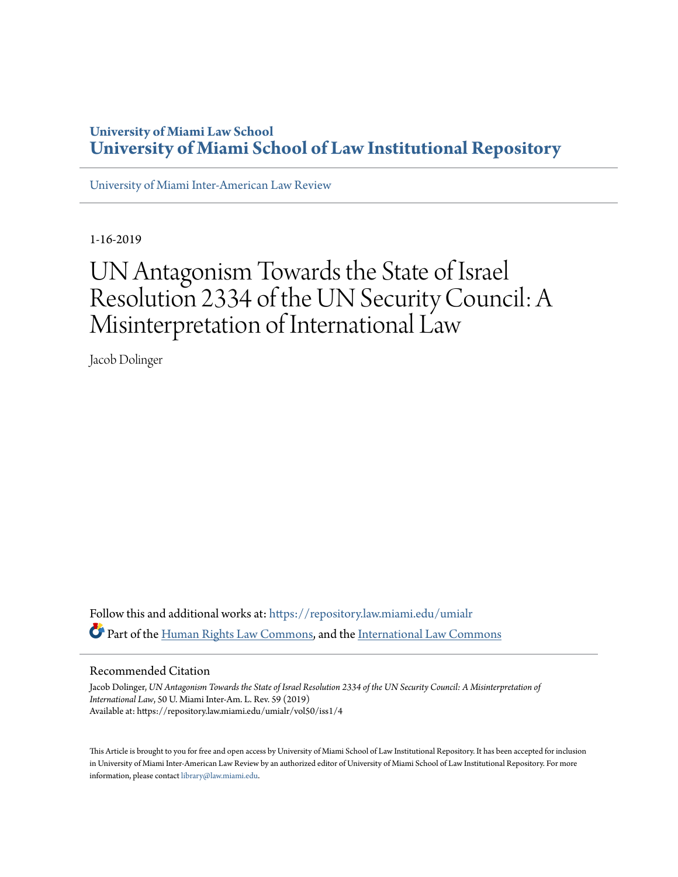## **University of Miami Law School [University of Miami School of Law Institutional Repository](https://repository.law.miami.edu?utm_source=repository.law.miami.edu%2Fumialr%2Fvol50%2Fiss1%2F4&utm_medium=PDF&utm_campaign=PDFCoverPages)**

[University of Miami Inter-American Law Review](https://repository.law.miami.edu/umialr?utm_source=repository.law.miami.edu%2Fumialr%2Fvol50%2Fiss1%2F4&utm_medium=PDF&utm_campaign=PDFCoverPages)

1-16-2019

# UN Antagonism Towards the State of Israel Resolution 2334 of the UN Security Council: A Misinterpretation of International Law

Jacob Dolinger

Follow this and additional works at: [https://repository.law.miami.edu/umialr](https://repository.law.miami.edu/umialr?utm_source=repository.law.miami.edu%2Fumialr%2Fvol50%2Fiss1%2F4&utm_medium=PDF&utm_campaign=PDFCoverPages) Part of the [Human Rights Law Commons,](http://network.bepress.com/hgg/discipline/847?utm_source=repository.law.miami.edu%2Fumialr%2Fvol50%2Fiss1%2F4&utm_medium=PDF&utm_campaign=PDFCoverPages) and the [International Law Commons](http://network.bepress.com/hgg/discipline/609?utm_source=repository.law.miami.edu%2Fumialr%2Fvol50%2Fiss1%2F4&utm_medium=PDF&utm_campaign=PDFCoverPages)

#### Recommended Citation

Jacob Dolinger, *UN Antagonism Towards the State of Israel Resolution 2334 of the UN Security Council: A Misinterpretation of International Law*, 50 U. Miami Inter-Am. L. Rev. 59 (2019) Available at: https://repository.law.miami.edu/umialr/vol50/iss1/4

This Article is brought to you for free and open access by University of Miami School of Law Institutional Repository. It has been accepted for inclusion in University of Miami Inter-American Law Review by an authorized editor of University of Miami School of Law Institutional Repository. For more information, please contact [library@law.miami.edu.](mailto:library@law.miami.edu)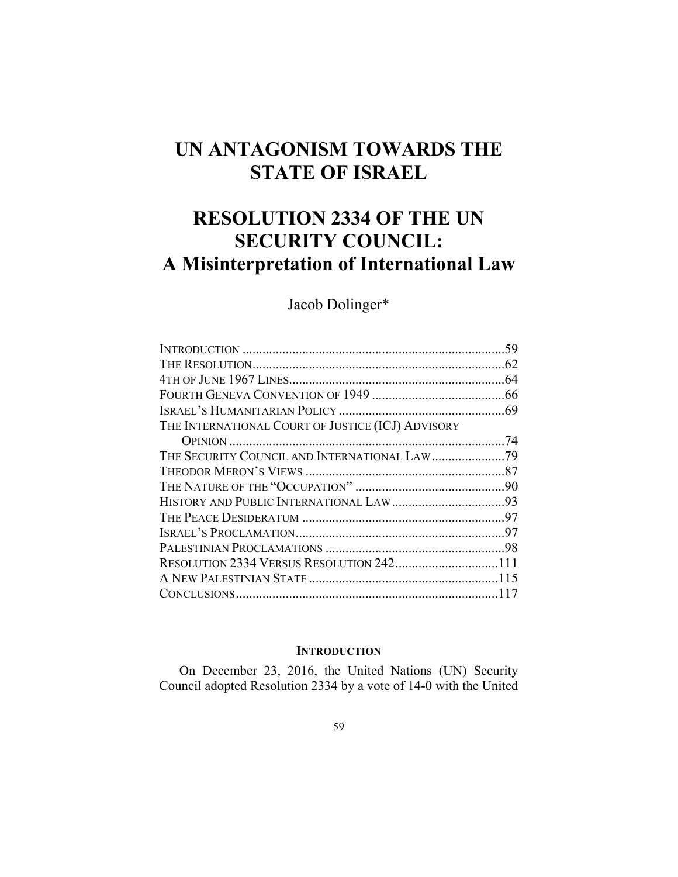## **UN ANTAGONISM TOWARDS THE STATE OF ISRAEL**

## **RESOLUTION 2334 OF THE UN SECURITY COUNCIL: A Misinterpretation of International Law**

### Jacob Dolinger\*

| THE INTERNATIONAL COURT OF JUSTICE (ICJ) ADVISORY |  |
|---------------------------------------------------|--|
|                                                   |  |
| THE SECURITY COUNCIL AND INTERNATIONAL LAW79      |  |
|                                                   |  |
|                                                   |  |
|                                                   |  |
|                                                   |  |
|                                                   |  |
|                                                   |  |
| RESOLUTION 2334 VERSUS RESOLUTION 242111          |  |
|                                                   |  |
|                                                   |  |
|                                                   |  |

#### **INTRODUCTION**

On December 23, 2016, the United Nations (UN) Security Council adopted Resolution 2334 by a vote of 14-0 with the United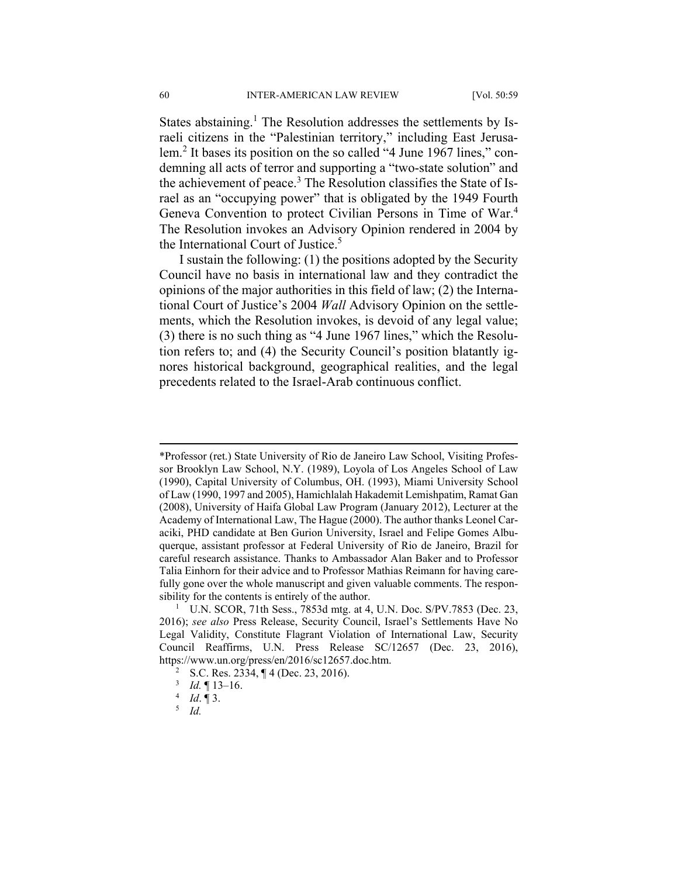States abstaining.<sup>1</sup> The Resolution addresses the settlements by Israeli citizens in the "Palestinian territory," including East Jerusalem.<sup>2</sup> It bases its position on the so called "4 June 1967 lines," condemning all acts of terror and supporting a "two-state solution" and the achievement of peace.<sup>3</sup> The Resolution classifies the State of Israel as an "occupying power" that is obligated by the 1949 Fourth Geneva Convention to protect Civilian Persons in Time of War.4 The Resolution invokes an Advisory Opinion rendered in 2004 by the International Court of Justice.<sup>5</sup>

I sustain the following: (1) the positions adopted by the Security Council have no basis in international law and they contradict the opinions of the major authorities in this field of law; (2) the International Court of Justice's 2004 *Wall* Advisory Opinion on the settlements, which the Resolution invokes, is devoid of any legal value; (3) there is no such thing as "4 June 1967 lines," which the Resolution refers to; and (4) the Security Council's position blatantly ignores historical background, geographical realities, and the legal precedents related to the Israel-Arab continuous conflict.

 <sup>\*</sup>Professor (ret.) State University of Rio de Janeiro Law School, Visiting Professor Brooklyn Law School, N.Y. (1989), Loyola of Los Angeles School of Law (1990), Capital University of Columbus, OH. (1993), Miami University School of Law (1990, 1997 and 2005), Hamichlalah Hakademit Lemishpatim, Ramat Gan (2008), University of Haifa Global Law Program (January 2012), Lecturer at the Academy of International Law, The Hague (2000). The author thanks Leonel Caraciki, PHD candidate at Ben Gurion University, Israel and Felipe Gomes Albuquerque, assistant professor at Federal University of Rio de Janeiro, Brazil for careful research assistance. Thanks to Ambassador Alan Baker and to Professor Talia Einhorn for their advice and to Professor Mathias Reimann for having carefully gone over the whole manuscript and given valuable comments. The responsibility for the contents is entirely of the author.

<sup>&</sup>lt;sup>1</sup> U.N. SCOR, 71th Sess., 7853d mtg. at 4, U.N. Doc. S/PV.7853 (Dec. 23, 2016); *see also* Press Release, Security Council, Israel's Settlements Have No Legal Validity, Constitute Flagrant Violation of International Law, Security Council Reaffirms, U.N. Press Release SC/12657 (Dec. 23, 2016), https://www.un.org/press/en/2016/sc12657.doc.htm. 2

<sup>&</sup>lt;sup>2</sup> S.C. Res. 2334,  $\P$  4 (Dec. 23, 2016).

 $\frac{3}{4}$  *Id.* 13–16.

 $4$  *Id.* 1 3.

*Id.*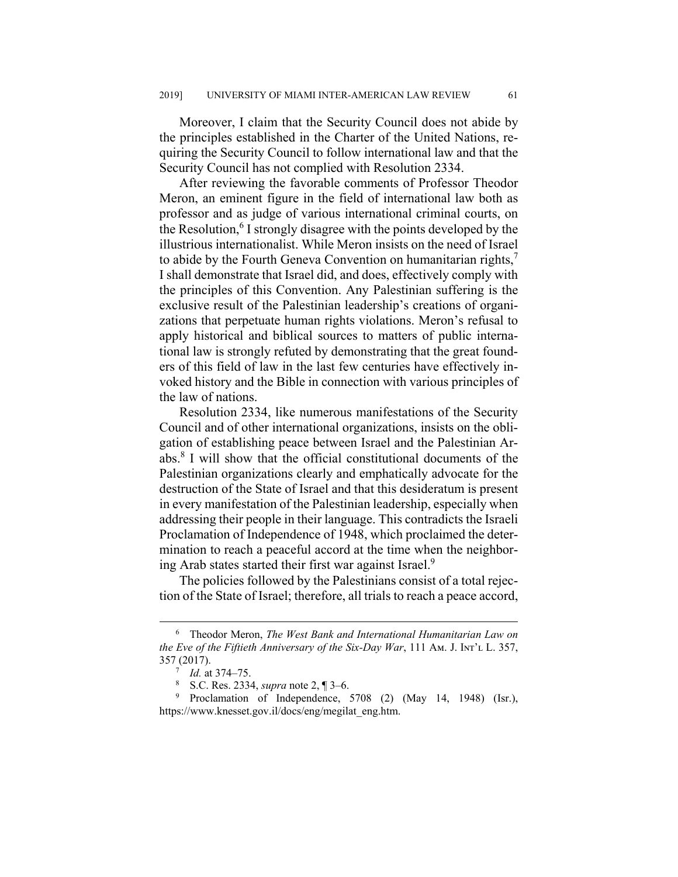Moreover, I claim that the Security Council does not abide by the principles established in the Charter of the United Nations, requiring the Security Council to follow international law and that the Security Council has not complied with Resolution 2334.

After reviewing the favorable comments of Professor Theodor Meron, an eminent figure in the field of international law both as professor and as judge of various international criminal courts, on the Resolution,<sup>6</sup> I strongly disagree with the points developed by the illustrious internationalist. While Meron insists on the need of Israel to abide by the Fourth Geneva Convention on humanitarian rights, $^7$ I shall demonstrate that Israel did, and does, effectively comply with the principles of this Convention. Any Palestinian suffering is the exclusive result of the Palestinian leadership's creations of organizations that perpetuate human rights violations. Meron's refusal to apply historical and biblical sources to matters of public international law is strongly refuted by demonstrating that the great founders of this field of law in the last few centuries have effectively invoked history and the Bible in connection with various principles of the law of nations.

Resolution 2334, like numerous manifestations of the Security Council and of other international organizations, insists on the obligation of establishing peace between Israel and the Palestinian Arabs.8 I will show that the official constitutional documents of the Palestinian organizations clearly and emphatically advocate for the destruction of the State of Israel and that this desideratum is present in every manifestation of the Palestinian leadership, especially when addressing their people in their language. This contradicts the Israeli Proclamation of Independence of 1948, which proclaimed the determination to reach a peaceful accord at the time when the neighboring Arab states started their first war against Israel.9

The policies followed by the Palestinians consist of a total rejection of the State of Israel; therefore, all trials to reach a peace accord,

 $\overline{\phantom{0}}$  Theodor Meron, *The West Bank and International Humanitarian Law on the Eve of the Fiftieth Anniversary of the Six-Day War*, 111 A<sub>M</sub>. J. I<sub>NT</sub>'<sub>L</sub> L. 357, 357 (2017). 7

*Id.* at 374‒75.

<sup>8</sup> S.C. Res. 2334, *supra* note 2, ¶ 3‒6.

<sup>&</sup>lt;sup>9</sup> Proclamation of Independence, 5708 (2) (May 14, 1948) (Isr.), https://www.knesset.gov.il/docs/eng/megilat\_eng.htm.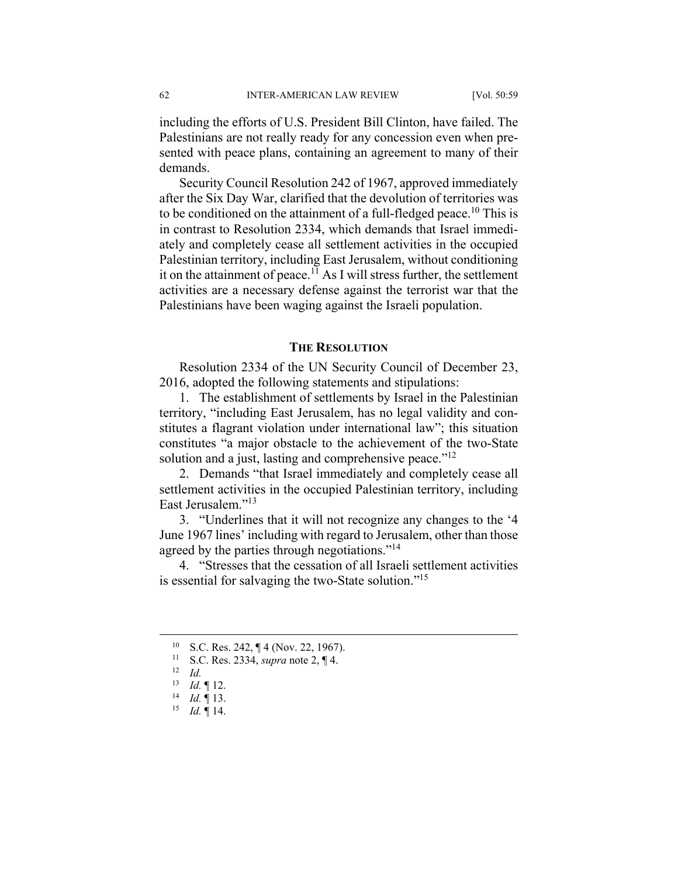including the efforts of U.S. President Bill Clinton, have failed. The Palestinians are not really ready for any concession even when presented with peace plans, containing an agreement to many of their demands.

Security Council Resolution 242 of 1967, approved immediately after the Six Day War, clarified that the devolution of territories was to be conditioned on the attainment of a full-fledged peace.<sup>10</sup> This is in contrast to Resolution 2334, which demands that Israel immediately and completely cease all settlement activities in the occupied Palestinian territory, including East Jerusalem, without conditioning it on the attainment of peace.<sup>11</sup> As I will stress further, the settlement activities are a necessary defense against the terrorist war that the Palestinians have been waging against the Israeli population.

#### **THE RESOLUTION**

Resolution 2334 of the UN Security Council of December 23, 2016, adopted the following statements and stipulations:

1. The establishment of settlements by Israel in the Palestinian territory, "including East Jerusalem, has no legal validity and constitutes a flagrant violation under international law"; this situation constitutes "a major obstacle to the achievement of the two-State solution and a just, lasting and comprehensive peace." $^{12}$ 

2. Demands "that Israel immediately and completely cease all settlement activities in the occupied Palestinian territory, including East Jerusalem."<sup>13</sup>

3. "Underlines that it will not recognize any changes to the '4 June 1967 lines' including with regard to Jerusalem, other than those agreed by the parties through negotiations."<sup>14</sup>

4. "Stresses that the cessation of all Israeli settlement activities is essential for salvaging the two-State solution."<sup>15</sup>

 <sup>10</sup> S.C. Res. 242, ¶ 4 (Nov. 22, 1967).

<sup>11</sup> S.C. Res. 2334, *supra* note 2, ¶ 4. 12 *Id.*

<sup>13</sup> *Id.* ¶ 12. 14 *Id.* ¶ 13.

<sup>15</sup> *Id.* ¶ 14.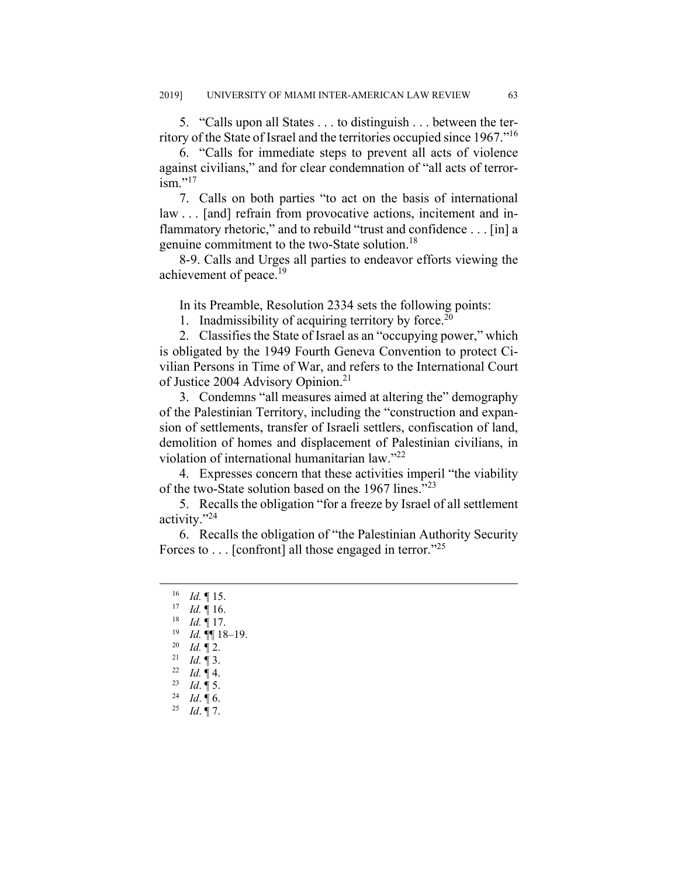5. "Calls upon all States . . . to distinguish . . . between the territory of the State of Israel and the territories occupied since 1967."16

6. "Calls for immediate steps to prevent all acts of violence against civilians," and for clear condemnation of "all acts of terror- $\mathrm{ism.}$ "<sup>17</sup>

7. Calls on both parties "to act on the basis of international law . . . [and] refrain from provocative actions, incitement and inflammatory rhetoric," and to rebuild "trust and confidence . . . [in] a genuine commitment to the two-State solution.18

8-9. Calls and Urges all parties to endeavor efforts viewing the achievement of peace.<sup>19</sup>

In its Preamble, Resolution 2334 sets the following points:

1. Inadmissibility of acquiring territory by force.<sup>20</sup>

2. Classifies the State of Israel as an "occupying power," which is obligated by the 1949 Fourth Geneva Convention to protect Civilian Persons in Time of War, and refers to the International Court of Justice 2004 Advisory Opinion.<sup>21</sup>

3. Condemns "all measures aimed at altering the" demography of the Palestinian Territory, including the "construction and expansion of settlements, transfer of Israeli settlers, confiscation of land, demolition of homes and displacement of Palestinian civilians, in violation of international humanitarian law."<sup>22</sup>

4. Expresses concern that these activities imperil "the viability of the two-State solution based on the 1967 lines."<sup>23</sup>

5. Recalls the obligation "for a freeze by Israel of all settlement activity."24

6. Recalls the obligation of "the Palestinian Authority Security Forces to . . . [confront] all those engaged in terror."25

 <sup>16</sup> *Id.* ¶ 15.

<sup>17</sup> *Id.* ¶ 16.

<sup>18</sup> *Id.* ¶ 17.

<sup>19</sup> *Id.* ¶¶ 18‒19.

<sup>20</sup> *Id.* ¶ 2. 21 *Id.* ¶ 3. 22 *Id.* ¶ 4.

<sup>23</sup> *Id*. ¶ 5. 24 *Id*. ¶ 6.

<sup>25</sup> *Id*. ¶ 7.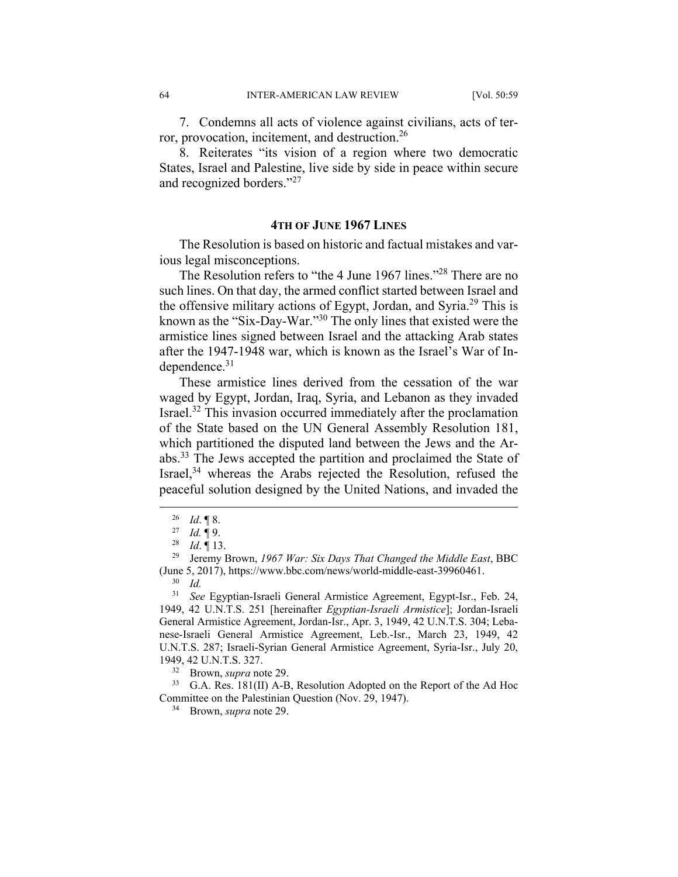7. Condemns all acts of violence against civilians, acts of terror, provocation, incitement, and destruction.26

8. Reiterates "its vision of a region where two democratic States, Israel and Palestine, live side by side in peace within secure and recognized borders."<sup>27</sup>

#### **4TH OF JUNE 1967 LINES**

The Resolution is based on historic and factual mistakes and various legal misconceptions.

The Resolution refers to "the 4 June 1967 lines."28 There are no such lines. On that day, the armed conflict started between Israel and the offensive military actions of Egypt, Jordan, and Syria.<sup>29</sup> This is known as the "Six-Day-War."30 The only lines that existed were the armistice lines signed between Israel and the attacking Arab states after the 1947-1948 war, which is known as the Israel's War of Independence. $31$ 

These armistice lines derived from the cessation of the war waged by Egypt, Jordan, Iraq, Syria, and Lebanon as they invaded Israel.32 This invasion occurred immediately after the proclamation of the State based on the UN General Assembly Resolution 181, which partitioned the disputed land between the Jews and the Arabs.33 The Jews accepted the partition and proclaimed the State of Israel,<sup>34</sup> whereas the Arabs rejected the Resolution, refused the peaceful solution designed by the United Nations, and invaded the

 $\frac{26}{27}$  *Id.* 18.

*Id.* 19.

<sup>28</sup> *Id*. ¶ 13.

<sup>29</sup> Jeremy Brown, *1967 War: Six Days That Changed the Middle East*, BBC (June 5, 2017), https://www.bbc.com/news/world-middle-east-39960461.

<sup>30</sup> *Id.*

<sup>31</sup> *See* Egyptian-Israeli General Armistice Agreement, Egypt-Isr., Feb. 24, 1949, 42 U.N.T.S. 251 [hereinafter *Egyptian-Israeli Armistice*]; Jordan-Israeli General Armistice Agreement, Jordan-Isr., Apr. 3, 1949, 42 U.N.T.S. 304; Lebanese-Israeli General Armistice Agreement, Leb.-Isr., March 23, 1949, 42 U.N.T.S. 287; Israeli-Syrian General Armistice Agreement, Syria-Isr., July 20, 1949, 42 U.N.T.S. 327.

<sup>32</sup> Brown, *supra* note 29.

<sup>33</sup> G.A. Res. 181(II) A-B, Resolution Adopted on the Report of the Ad Hoc Committee on the Palestinian Question (Nov. 29, 1947).

<sup>34</sup> Brown, *supra* note 29.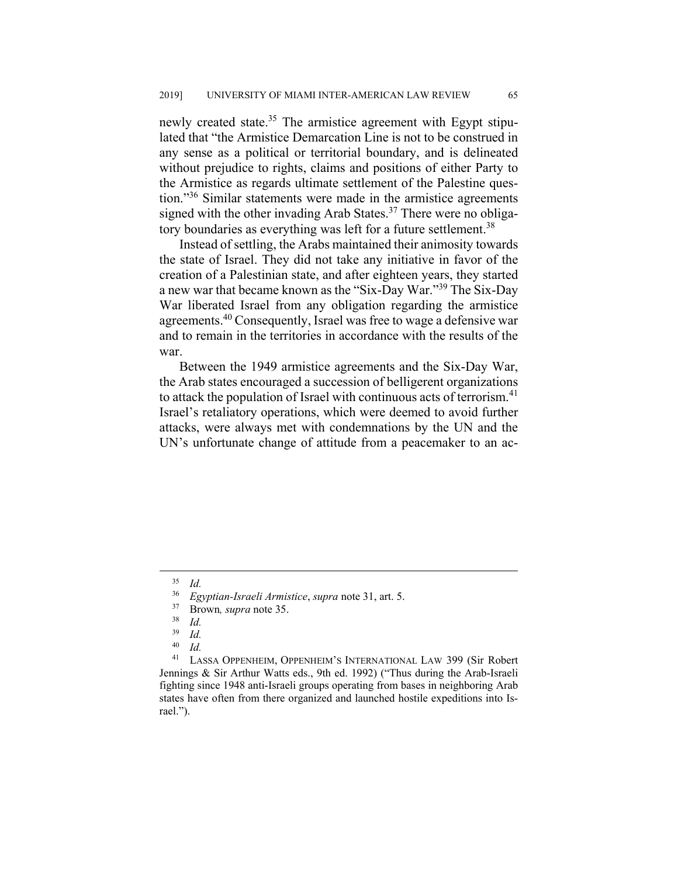newly created state.<sup>35</sup> The armistice agreement with Egypt stipulated that "the Armistice Demarcation Line is not to be construed in any sense as a political or territorial boundary, and is delineated without prejudice to rights, claims and positions of either Party to the Armistice as regards ultimate settlement of the Palestine question."36 Similar statements were made in the armistice agreements signed with the other invading Arab States.<sup>37</sup> There were no obligatory boundaries as everything was left for a future settlement.<sup>38</sup>

Instead of settling, the Arabs maintained their animosity towards the state of Israel. They did not take any initiative in favor of the creation of a Palestinian state, and after eighteen years, they started a new war that became known as the "Six-Day War."39 The Six-Day War liberated Israel from any obligation regarding the armistice agreements.40 Consequently, Israel was free to wage a defensive war and to remain in the territories in accordance with the results of the war.

Between the 1949 armistice agreements and the Six-Day War, the Arab states encouraged a succession of belligerent organizations to attack the population of Israel with continuous acts of terrorism. $41$ Israel's retaliatory operations, which were deemed to avoid further attacks, were always met with condemnations by the UN and the UN's unfortunate change of attitude from a peacemaker to an ac-

 <sup>35</sup> *Id.*

<sup>36</sup> *Egyptian-Israeli Armistice*, *supra* note 31, art. 5.

<sup>37</sup> Brown*, supra* note 35.

 $rac{38}{39}$  *Id.* 

 $\frac{39}{40}$  *Id.* 

<sup>40</sup> *Id.*

<sup>41</sup> LASSA OPPENHEIM, OPPENHEIM'S INTERNATIONAL LAW 399 (Sir Robert Jennings & Sir Arthur Watts eds., 9th ed. 1992) ("Thus during the Arab-Israeli fighting since 1948 anti-Israeli groups operating from bases in neighboring Arab states have often from there organized and launched hostile expeditions into Israel.").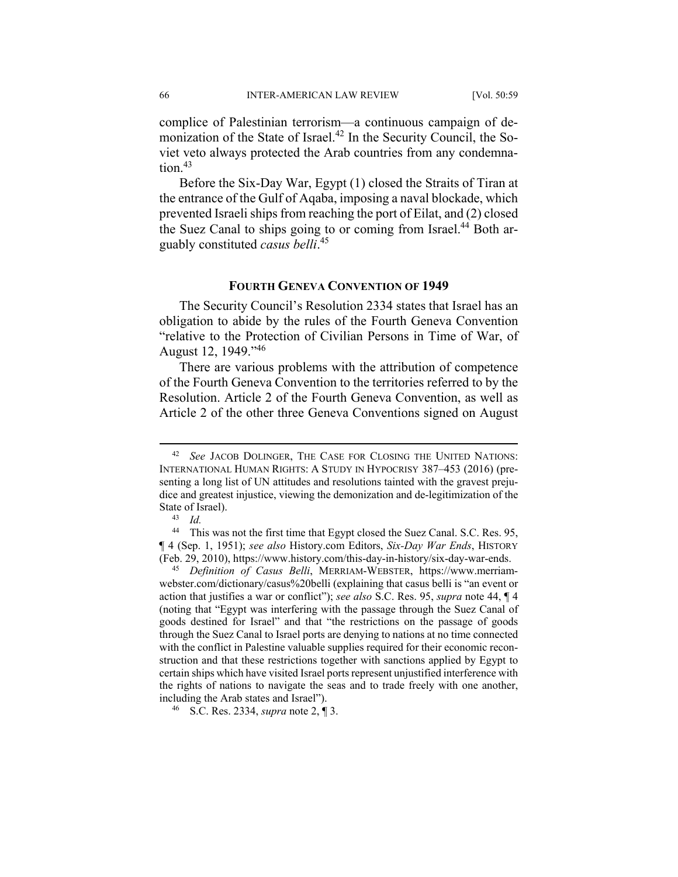complice of Palestinian terrorism—a continuous campaign of demonization of the State of Israel.<sup>42</sup> In the Security Council, the Soviet veto always protected the Arab countries from any condemna $tion<sup>43</sup>$ 

Before the Six-Day War, Egypt (1) closed the Straits of Tiran at the entrance of the Gulf of Aqaba, imposing a naval blockade, which prevented Israeli ships from reaching the port of Eilat, and (2) closed the Suez Canal to ships going to or coming from Israel.<sup>44</sup> Both arguably constituted *casus belli*. 45

#### **FOURTH GENEVA CONVENTION OF 1949**

The Security Council's Resolution 2334 states that Israel has an obligation to abide by the rules of the Fourth Geneva Convention "relative to the Protection of Civilian Persons in Time of War, of August 12, 1949."<sup>46</sup>

There are various problems with the attribution of competence of the Fourth Geneva Convention to the territories referred to by the Resolution. Article 2 of the Fourth Geneva Convention, as well as Article 2 of the other three Geneva Conventions signed on August

 <sup>42</sup> *See* JACOB DOLINGER, THE CASE FOR CLOSING THE UNITED NATIONS: INTERNATIONAL HUMAN RIGHTS: A STUDY IN HYPOCRISY 387-453 (2016) (presenting a long list of UN attitudes and resolutions tainted with the gravest prejudice and greatest injustice, viewing the demonization and de-legitimization of the State of Israel).

<sup>43</sup> *Id.*

<sup>44</sup> This was not the first time that Egypt closed the Suez Canal. S.C. Res. 95, ¶ 4 (Sep. 1, 1951); *see also* History.com Editors, *Six-Day War Ends*, HISTORY (Feb. 29, 2010), https://www.history.com/this-day-in-history/six-day-war-ends.

<sup>45</sup> *Definition of Casus Belli*, MERRIAM-WEBSTER, https://www.merriamwebster.com/dictionary/casus%20belli (explaining that casus belli is "an event or action that justifies a war or conflict"); *see also* S.C. Res. 95, *supra* note 44, ¶ 4 (noting that "Egypt was interfering with the passage through the Suez Canal of goods destined for Israel" and that "the restrictions on the passage of goods through the Suez Canal to Israel ports are denying to nations at no time connected with the conflict in Palestine valuable supplies required for their economic reconstruction and that these restrictions together with sanctions applied by Egypt to certain ships which have visited Israel ports represent unjustified interference with the rights of nations to navigate the seas and to trade freely with one another, including the Arab states and Israel").

<sup>46</sup> S.C. Res. 2334, *supra* note 2, ¶ 3.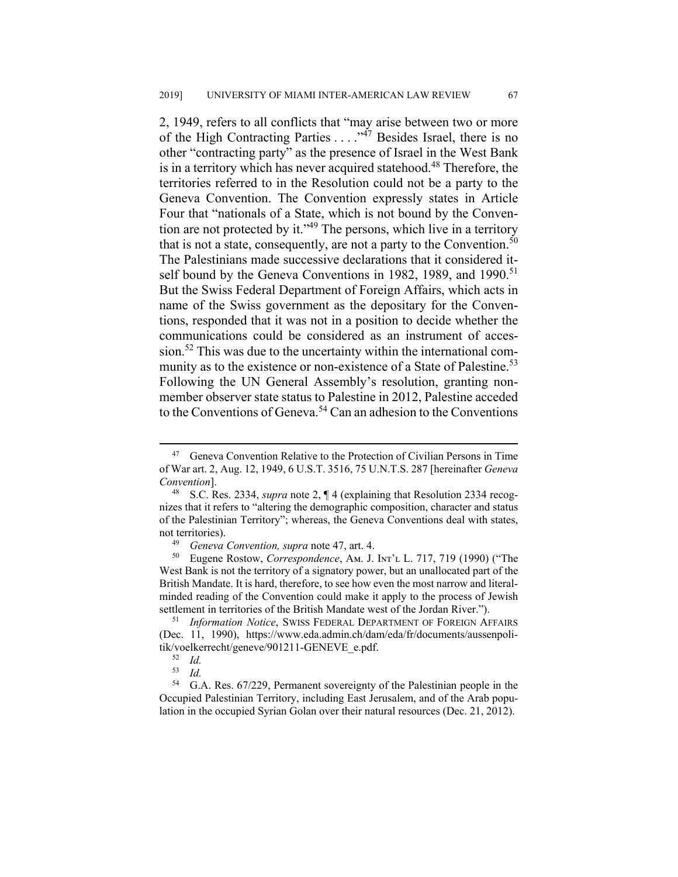2, 1949, refers to all conflicts that "may arise between two or more of the High Contracting Parties  $\dots$   $\frac{1}{47}$  Besides Israel, there is no other "contracting party" as the presence of Israel in the West Bank is in a territory which has never acquired statehood.<sup>48</sup> Therefore, the territories referred to in the Resolution could not be a party to the Geneva Convention. The Convention expressly states in Article Four that "nationals of a State, which is not bound by the Convention are not protected by it."49 The persons, which live in a territory that is not a state, consequently, are not a party to the Convention.<sup>50</sup> The Palestinians made successive declarations that it considered itself bound by the Geneva Conventions in 1982, 1989, and 1990.<sup>51</sup> But the Swiss Federal Department of Foreign Affairs, which acts in name of the Swiss government as the depositary for the Conventions, responded that it was not in a position to decide whether the communications could be considered as an instrument of accession.<sup>52</sup> This was due to the uncertainty within the international community as to the existence or non-existence of a State of Palestine.<sup>53</sup> Following the UN General Assembly's resolution, granting nonmember observer state status to Palestine in 2012, Palestine acceded to the Conventions of Geneva.<sup>54</sup> Can an adhesion to the Conventions

<sup>&</sup>lt;sup>47</sup> Geneva Convention Relative to the Protection of Civilian Persons in Time of War art. 2, Aug. 12, 1949, 6 U.S.T. 3516, 75 U.N.T.S. 287 [hereinafter *Geneva Convention*].

<sup>48</sup> S.C. Res. 2334, *supra* note 2, ¶ 4 (explaining that Resolution 2334 recognizes that it refers to "altering the demographic composition, character and status of the Palestinian Territory"; whereas, the Geneva Conventions deal with states, not territories).

<sup>49</sup> *Geneva Convention, supra* note 47, art. 4.

<sup>&</sup>lt;sup>50</sup> Eugene Rostow, *Correspondence*, A<sub>M.</sub> J. I<sub>NT</sub>'<sub>L</sub> L. 717, 719 (1990) ("The West Bank is not the territory of a signatory power, but an unallocated part of the British Mandate. It is hard, therefore, to see how even the most narrow and literalminded reading of the Convention could make it apply to the process of Jewish settlement in territories of the British Mandate west of the Jordan River.").

<sup>51</sup> *Information Notice*, SWISS FEDERAL DEPARTMENT OF FOREIGN AFFAIRS (Dec. 11, 1990), https://www.eda.admin.ch/dam/eda/fr/documents/aussenpolitik/voelkerrecht/geneve/901211-GENEVE\_e.pdf.

 $\begin{array}{cc} 52 & Id. \\ 53 & Id. \end{array}$ 

 $\frac{53}{54}$  *Id.* 

<sup>54</sup> G.A. Res. 67/229, Permanent sovereignty of the Palestinian people in the Occupied Palestinian Territory, including East Jerusalem, and of the Arab population in the occupied Syrian Golan over their natural resources (Dec. 21, 2012).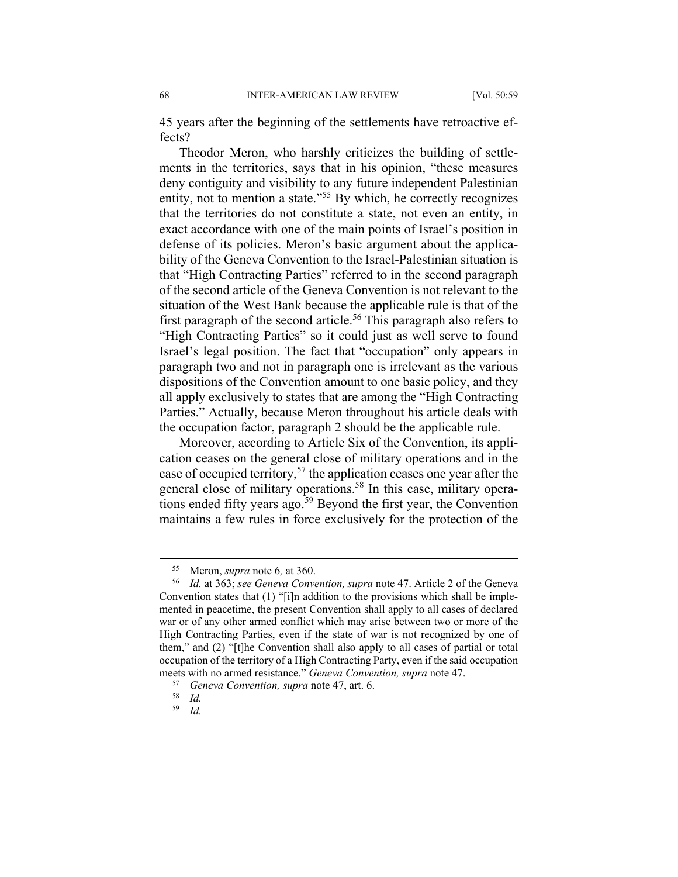45 years after the beginning of the settlements have retroactive effects?

Theodor Meron, who harshly criticizes the building of settlements in the territories, says that in his opinion, "these measures deny contiguity and visibility to any future independent Palestinian entity, not to mention a state."55 By which, he correctly recognizes that the territories do not constitute a state, not even an entity, in exact accordance with one of the main points of Israel's position in defense of its policies. Meron's basic argument about the applicability of the Geneva Convention to the Israel-Palestinian situation is that "High Contracting Parties" referred to in the second paragraph of the second article of the Geneva Convention is not relevant to the situation of the West Bank because the applicable rule is that of the first paragraph of the second article.<sup>56</sup> This paragraph also refers to "High Contracting Parties" so it could just as well serve to found Israel's legal position. The fact that "occupation" only appears in paragraph two and not in paragraph one is irrelevant as the various dispositions of the Convention amount to one basic policy, and they all apply exclusively to states that are among the "High Contracting Parties." Actually, because Meron throughout his article deals with the occupation factor, paragraph 2 should be the applicable rule.

Moreover, according to Article Six of the Convention, its application ceases on the general close of military operations and in the case of occupied territory,57 the application ceases one year after the general close of military operations.<sup>58</sup> In this case, military operations ended fifty years ago.<sup>59</sup> Beyond the first year, the Convention maintains a few rules in force exclusively for the protection of the

59 *Id.* 

 <sup>55</sup> Meron, *supra* note 6*,* at 360.

<sup>56</sup> *Id.* at 363; *see Geneva Convention, supra* note 47. Article 2 of the Geneva Convention states that (1) "[i]n addition to the provisions which shall be implemented in peacetime, the present Convention shall apply to all cases of declared war or of any other armed conflict which may arise between two or more of the High Contracting Parties, even if the state of war is not recognized by one of them," and (2) "[t]he Convention shall also apply to all cases of partial or total occupation of the territory of a High Contracting Party, even if the said occupation meets with no armed resistance." *Geneva Convention, supra* note 47.<br><sup>57</sup> *Geneva Convention, supra* note 47, art. 6.<br><sup>58</sup> *Id* 

 $\frac{58}{59}$  *Id.*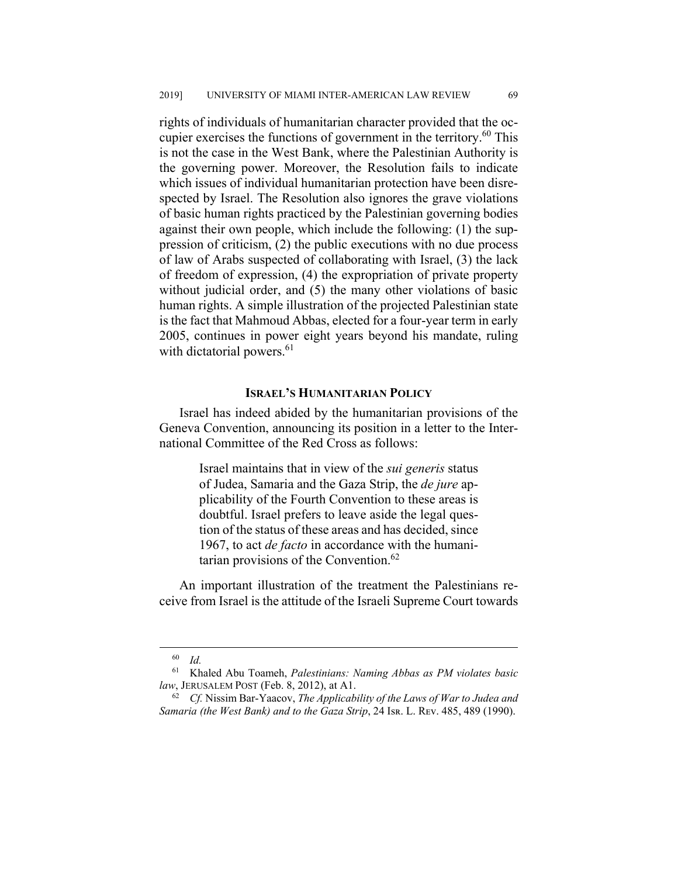rights of individuals of humanitarian character provided that the occupier exercises the functions of government in the territory.<sup>60</sup> This is not the case in the West Bank, where the Palestinian Authority is the governing power. Moreover, the Resolution fails to indicate which issues of individual humanitarian protection have been disrespected by Israel. The Resolution also ignores the grave violations of basic human rights practiced by the Palestinian governing bodies against their own people, which include the following: (1) the suppression of criticism, (2) the public executions with no due process of law of Arabs suspected of collaborating with Israel, (3) the lack of freedom of expression, (4) the expropriation of private property without judicial order, and (5) the many other violations of basic human rights. A simple illustration of the projected Palestinian state is the fact that Mahmoud Abbas, elected for a four-year term in early 2005, continues in power eight years beyond his mandate, ruling with dictatorial powers.<sup>61</sup>

#### **ISRAEL'S HUMANITARIAN POLICY**

Israel has indeed abided by the humanitarian provisions of the Geneva Convention, announcing its position in a letter to the International Committee of the Red Cross as follows:

> Israel maintains that in view of the *sui generis* status of Judea, Samaria and the Gaza Strip, the *de jure* applicability of the Fourth Convention to these areas is doubtful. Israel prefers to leave aside the legal question of the status of these areas and has decided, since 1967, to act *de facto* in accordance with the humanitarian provisions of the Convention. $62$

An important illustration of the treatment the Palestinians receive from Israel is the attitude of the Israeli Supreme Court towards

 <sup>60</sup> *Id.*

<sup>61</sup> Khaled Abu Toameh, *Palestinians: Naming Abbas as PM violates basic law*, JERUSALEM POST (Feb. 8, 2012), at A1.

<sup>62</sup> *Cf.* Nissim Bar-Yaacov, *The Applicability of the Laws of War to Judea and Samaria (the West Bank) and to the Gaza Strip*, 24 Isr. L. REv. 485, 489 (1990).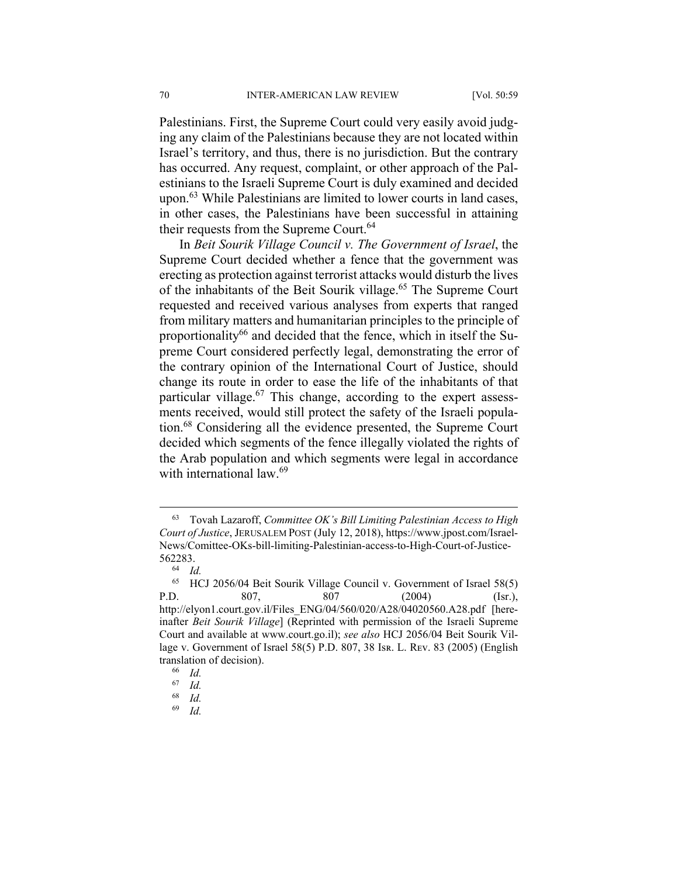Palestinians. First, the Supreme Court could very easily avoid judging any claim of the Palestinians because they are not located within Israel's territory, and thus, there is no jurisdiction. But the contrary has occurred. Any request, complaint, or other approach of the Palestinians to the Israeli Supreme Court is duly examined and decided upon.<sup>63</sup> While Palestinians are limited to lower courts in land cases, in other cases, the Palestinians have been successful in attaining their requests from the Supreme Court.<sup>64</sup>

In *Beit Sourik Village Council v. The Government of Israel*, the Supreme Court decided whether a fence that the government was erecting as protection against terrorist attacks would disturb the lives of the inhabitants of the Beit Sourik village.<sup>65</sup> The Supreme Court requested and received various analyses from experts that ranged from military matters and humanitarian principles to the principle of proportionality<sup>66</sup> and decided that the fence, which in itself the Supreme Court considered perfectly legal, demonstrating the error of the contrary opinion of the International Court of Justice, should change its route in order to ease the life of the inhabitants of that particular village. $67$  This change, according to the expert assessments received, would still protect the safety of the Israeli population.68 Considering all the evidence presented, the Supreme Court decided which segments of the fence illegally violated the rights of the Arab population and which segments were legal in accordance with international law.<sup>69</sup>

69 *Id.*

 <sup>63</sup> Tovah Lazaroff, *Committee OK's Bill Limiting Palestinian Access to High Court of Justice*, JERUSALEM POST (July 12, 2018), https://www.jpost.com/Israel-News/Comittee-OKs-bill-limiting-Palestinian-access-to-High-Court-of-Justice- $562283.$ 

 $\frac{64}{65}$  *Id.* 

<sup>65</sup> HCJ 2056/04 Beit Sourik Village Council v. Government of Israel 58(5) P.D. 807, 807 (2004) (Isr.), http://elyon1.court.gov.il/Files\_ENG/04/560/020/A28/04020560.A28.pdf [hereinafter *Beit Sourik Village*] (Reprinted with permission of the Israeli Supreme Court and available at www.court.go.il); *see also* HCJ 2056/04 Beit Sourik Village v. Government of Israel 58(5) P.D. 807, 38 Isr. L. REV. 83 (2005) (English translation of decision).

 $\begin{array}{cc} 66 & Id. \\ 67 & Id. \end{array}$ 

 $\begin{array}{cc} 67 & Id. \\ 68 & Id. \end{array}$ 

*Id.*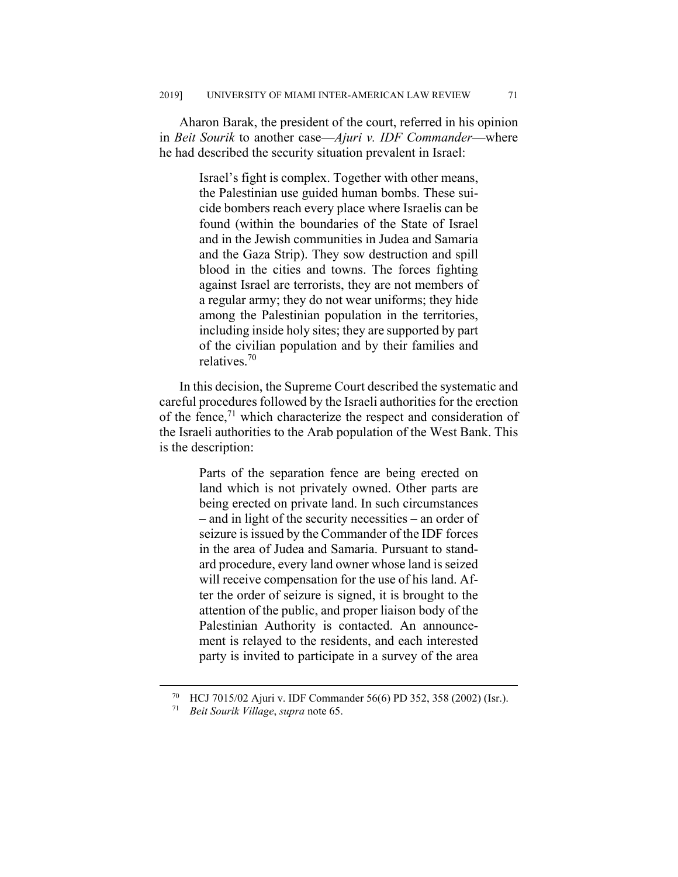Aharon Barak, the president of the court, referred in his opinion in *Beit Sourik* to another case—*Ajuri v. IDF Commander*—where he had described the security situation prevalent in Israel:

> Israel's fight is complex. Together with other means, the Palestinian use guided human bombs. These suicide bombers reach every place where Israelis can be found (within the boundaries of the State of Israel and in the Jewish communities in Judea and Samaria and the Gaza Strip). They sow destruction and spill blood in the cities and towns. The forces fighting against Israel are terrorists, they are not members of a regular army; they do not wear uniforms; they hide among the Palestinian population in the territories, including inside holy sites; they are supported by part of the civilian population and by their families and relatives.70

In this decision, the Supreme Court described the systematic and careful procedures followed by the Israeli authorities for the erection of the fence, $71$  which characterize the respect and consideration of the Israeli authorities to the Arab population of the West Bank. This is the description:

> Parts of the separation fence are being erected on land which is not privately owned. Other parts are being erected on private land. In such circumstances – and in light of the security necessities – an order of seizure is issued by the Commander of the IDF forces in the area of Judea and Samaria. Pursuant to standard procedure, every land owner whose land is seized will receive compensation for the use of his land. After the order of seizure is signed, it is brought to the attention of the public, and proper liaison body of the Palestinian Authority is contacted. An announcement is relayed to the residents, and each interested party is invited to participate in a survey of the area

 <sup>70</sup> HCJ 7015/02 Ajuri v. IDF Commander 56(6) PD 352, 358 (2002) (Isr.).

<sup>71</sup> *Beit Sourik Village*, *supra* note 65.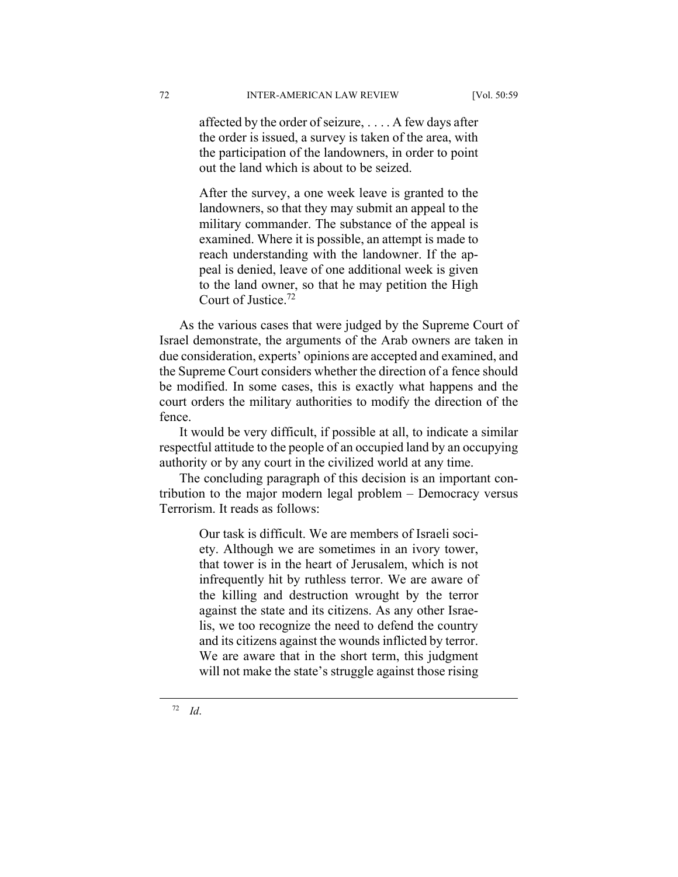affected by the order of seizure, . . . . A few days after the order is issued, a survey is taken of the area, with the participation of the landowners, in order to point out the land which is about to be seized.

After the survey, a one week leave is granted to the landowners, so that they may submit an appeal to the military commander. The substance of the appeal is examined. Where it is possible, an attempt is made to reach understanding with the landowner. If the appeal is denied, leave of one additional week is given to the land owner, so that he may petition the High Court of Justice.72

As the various cases that were judged by the Supreme Court of Israel demonstrate, the arguments of the Arab owners are taken in due consideration, experts' opinions are accepted and examined, and the Supreme Court considers whether the direction of a fence should be modified. In some cases, this is exactly what happens and the court orders the military authorities to modify the direction of the fence.

It would be very difficult, if possible at all, to indicate a similar respectful attitude to the people of an occupied land by an occupying authority or by any court in the civilized world at any time.

The concluding paragraph of this decision is an important contribution to the major modern legal problem – Democracy versus Terrorism. It reads as follows:

> Our task is difficult. We are members of Israeli society. Although we are sometimes in an ivory tower, that tower is in the heart of Jerusalem, which is not infrequently hit by ruthless terror. We are aware of the killing and destruction wrought by the terror against the state and its citizens. As any other Israelis, we too recognize the need to defend the country and its citizens against the wounds inflicted by terror. We are aware that in the short term, this judgment will not make the state's struggle against those rising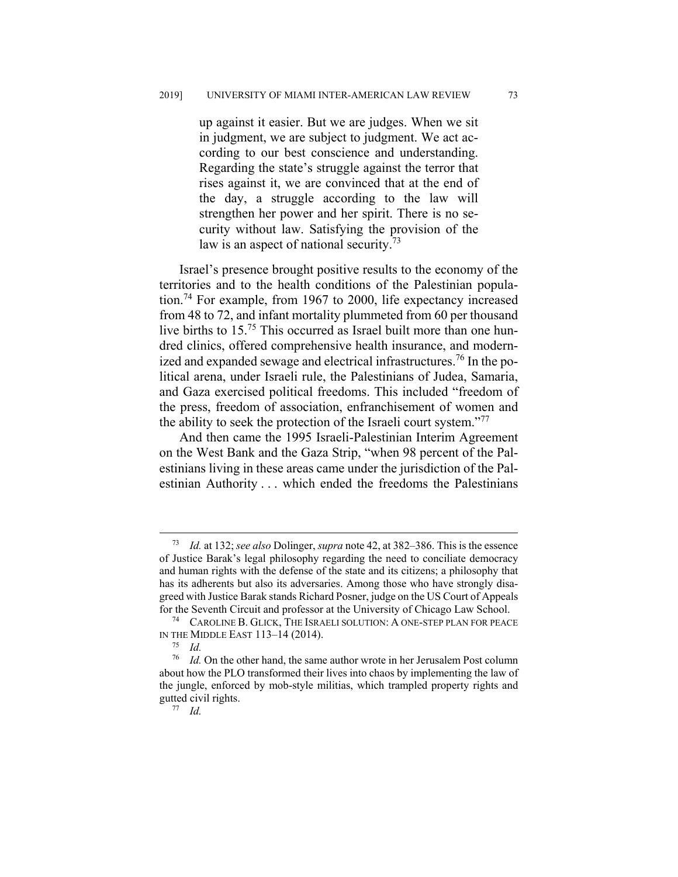up against it easier. But we are judges. When we sit in judgment, we are subject to judgment. We act according to our best conscience and understanding. Regarding the state's struggle against the terror that rises against it, we are convinced that at the end of the day, a struggle according to the law will strengthen her power and her spirit. There is no security without law. Satisfying the provision of the law is an aspect of national security.<sup>73</sup>

Israel's presence brought positive results to the economy of the territories and to the health conditions of the Palestinian population.74 For example, from 1967 to 2000, life expectancy increased from 48 to 72, and infant mortality plummeted from 60 per thousand live births to 15.75 This occurred as Israel built more than one hundred clinics, offered comprehensive health insurance, and modernized and expanded sewage and electrical infrastructures.<sup>76</sup> In the political arena, under Israeli rule, the Palestinians of Judea, Samaria, and Gaza exercised political freedoms. This included "freedom of the press, freedom of association, enfranchisement of women and the ability to seek the protection of the Israeli court system."<sup>77</sup>

And then came the 1995 Israeli-Palestinian Interim Agreement on the West Bank and the Gaza Strip, "when 98 percent of the Palestinians living in these areas came under the jurisdiction of the Palestinian Authority . . . which ended the freedoms the Palestinians

 <sup>73</sup> *Id.* at 132; *see also* Dolinger, *supra* note 42, at 382‒386. This is the essence of Justice Barak's legal philosophy regarding the need to conciliate democracy and human rights with the defense of the state and its citizens; a philosophy that has its adherents but also its adversaries. Among those who have strongly disagreed with Justice Barak stands Richard Posner, judge on the US Court of Appeals for the Seventh Circuit and professor at the University of Chicago Law School.

<sup>74</sup> CAROLINE B. GLICK, THE ISRAELI SOLUTION: A ONE-STEP PLAN FOR PEACE IN THE MIDDLE EAST 113-14 (2014).

<sup>75</sup> *Id.*

<sup>76</sup> *Id.* On the other hand, the same author wrote in her Jerusalem Post column about how the PLO transformed their lives into chaos by implementing the law of the jungle, enforced by mob-style militias, which trampled property rights and gutted civil rights. 77 *Id.*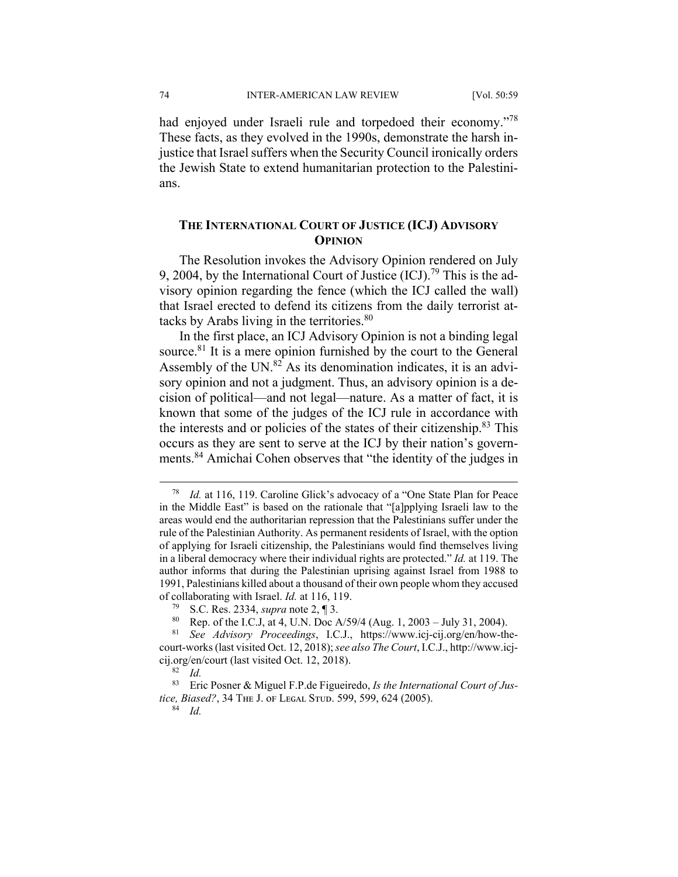had enjoyed under Israeli rule and torpedoed their economy."<sup>78</sup> These facts, as they evolved in the 1990s, demonstrate the harsh injustice that Israel suffers when the Security Council ironically orders the Jewish State to extend humanitarian protection to the Palestinians.

### **THE INTERNATIONAL COURT OF JUSTICE (ICJ) ADVISORY OPINION**

The Resolution invokes the Advisory Opinion rendered on July 9, 2004, by the International Court of Justice  $(ICJ)$ .<sup>79</sup> This is the advisory opinion regarding the fence (which the ICJ called the wall) that Israel erected to defend its citizens from the daily terrorist attacks by Arabs living in the territories.<sup>80</sup>

In the first place, an ICJ Advisory Opinion is not a binding legal source. $81$  It is a mere opinion furnished by the court to the General Assembly of the UN. $82$  As its denomination indicates, it is an advisory opinion and not a judgment. Thus, an advisory opinion is a decision of political—and not legal—nature. As a matter of fact, it is known that some of the judges of the ICJ rule in accordance with the interests and or policies of the states of their citizenship.<sup>83</sup> This occurs as they are sent to serve at the ICJ by their nation's governments.84 Amichai Cohen observes that "the identity of the judges in

 <sup>78</sup> *Id.* at 116, 119. Caroline Glick's advocacy of a "One State Plan for Peace in the Middle East" is based on the rationale that "[a]pplying Israeli law to the areas would end the authoritarian repression that the Palestinians suffer under the rule of the Palestinian Authority. As permanent residents of Israel, with the option of applying for Israeli citizenship, the Palestinians would find themselves living in a liberal democracy where their individual rights are protected." *Id.* at 119. The author informs that during the Palestinian uprising against Israel from 1988 to 1991, Palestinians killed about a thousand of their own people whom they accused of collaborating with Israel. *Id.* at 116, 119.

<sup>79</sup> S.C. Res. 2334, *supra* note 2, ¶ 3.

<sup>80</sup> Rep. of the I.C.J, at 4, U.N. Doc  $A/59/4$  (Aug. 1, 2003 – July 31, 2004).

<sup>81</sup> *See Advisory Proceedings*, I.C.J., https://www.icj-cij.org/en/how-thecourt-works (last visited Oct. 12, 2018); *see also The Court*, I.C.J., http://www.icjcij.org/en/court (last visited Oct. 12, 2018).

<sup>82</sup> *Id.*

<sup>83</sup> Eric Posner & Miguel F.P.de Figueiredo, *Is the International Court of Justice, Biased?*, 34 THE J. OF LEGAL STUD. 599, 599, 624 (2005).

<sup>84</sup> *Id.*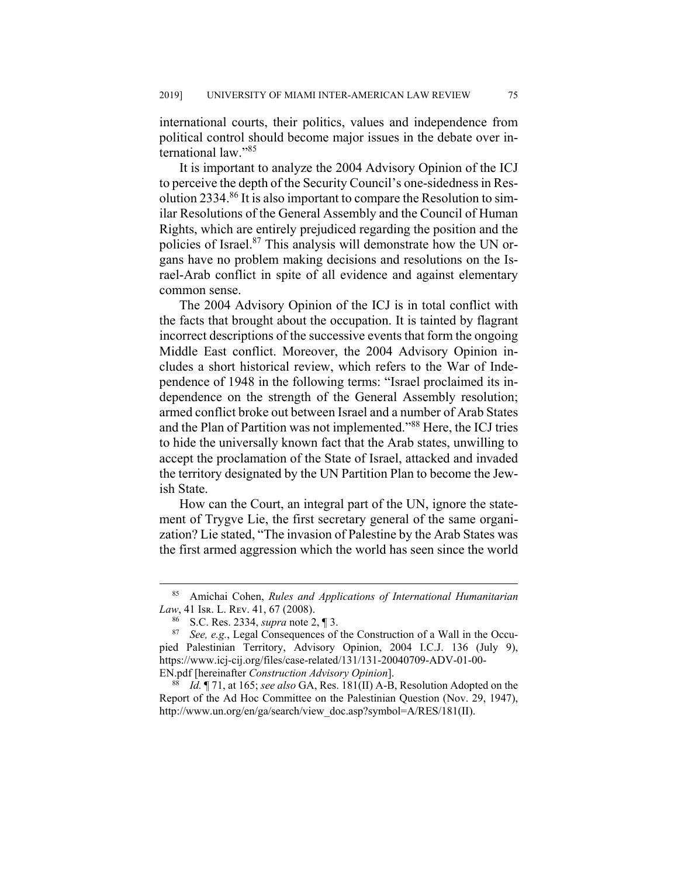international courts, their politics, values and independence from political control should become major issues in the debate over international law."<sup>85</sup>

It is important to analyze the 2004 Advisory Opinion of the ICJ to perceive the depth of the Security Council's one-sidedness in Resolution 2334. $86$  It is also important to compare the Resolution to similar Resolutions of the General Assembly and the Council of Human Rights, which are entirely prejudiced regarding the position and the policies of Israel.87 This analysis will demonstrate how the UN organs have no problem making decisions and resolutions on the Israel-Arab conflict in spite of all evidence and against elementary common sense.

The 2004 Advisory Opinion of the ICJ is in total conflict with the facts that brought about the occupation. It is tainted by flagrant incorrect descriptions of the successive events that form the ongoing Middle East conflict. Moreover, the 2004 Advisory Opinion includes a short historical review, which refers to the War of Independence of 1948 in the following terms: "Israel proclaimed its independence on the strength of the General Assembly resolution; armed conflict broke out between Israel and a number of Arab States and the Plan of Partition was not implemented."88 Here, the ICJ tries to hide the universally known fact that the Arab states, unwilling to accept the proclamation of the State of Israel, attacked and invaded the territory designated by the UN Partition Plan to become the Jewish State.

How can the Court, an integral part of the UN, ignore the statement of Trygve Lie, the first secretary general of the same organization? Lie stated, "The invasion of Palestine by the Arab States was the first armed aggression which the world has seen since the world

 <sup>85</sup> Amichai Cohen, *Rules and Applications of International Humanitarian Law*, 41 Isr. L. Rev. 41, 67 (2008).

<sup>86</sup> S.C. Res. 2334, *supra* note 2, ¶ 3.

<sup>87</sup> *See, e.g.*, Legal Consequences of the Construction of a Wall in the Occupied Palestinian Territory, Advisory Opinion, 2004 I.C.J. 136 (July 9), https://www.icj-cij.org/files/case-related/131/131-20040709-ADV-01-00- EN.pdf [hereinafter *Construction Advisory Opinion*].

<sup>88</sup> *Id.* ¶ 71, at 165; *see also* GA, Res. 181(II) A-B, Resolution Adopted on the Report of the Ad Hoc Committee on the Palestinian Question (Nov. 29, 1947), http://www.un.org/en/ga/search/view\_doc.asp?symbol=A/RES/181(II).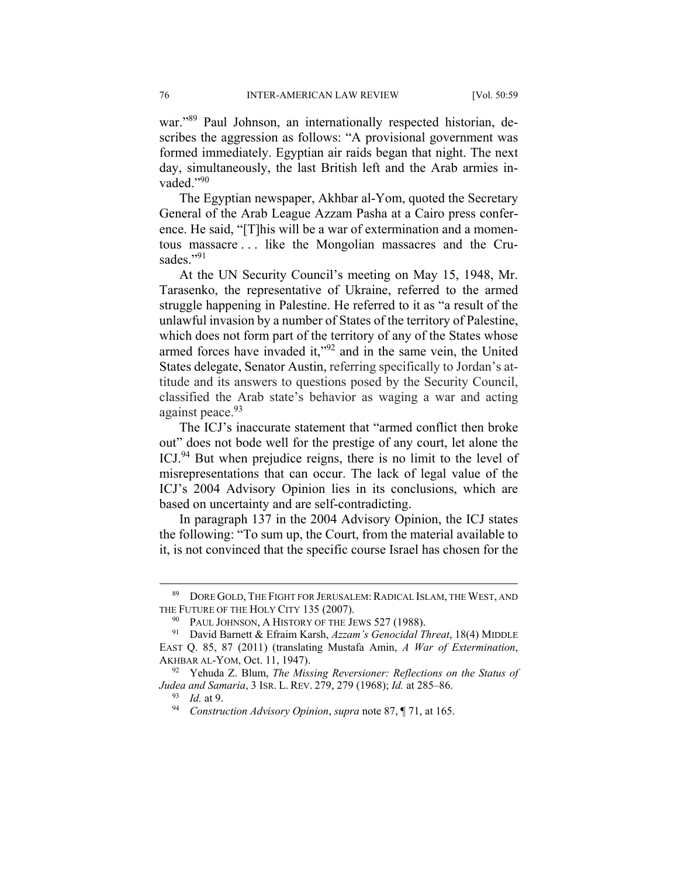war."<sup>89</sup> Paul Johnson, an internationally respected historian, describes the aggression as follows: "A provisional government was formed immediately. Egyptian air raids began that night. The next day, simultaneously, the last British left and the Arab armies invaded."90

The Egyptian newspaper, Akhbar al-Yom, quoted the Secretary General of the Arab League Azzam Pasha at a Cairo press conference. He said, "[T]his will be a war of extermination and a momentous massacre . . . like the Mongolian massacres and the Crusades."91

At the UN Security Council's meeting on May 15, 1948, Mr. Tarasenko, the representative of Ukraine, referred to the armed struggle happening in Palestine. He referred to it as "a result of the unlawful invasion by a number of States of the territory of Palestine, which does not form part of the territory of any of the States whose armed forces have invaded it,"92 and in the same vein, the United States delegate, Senator Austin, referring specifically to Jordan's attitude and its answers to questions posed by the Security Council, classified the Arab state's behavior as waging a war and acting against peace.<sup>93</sup>

The ICJ's inaccurate statement that "armed conflict then broke out" does not bode well for the prestige of any court, let alone the ICJ.94 But when prejudice reigns, there is no limit to the level of misrepresentations that can occur. The lack of legal value of the ICJ's 2004 Advisory Opinion lies in its conclusions, which are based on uncertainty and are self-contradicting.

In paragraph 137 in the 2004 Advisory Opinion, the ICJ states the following: "To sum up, the Court, from the material available to it, is not convinced that the specific course Israel has chosen for the

<sup>89</sup> DORE GOLD, THE FIGHT FOR JERUSALEM: RADICAL ISLAM, THE WEST, AND THE FUTURE OF THE HOLY CITY 135 (2007).

<sup>&</sup>lt;sup>90</sup> PAUL JOHNSON, A HISTORY OF THE JEWS 527 (1988).

<sup>91</sup> David Barnett & Efraim Karsh, *Azzam's Genocidal Threat*, 18(4) MIDDLE EAST Q. 85, 87 (2011) (translating Mustafa Amin, *A War of Extermination*, AKHBAR AL-YOM, Oct. 11, 1947).

<sup>92</sup> Yehuda Z. Blum, *The Missing Reversioner: Reflections on the Status of Judea and Samaria*, 3 ISR. L. REV. 279, 279 (1968); *Id.* at 285‒86.

<sup>93</sup> *Id.* at 9.

<sup>94</sup> *Construction Advisory Opinion*, *supra* note 87, ¶ 71, at 165.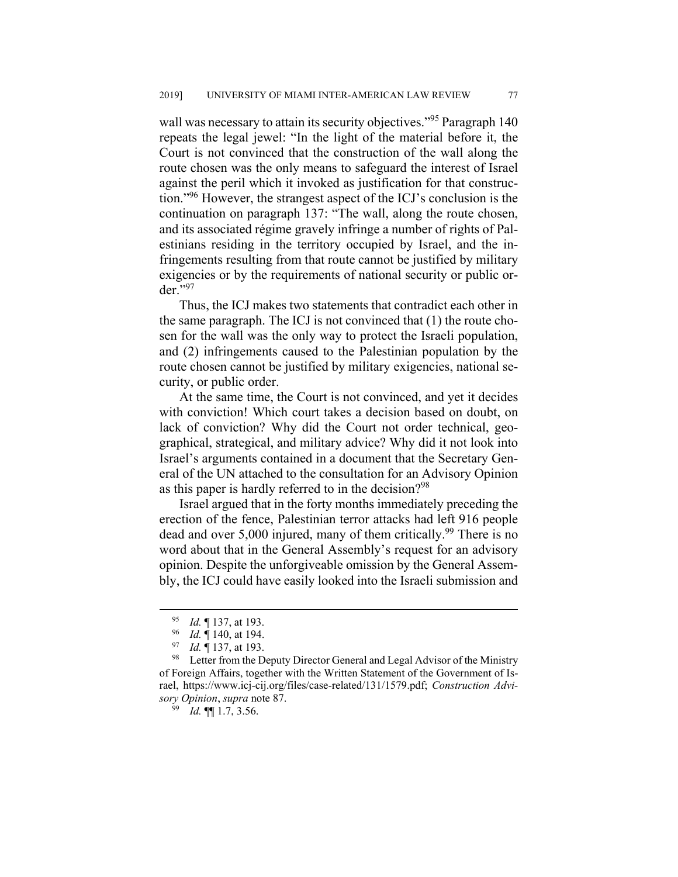wall was necessary to attain its security objectives."<sup>95</sup> Paragraph 140 repeats the legal jewel: "In the light of the material before it, the Court is not convinced that the construction of the wall along the route chosen was the only means to safeguard the interest of Israel against the peril which it invoked as justification for that construction."96 However, the strangest aspect of the ICJ's conclusion is the continuation on paragraph 137: "The wall, along the route chosen, and its associated régime gravely infringe a number of rights of Palestinians residing in the territory occupied by Israel, and the infringements resulting from that route cannot be justified by military exigencies or by the requirements of national security or public order."97

Thus, the ICJ makes two statements that contradict each other in the same paragraph. The ICJ is not convinced that (1) the route chosen for the wall was the only way to protect the Israeli population, and (2) infringements caused to the Palestinian population by the route chosen cannot be justified by military exigencies, national security, or public order.

At the same time, the Court is not convinced, and yet it decides with conviction! Which court takes a decision based on doubt, on lack of conviction? Why did the Court not order technical, geographical, strategical, and military advice? Why did it not look into Israel's arguments contained in a document that the Secretary General of the UN attached to the consultation for an Advisory Opinion as this paper is hardly referred to in the decision?<sup>98</sup>

Israel argued that in the forty months immediately preceding the erection of the fence, Palestinian terror attacks had left 916 people dead and over 5,000 injured, many of them critically.<sup>99</sup> There is no word about that in the General Assembly's request for an advisory opinion. Despite the unforgiveable omission by the General Assembly, the ICJ could have easily looked into the Israeli submission and

 <sup>95</sup> *Id.* ¶ 137, at 193.

<sup>96</sup> *Id.* ¶ 140, at 194.

<sup>97</sup> *Id.* ¶ 137, at 193.

<sup>&</sup>lt;sup>98</sup> Letter from the Deputy Director General and Legal Advisor of the Ministry of Foreign Affairs, together with the Written Statement of the Government of Israel, https://www.icj-cij.org/files/case-related/131/1579.pdf; *Construction Advisory Opinion*, *supra* note 87.

<sup>99</sup> *Id.* ¶¶ 1.7, 3.56.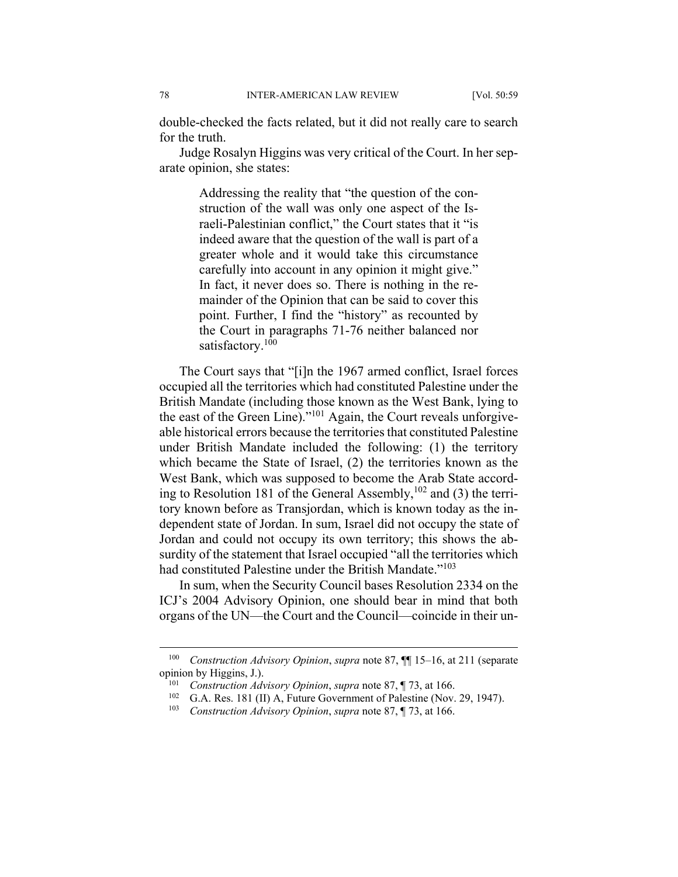double-checked the facts related, but it did not really care to search for the truth.

Judge Rosalyn Higgins was very critical of the Court. In her separate opinion, she states:

> Addressing the reality that "the question of the construction of the wall was only one aspect of the Israeli-Palestinian conflict," the Court states that it "is indeed aware that the question of the wall is part of a greater whole and it would take this circumstance carefully into account in any opinion it might give." In fact, it never does so. There is nothing in the remainder of the Opinion that can be said to cover this point. Further, I find the "history" as recounted by the Court in paragraphs 71-76 neither balanced nor satisfactory.<sup>100</sup>

The Court says that "[i]n the 1967 armed conflict, Israel forces occupied all the territories which had constituted Palestine under the British Mandate (including those known as the West Bank, lying to the east of the Green Line)."101 Again, the Court reveals unforgiveable historical errors because the territories that constituted Palestine under British Mandate included the following: (1) the territory which became the State of Israel, (2) the territories known as the West Bank, which was supposed to become the Arab State according to Resolution 181 of the General Assembly,  $102$  and (3) the territory known before as Transjordan, which is known today as the independent state of Jordan. In sum, Israel did not occupy the state of Jordan and could not occupy its own territory; this shows the absurdity of the statement that Israel occupied "all the territories which had constituted Palestine under the British Mandate."<sup>103</sup>

In sum, when the Security Council bases Resolution 2334 on the ICJ's 2004 Advisory Opinion, one should bear in mind that both organs of the UN—the Court and the Council—coincide in their un-

<sup>&</sup>lt;sup>100</sup> Construction *Advisory Opinion, supra* note 87, **[1]** 15–16, at 211 (separate opinion by Higgins, J.).

<sup>101</sup> *Construction Advisory Opinion*, *supra* note 87, ¶ 73, at 166.

 $102$  G.A. Res. 181 (II) A, Future Government of Palestine (Nov. 29, 1947).

<sup>103</sup> *Construction Advisory Opinion*, *supra* note 87, ¶ 73, at 166.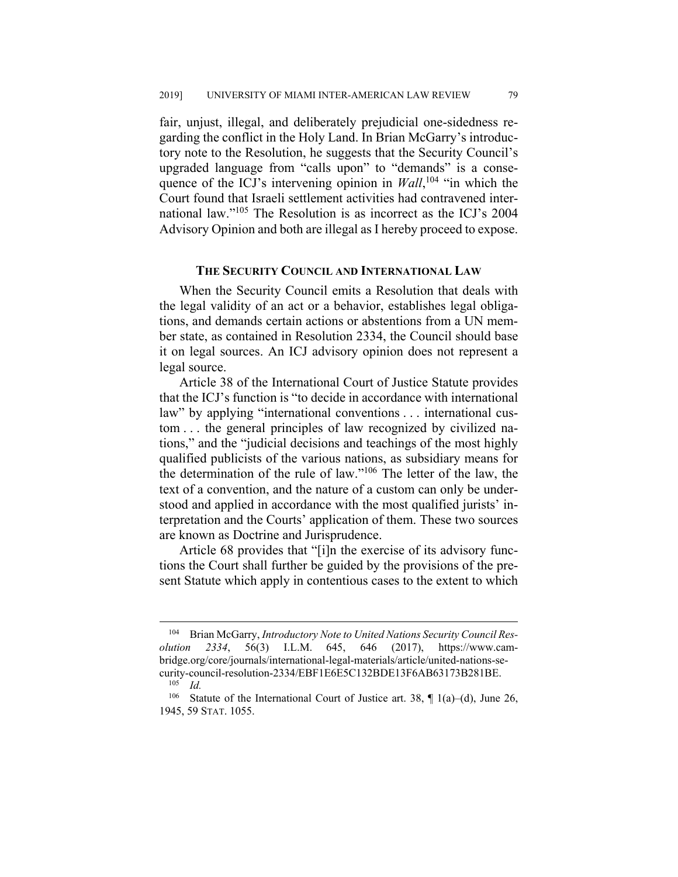fair, unjust, illegal, and deliberately prejudicial one-sidedness regarding the conflict in the Holy Land. In Brian McGarry's introductory note to the Resolution, he suggests that the Security Council's upgraded language from "calls upon" to "demands" is a consequence of the ICJ's intervening opinion in *Wall*,<sup>104</sup> "in which the Court found that Israeli settlement activities had contravened international law."105 The Resolution is as incorrect as the ICJ's 2004 Advisory Opinion and both are illegal as I hereby proceed to expose.

#### **THE SECURITY COUNCIL AND INTERNATIONAL LAW**

When the Security Council emits a Resolution that deals with the legal validity of an act or a behavior, establishes legal obligations, and demands certain actions or abstentions from a UN member state, as contained in Resolution 2334, the Council should base it on legal sources. An ICJ advisory opinion does not represent a legal source.

Article 38 of the International Court of Justice Statute provides that the ICJ's function is "to decide in accordance with international law" by applying "international conventions . . . international custom . . . the general principles of law recognized by civilized nations," and the "judicial decisions and teachings of the most highly qualified publicists of the various nations, as subsidiary means for the determination of the rule of law."106 The letter of the law, the text of a convention, and the nature of a custom can only be understood and applied in accordance with the most qualified jurists' interpretation and the Courts' application of them. These two sources are known as Doctrine and Jurisprudence.

Article 68 provides that "[i]n the exercise of its advisory functions the Court shall further be guided by the provisions of the present Statute which apply in contentious cases to the extent to which

<sup>&</sup>lt;sup>104</sup> Brian McGarry, *Introductory Note to United Nations Security Council Resolution 2334*, 56(3) I.L.M. 645, 646 (2017), https://www.cambridge.org/core/journals/international-legal-materials/article/united-nations-security-council-resolution-2334/EBF1E6E5C132BDE13F6AB63173B281BE. 105 *Id.*

<sup>&</sup>lt;sup>106</sup> Statute of the International Court of Justice art. 38,  $\P$  1(a)–(d), June 26, 1945, 59 STAT. 1055.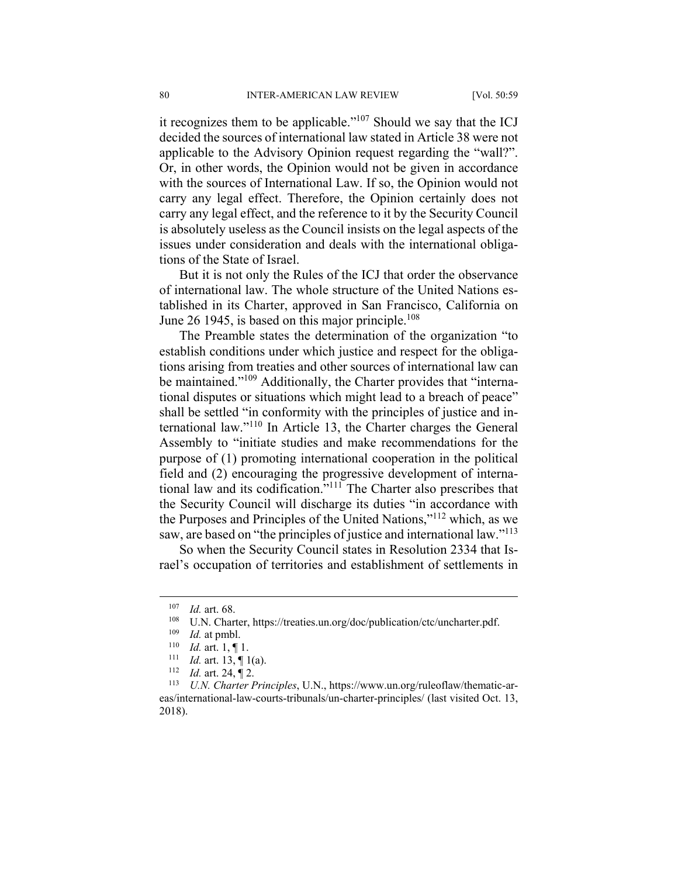it recognizes them to be applicable." $107$  Should we say that the ICJ decided the sources of international law stated in Article 38 were not applicable to the Advisory Opinion request regarding the "wall?". Or, in other words, the Opinion would not be given in accordance with the sources of International Law. If so, the Opinion would not carry any legal effect. Therefore, the Opinion certainly does not carry any legal effect, and the reference to it by the Security Council is absolutely useless as the Council insists on the legal aspects of the issues under consideration and deals with the international obligations of the State of Israel.

But it is not only the Rules of the ICJ that order the observance of international law. The whole structure of the United Nations established in its Charter, approved in San Francisco, California on June 26 1945, is based on this major principle.<sup>108</sup>

The Preamble states the determination of the organization "to establish conditions under which justice and respect for the obligations arising from treaties and other sources of international law can be maintained."<sup>109</sup> Additionally, the Charter provides that "international disputes or situations which might lead to a breach of peace" shall be settled "in conformity with the principles of justice and international law."110 In Article 13, the Charter charges the General Assembly to "initiate studies and make recommendations for the purpose of (1) promoting international cooperation in the political field and (2) encouraging the progressive development of international law and its codification."111 The Charter also prescribes that the Security Council will discharge its duties "in accordance with the Purposes and Principles of the United Nations,"112 which, as we saw, are based on "the principles of justice and international law."<sup>113</sup>

So when the Security Council states in Resolution 2334 that Israel's occupation of territories and establishment of settlements in

<sup>&</sup>lt;sup>107</sup> *Id.* art. 68.

<sup>&</sup>lt;sup>108</sup> U.N. Charter, https://treaties.un.org/doc/publication/ctc/uncharter.pdf.<br><sup>109</sup> Id. at ambl

 $\frac{109}{110}$  *Id.* at pmbl.

<sup>110</sup> *Id.* art. 1, \[ 1.<br><sup>111</sup> *Id.* art. 13, \[ 1(a).<br><sup>112</sup> *Id.* art. 24, \[ 2.

<sup>113</sup> *U.N. Charter Principles*, U.N., https://www.un.org/ruleoflaw/thematic-areas/international-law-courts-tribunals/un-charter-principles/ (last visited Oct. 13, 2018).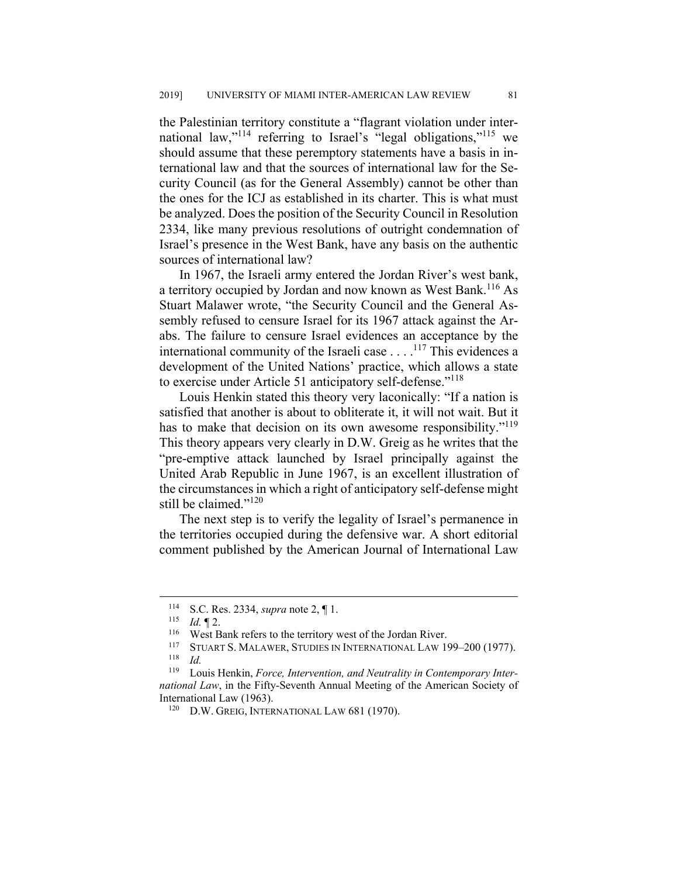the Palestinian territory constitute a "flagrant violation under international law,"<sup>114</sup> referring to Israel's "legal obligations,"<sup>115</sup> we should assume that these peremptory statements have a basis in international law and that the sources of international law for the Security Council (as for the General Assembly) cannot be other than the ones for the ICJ as established in its charter. This is what must be analyzed. Does the position of the Security Council in Resolution 2334, like many previous resolutions of outright condemnation of Israel's presence in the West Bank, have any basis on the authentic sources of international law?

In 1967, the Israeli army entered the Jordan River's west bank, a territory occupied by Jordan and now known as West Bank.<sup>116</sup> As Stuart Malawer wrote, "the Security Council and the General Assembly refused to censure Israel for its 1967 attack against the Arabs. The failure to censure Israel evidences an acceptance by the international community of the Israeli case . . . .117 This evidences a development of the United Nations' practice, which allows a state to exercise under Article 51 anticipatory self-defense."118

Louis Henkin stated this theory very laconically: "If a nation is satisfied that another is about to obliterate it, it will not wait. But it has to make that decision on its own awesome responsibility."<sup>119</sup> This theory appears very clearly in D.W. Greig as he writes that the "pre-emptive attack launched by Israel principally against the United Arab Republic in June 1967, is an excellent illustration of the circumstances in which a right of anticipatory self-defense might still be claimed."<sup>120</sup>

The next step is to verify the legality of Israel's permanence in the territories occupied during the defensive war. A short editorial comment published by the American Journal of International Law

<sup>114</sup> S.C. Res. 2334, *supra* note 2, 1.<br>115 *M* **T** 2

 $\frac{115}{116}$  *Id.* 12.

<sup>&</sup>lt;sup>116</sup> West Bank refers to the territory west of the Jordan River.

<sup>&</sup>lt;sup>117</sup> STUART S. MALAWER, STUDIES IN INTERNATIONAL LAW 199-200 (1977). <sup>118</sup> *Id.*

<sup>119</sup> Louis Henkin, *Force, Intervention, and Neutrality in Contemporary International Law*, in the Fifty-Seventh Annual Meeting of the American Society of International Law (1963).

<sup>120</sup> D.W. GREIG, INTERNATIONAL LAW 681 (1970).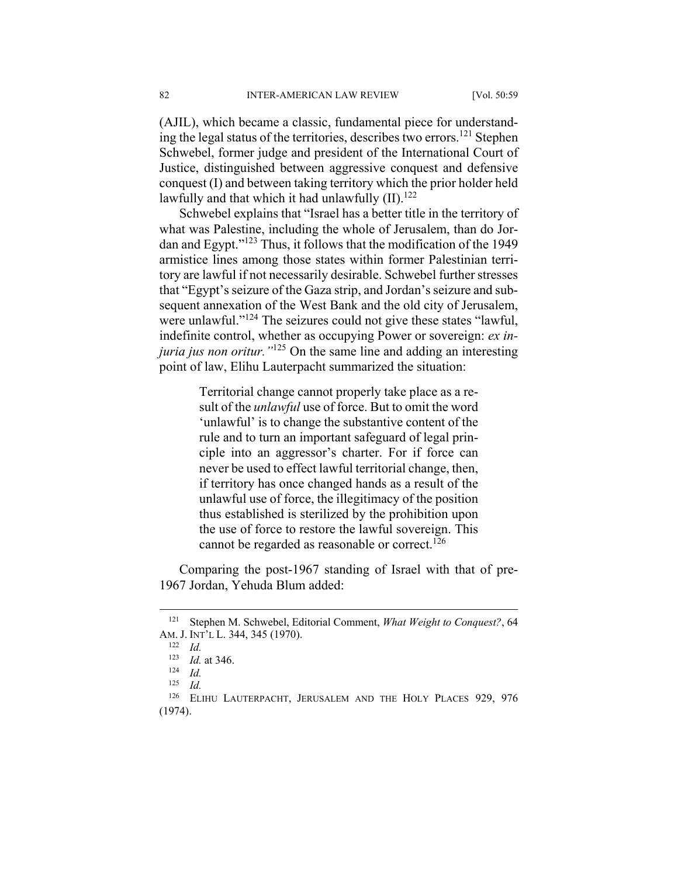(AJIL), which became a classic, fundamental piece for understanding the legal status of the territories, describes two errors.<sup>121</sup> Stephen Schwebel, former judge and president of the International Court of Justice, distinguished between aggressive conquest and defensive conquest (I) and between taking territory which the prior holder held lawfully and that which it had unlawfully  $(II).<sup>122</sup>$ 

Schwebel explains that "Israel has a better title in the territory of what was Palestine, including the whole of Jerusalem, than do Jordan and Egypt."123 Thus, it follows that the modification of the 1949 armistice lines among those states within former Palestinian territory are lawful if not necessarily desirable. Schwebel further stresses that "Egypt's seizure of the Gaza strip, and Jordan's seizure and subsequent annexation of the West Bank and the old city of Jerusalem, were unlawful."<sup>124</sup> The seizures could not give these states "lawful, indefinite control, whether as occupying Power or sovereign: *ex injuria jus non oritur."*125 On the same line and adding an interesting point of law, Elihu Lauterpacht summarized the situation:

> Territorial change cannot properly take place as a result of the *unlawful* use of force. But to omit the word 'unlawful' is to change the substantive content of the rule and to turn an important safeguard of legal principle into an aggressor's charter. For if force can never be used to effect lawful territorial change, then, if territory has once changed hands as a result of the unlawful use of force, the illegitimacy of the position thus established is sterilized by the prohibition upon the use of force to restore the lawful sovereign. This cannot be regarded as reasonable or correct.<sup>126</sup>

Comparing the post-1967 standing of Israel with that of pre-1967 Jordan, Yehuda Blum added:

 <sup>121</sup> Stephen M. Schwebel, Editorial Comment, *What Weight to Conquest?*, 64 AM. J. INT'L L. 344, 345 (1970). 122 *Id.*

<sup>123</sup> *Id.* at 346. 124 *Id.* 

*Id.* 

<sup>&</sup>lt;sup>126</sup> ELIHU LAUTERPACHT, JERUSALEM AND THE HOLY PLACES 929, 976 (1974).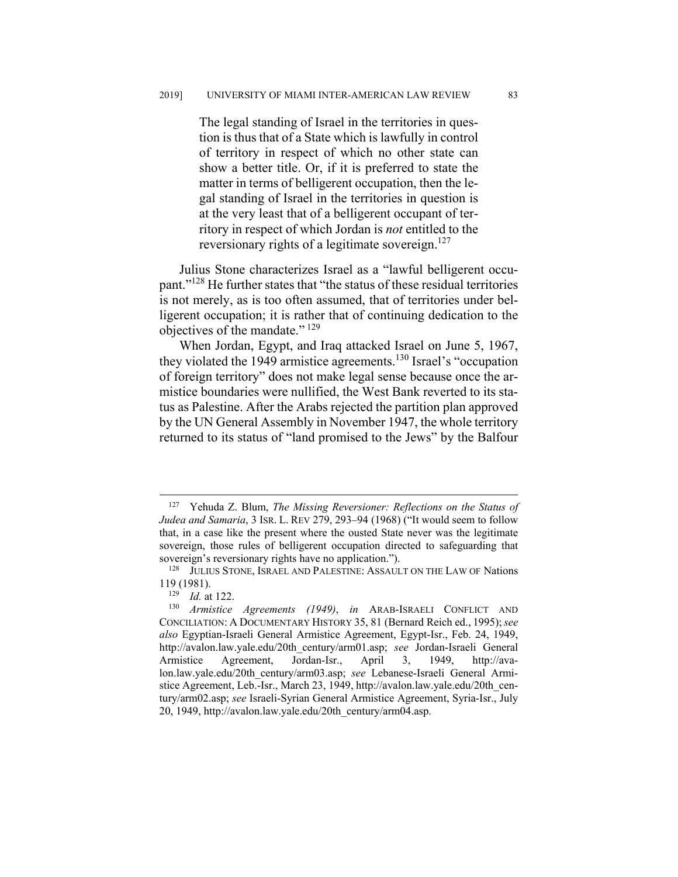The legal standing of Israel in the territories in question is thus that of a State which is lawfully in control of territory in respect of which no other state can show a better title. Or, if it is preferred to state the matter in terms of belligerent occupation, then the legal standing of Israel in the territories in question is at the very least that of a belligerent occupant of territory in respect of which Jordan is *not* entitled to the reversionary rights of a legitimate sovereign.<sup>127</sup>

Julius Stone characterizes Israel as a "lawful belligerent occupant."128 He further states that "the status of these residual territories is not merely, as is too often assumed, that of territories under belligerent occupation; it is rather that of continuing dedication to the objectives of the mandate."<sup>129</sup>

When Jordan, Egypt, and Iraq attacked Israel on June 5, 1967, they violated the 1949 armistice agreements.<sup>130</sup> Israel's "occupation of foreign territory" does not make legal sense because once the armistice boundaries were nullified, the West Bank reverted to its status as Palestine. After the Arabs rejected the partition plan approved by the UN General Assembly in November 1947, the whole territory returned to its status of "land promised to the Jews" by the Balfour

 <sup>127</sup> Yehuda Z. Blum, *The Missing Reversioner: Reflections on the Status of Judea and Samaria*, 3 ISR. L. REV 279, 293–94 (1968) ("It would seem to follow that, in a case like the present where the ousted State never was the legitimate sovereign, those rules of belligerent occupation directed to safeguarding that sovereign's reversionary rights have no application.").

<sup>&</sup>lt;sup>128</sup> JULIUS STONE, ISRAEL AND PALESTINE: ASSAULT ON THE LAW OF Nations  $119(1981)$ .<br> $129\qquadtd$  at

<sup>129</sup> *Id.* at 122.

<sup>130</sup> *Armistice Agreements (1949)*, *in* ARAB-ISRAELI CONFLICT AND CONCILIATION: A DOCUMENTARY HISTORY 35, 81 (Bernard Reich ed., 1995);*see also* Egyptian-Israeli General Armistice Agreement, Egypt-Isr., Feb. 24, 1949, http://avalon.law.yale.edu/20th\_century/arm01.asp; *see* Jordan-Israeli General Armistice Agreement, Jordan-Isr., April 3, 1949, http://avalon.law.yale.edu/20th\_century/arm03.asp; *see* Lebanese-Israeli General Armistice Agreement, Leb.-Isr., March 23, 1949, http://avalon.law.yale.edu/20th\_century/arm02.asp; *see* Israeli-Syrian General Armistice Agreement, Syria-Isr., July 20, 1949, http://avalon.law.yale.edu/20th\_century/arm04.asp.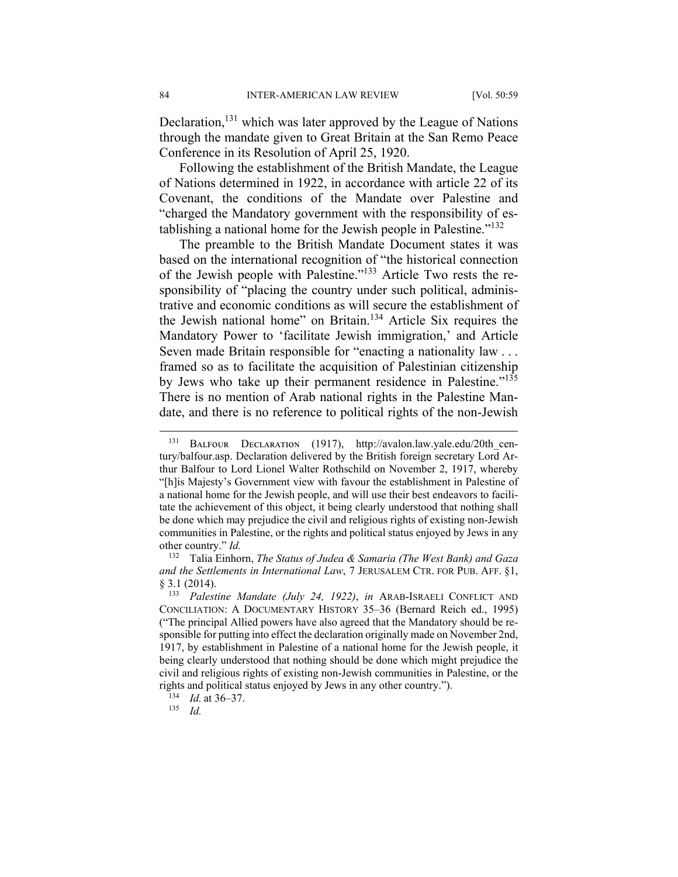Declaration,<sup>131</sup> which was later approved by the League of Nations through the mandate given to Great Britain at the San Remo Peace Conference in its Resolution of April 25, 1920.

Following the establishment of the British Mandate, the League of Nations determined in 1922, in accordance with article 22 of its Covenant, the conditions of the Mandate over Palestine and "charged the Mandatory government with the responsibility of establishing a national home for the Jewish people in Palestine." $132$ 

The preamble to the British Mandate Document states it was based on the international recognition of "the historical connection of the Jewish people with Palestine."133 Article Two rests the responsibility of "placing the country under such political, administrative and economic conditions as will secure the establishment of the Jewish national home" on Britain.134 Article Six requires the Mandatory Power to 'facilitate Jewish immigration,' and Article Seven made Britain responsible for "enacting a nationality law . . . framed so as to facilitate the acquisition of Palestinian citizenship by Jews who take up their permanent residence in Palestine."<sup>135</sup> There is no mention of Arab national rights in the Palestine Mandate, and there is no reference to political rights of the non-Jewish

<sup>&</sup>lt;sup>131</sup> BALFOUR DECLARATION (1917), http://avalon.law.yale.edu/20th century/balfour.asp. Declaration delivered by the British foreign secretary Lord Arthur Balfour to Lord Lionel Walter Rothschild on November 2, 1917, whereby "[h]is Majesty's Government view with favour the establishment in Palestine of a national home for the Jewish people, and will use their best endeavors to facilitate the achievement of this object, it being clearly understood that nothing shall be done which may prejudice the civil and religious rights of existing non-Jewish communities in Palestine, or the rights and political status enjoyed by Jews in any other country." *Id.*

<sup>132</sup> Talia Einhorn, *The Status of Judea & Samaria (The West Bank) and Gaza and the Settlements in International Law*, 7 JERUSALEM CTR. FOR PUB. AFF. §1, § 3.1 (2014).

<sup>133</sup> *Palestine Mandate (July 24, 1922)*, *in* ARAB-ISRAELI CONFLICT AND CONCILIATION: A DOCUMENTARY HISTORY 35-36 (Bernard Reich ed., 1995) ("The principal Allied powers have also agreed that the Mandatory should be responsible for putting into effect the declaration originally made on November 2nd, 1917, by establishment in Palestine of a national home for the Jewish people, it being clearly understood that nothing should be done which might prejudice the civil and religious rights of existing non-Jewish communities in Palestine, or the rights and political status enjoyed by Jews in any other country.").

 $134$  *Id.* at 36–37.

<sup>135</sup> *Id.*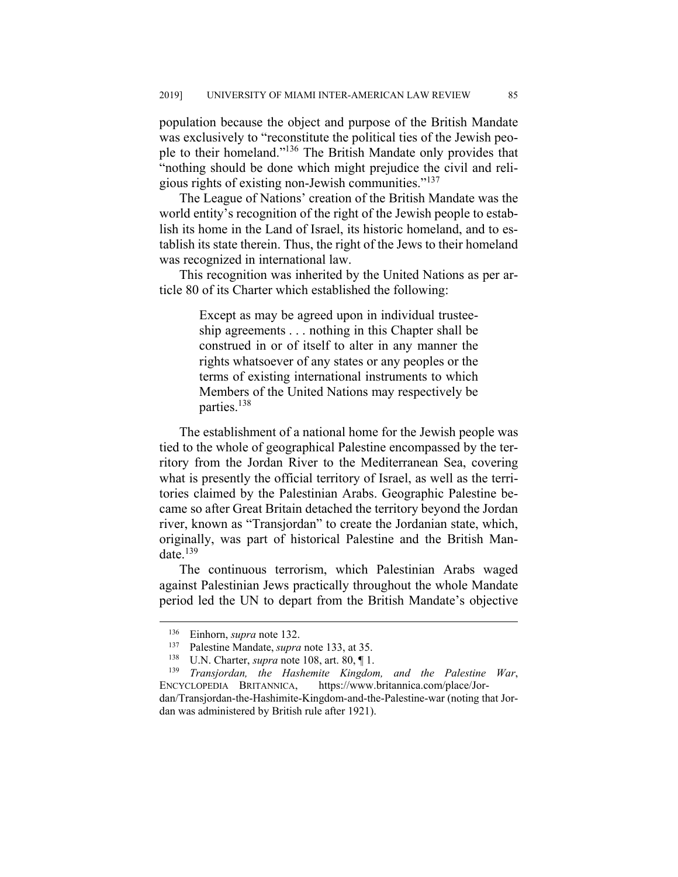population because the object and purpose of the British Mandate was exclusively to "reconstitute the political ties of the Jewish people to their homeland."136 The British Mandate only provides that "nothing should be done which might prejudice the civil and religious rights of existing non-Jewish communities."137

The League of Nations' creation of the British Mandate was the world entity's recognition of the right of the Jewish people to establish its home in the Land of Israel, its historic homeland, and to establish its state therein. Thus, the right of the Jews to their homeland was recognized in international law.

This recognition was inherited by the United Nations as per article 80 of its Charter which established the following:

> Except as may be agreed upon in individual trusteeship agreements . . . nothing in this Chapter shall be construed in or of itself to alter in any manner the rights whatsoever of any states or any peoples or the terms of existing international instruments to which Members of the United Nations may respectively be parties.138

The establishment of a national home for the Jewish people was tied to the whole of geographical Palestine encompassed by the territory from the Jordan River to the Mediterranean Sea, covering what is presently the official territory of Israel, as well as the territories claimed by the Palestinian Arabs. Geographic Palestine became so after Great Britain detached the territory beyond the Jordan river, known as "Transjordan" to create the Jordanian state, which, originally, was part of historical Palestine and the British Mandate. $139$ 

The continuous terrorism, which Palestinian Arabs waged against Palestinian Jews practically throughout the whole Mandate period led the UN to depart from the British Mandate's objective

dan/Transjordan-the-Hashimite-Kingdom-and-the-Palestine-war (noting that Jordan was administered by British rule after 1921).

<sup>&</sup>lt;sup>136</sup> Einhorn, *supra* note 132.

<sup>137</sup> Palestine Mandate, *supra* note 133, at 35.

<sup>138</sup> U.N. Charter, *supra* note 108, art. 80, ¶ 1.

<sup>139</sup> *Transjordan, the Hashemite Kingdom, and the Palestine War*, ENCYCLOPEDIA BRITANNICA, https://www.britannica.com/place/Jor-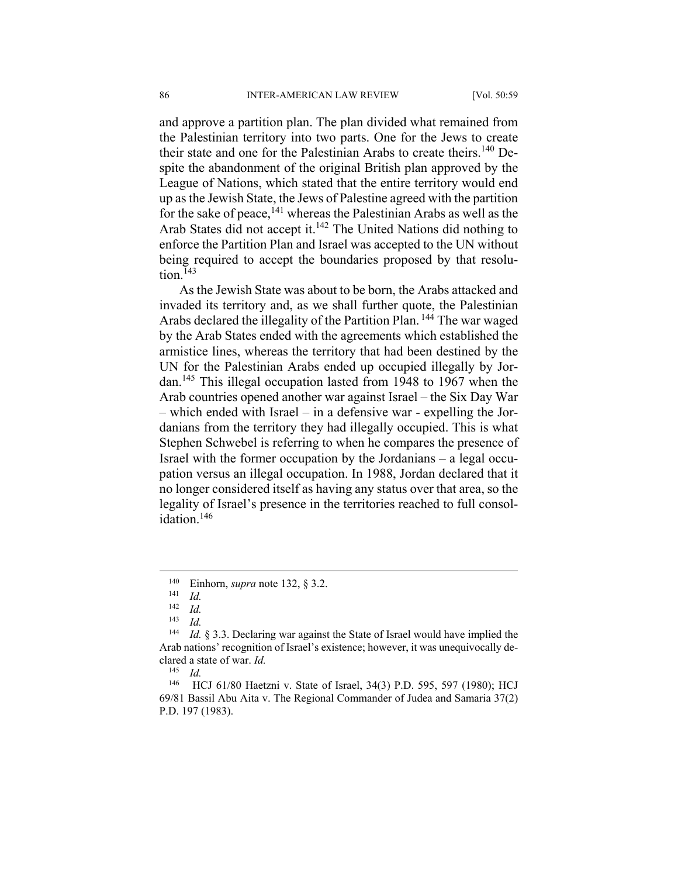and approve a partition plan. The plan divided what remained from the Palestinian territory into two parts. One for the Jews to create their state and one for the Palestinian Arabs to create theirs.<sup>140</sup> Despite the abandonment of the original British plan approved by the League of Nations, which stated that the entire territory would end up as the Jewish State, the Jews of Palestine agreed with the partition for the sake of peace,  $141$  whereas the Palestinian Arabs as well as the Arab States did not accept it.<sup>142</sup> The United Nations did nothing to enforce the Partition Plan and Israel was accepted to the UN without being required to accept the boundaries proposed by that resolution. $143$ 

As the Jewish State was about to be born, the Arabs attacked and invaded its territory and, as we shall further quote, the Palestinian Arabs declared the illegality of the Partition Plan. <sup>144</sup> The war waged by the Arab States ended with the agreements which established the armistice lines, whereas the territory that had been destined by the UN for the Palestinian Arabs ended up occupied illegally by Jordan.145 This illegal occupation lasted from 1948 to 1967 when the Arab countries opened another war against Israel – the Six Day War – which ended with Israel – in a defensive war - expelling the Jordanians from the territory they had illegally occupied. This is what Stephen Schwebel is referring to when he compares the presence of Israel with the former occupation by the Jordanians – a legal occupation versus an illegal occupation. In 1988, Jordan declared that it no longer considered itself as having any status over that area, so the legality of Israel's presence in the territories reached to full consolidation.<sup>146</sup>

 <sup>140</sup> Einhorn, *supra* note 132, § 3.2. 141 *Id.* 

 $\begin{array}{cc} 142 & Id. \\ 143 & Id. \end{array}$ 

<sup>143</sup> *Id.*

<sup>144</sup> *Id.* § 3.3. Declaring war against the State of Israel would have implied the Arab nations' recognition of Israel's existence; however, it was unequivocally declared a state of war. *Id.*

 $\frac{145}{146}$  *Id.* 

HCJ 61/80 Haetzni v. State of Israel, 34(3) P.D. 595, 597 (1980); HCJ 69/81 Bassil Abu Aita v. The Regional Commander of Judea and Samaria 37(2) P.D. 197 (1983).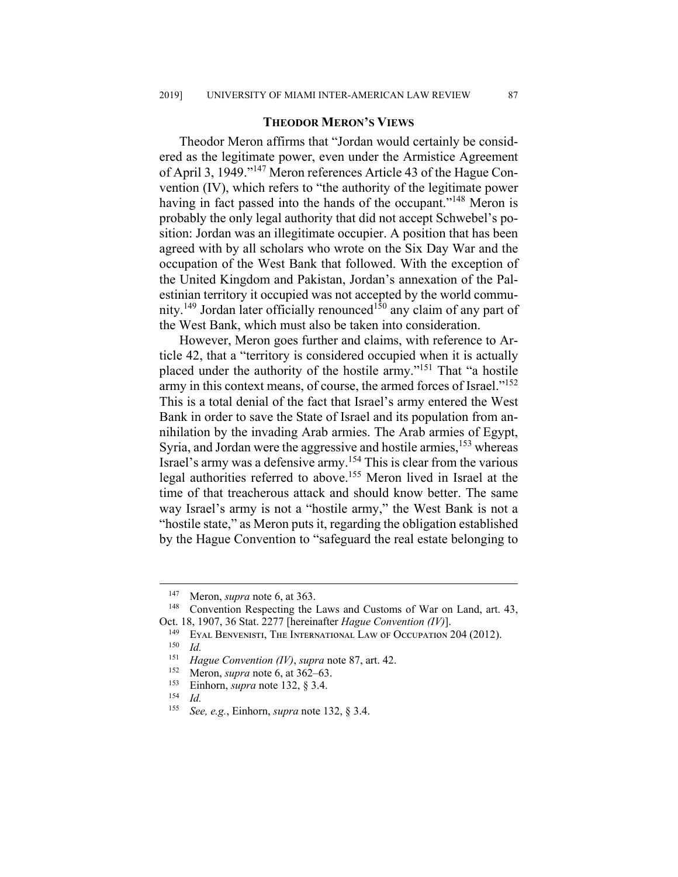#### **THEODOR MERON'S VIEWS**

Theodor Meron affirms that "Jordan would certainly be considered as the legitimate power, even under the Armistice Agreement of April 3, 1949."147 Meron references Article 43 of the Hague Convention (IV), which refers to "the authority of the legitimate power having in fact passed into the hands of the occupant."<sup>148</sup> Meron is probably the only legal authority that did not accept Schwebel's position: Jordan was an illegitimate occupier. A position that has been agreed with by all scholars who wrote on the Six Day War and the occupation of the West Bank that followed. With the exception of the United Kingdom and Pakistan, Jordan's annexation of the Palestinian territory it occupied was not accepted by the world community.<sup>149</sup> Jordan later officially renounced<sup>150</sup> any claim of any part of the West Bank, which must also be taken into consideration.

However, Meron goes further and claims, with reference to Article 42, that a "territory is considered occupied when it is actually placed under the authority of the hostile army."151 That "a hostile army in this context means, of course, the armed forces of Israel."152 This is a total denial of the fact that Israel's army entered the West Bank in order to save the State of Israel and its population from annihilation by the invading Arab armies. The Arab armies of Egypt, Syria, and Jordan were the aggressive and hostile armies,  $153$  whereas Israel's army was a defensive army.154 This is clear from the various legal authorities referred to above.155 Meron lived in Israel at the time of that treacherous attack and should know better. The same way Israel's army is not a "hostile army," the West Bank is not a "hostile state," as Meron puts it, regarding the obligation established by the Hague Convention to "safeguard the real estate belonging to

<sup>&</sup>lt;sup>147</sup> Meron, *supra* note 6, at 363.

Convention Respecting the Laws and Customs of War on Land, art. 43, Oct. 18, 1907, 36 Stat. 2277 [hereinafter *Hague Convention (IV)*].

<sup>&</sup>lt;sup>149</sup> EYAL BENVENISTI, THE INTERNATIONAL LAW OF OCCUPATION  $204$  (2012).

 $\frac{150}{151}$  *Id.* 

*Hague Convention (IV)*, *supra* note 87, art. 42.

<sup>&</sup>lt;sup>152</sup> Meron, *supra* note 6, at  $362-63$ .<br><sup>153</sup> Finhorn *supra* note 132 8 3 4

<sup>&</sup>lt;sup>153</sup> Einhorn, *supra* note 132, § 3.4.

<sup>154</sup> *Id.*

<sup>155</sup> *See, e.g.*, Einhorn, *supra* note 132, § 3.4.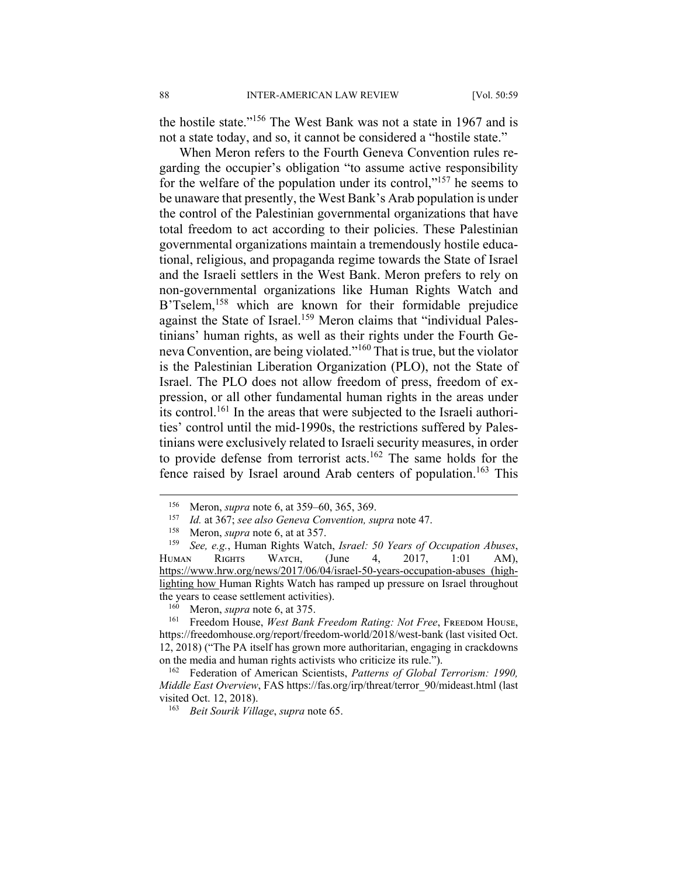the hostile state."156 The West Bank was not a state in 1967 and is not a state today, and so, it cannot be considered a "hostile state."

When Meron refers to the Fourth Geneva Convention rules regarding the occupier's obligation "to assume active responsibility for the welfare of the population under its control," $157$  he seems to be unaware that presently, the West Bank's Arab population is under the control of the Palestinian governmental organizations that have total freedom to act according to their policies. These Palestinian governmental organizations maintain a tremendously hostile educational, religious, and propaganda regime towards the State of Israel and the Israeli settlers in the West Bank. Meron prefers to rely on non-governmental organizations like Human Rights Watch and B'Tselem,<sup>158</sup> which are known for their formidable prejudice against the State of Israel.<sup>159</sup> Meron claims that "individual Palestinians' human rights, as well as their rights under the Fourth Geneva Convention, are being violated."160 That is true, but the violator is the Palestinian Liberation Organization (PLO), not the State of Israel. The PLO does not allow freedom of press, freedom of expression, or all other fundamental human rights in the areas under its control.161 In the areas that were subjected to the Israeli authorities' control until the mid-1990s, the restrictions suffered by Palestinians were exclusively related to Israeli security measures, in order to provide defense from terrorist acts.<sup>162</sup> The same holds for the fence raised by Israel around Arab centers of population.<sup>163</sup> This

<sup>156</sup> Meron, *supra* note 6, at 359–60, 365, 369.<br>157 Id at 367; see also Geneva Convention si

<sup>157</sup> *Id.* at 367; *see also Geneva Convention, supra* note 47.

Meron, *supra* note 6, at at 357.

<sup>159</sup> *See, e.g.*, Human Rights Watch, *Israel: 50 Years of Occupation Abuses*, HUMAN RIGHTS WATCH, (June 4, 2017, 1:01 AM), https://www.hrw.org/news/2017/06/04/israel-50-years-occupation-abuses (highlighting how Human Rights Watch has ramped up pressure on Israel throughout the years to cease settlement activities).

Meron, *supra* note 6, at 375.

<sup>&</sup>lt;sup>161</sup> Freedom House, West Bank Freedom Rating: Not Free, FREEDOM HOUSE, https://freedomhouse.org/report/freedom-world/2018/west-bank (last visited Oct. 12, 2018) ("The PA itself has grown more authoritarian, engaging in crackdowns on the media and human rights activists who criticize its rule.").

<sup>162</sup> Federation of American Scientists, *Patterns of Global Terrorism: 1990, Middle East Overview*, FAS https://fas.org/irp/threat/terror\_90/mideast.html (last visited Oct. 12, 2018).

<sup>163</sup> *Beit Sourik Village*, *supra* note 65.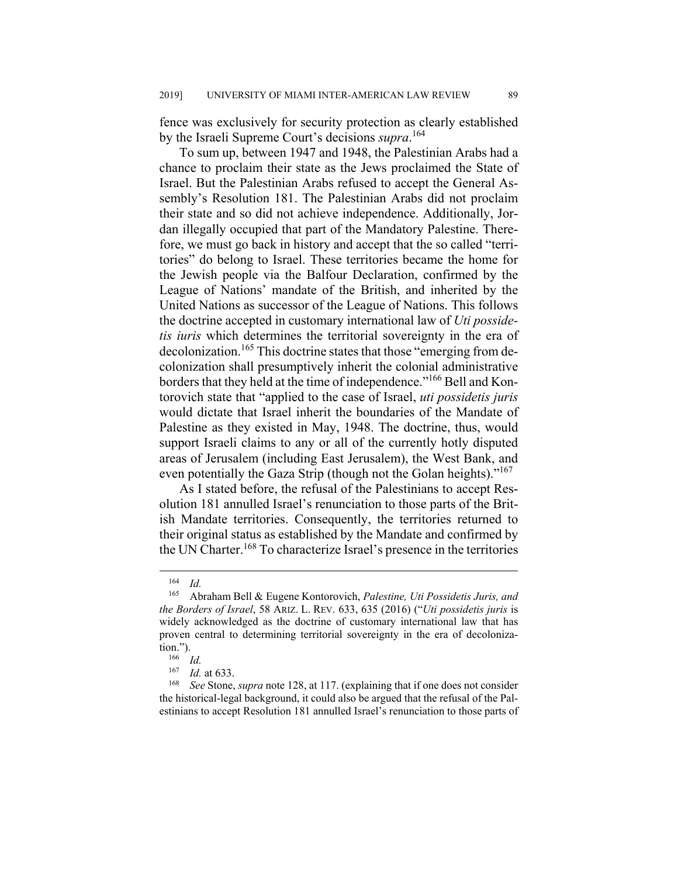fence was exclusively for security protection as clearly established by the Israeli Supreme Court's decisions *supra*. 164

To sum up, between 1947 and 1948, the Palestinian Arabs had a chance to proclaim their state as the Jews proclaimed the State of Israel. But the Palestinian Arabs refused to accept the General Assembly's Resolution 181. The Palestinian Arabs did not proclaim their state and so did not achieve independence. Additionally, Jordan illegally occupied that part of the Mandatory Palestine. Therefore, we must go back in history and accept that the so called "territories" do belong to Israel. These territories became the home for the Jewish people via the Balfour Declaration, confirmed by the League of Nations' mandate of the British, and inherited by the United Nations as successor of the League of Nations. This follows the doctrine accepted in customary international law of *Uti possidetis iuris* which determines the territorial sovereignty in the era of decolonization.<sup>165</sup> This doctrine states that those "emerging from decolonization shall presumptively inherit the colonial administrative borders that they held at the time of independence."<sup>166</sup> Bell and Kontorovich state that "applied to the case of Israel, *uti possidetis juris* would dictate that Israel inherit the boundaries of the Mandate of Palestine as they existed in May, 1948. The doctrine, thus, would support Israeli claims to any or all of the currently hotly disputed areas of Jerusalem (including East Jerusalem), the West Bank, and even potentially the Gaza Strip (though not the Golan heights)."<sup>167</sup>

As I stated before, the refusal of the Palestinians to accept Resolution 181 annulled Israel's renunciation to those parts of the British Mandate territories. Consequently, the territories returned to their original status as established by the Mandate and confirmed by the UN Charter.<sup>168</sup> To characterize Israel's presence in the territories

 <sup>164</sup> *Id.*

<sup>165</sup> Abraham Bell & Eugene Kontorovich, *Palestine, Uti Possidetis Juris, and the Borders of Israel*, 58 ARIZ. L. REV. 633, 635 (2016) ("*Uti possidetis juris* is widely acknowledged as the doctrine of customary international law that has proven central to determining territorial sovereignty in the era of decolonization.").

 $\frac{166}{167}$  *Id.* 

*Id.* at 633.

<sup>168</sup> *See* Stone, *supra* note 128, at 117. (explaining that if one does not consider the historical-legal background, it could also be argued that the refusal of the Palestinians to accept Resolution 181 annulled Israel's renunciation to those parts of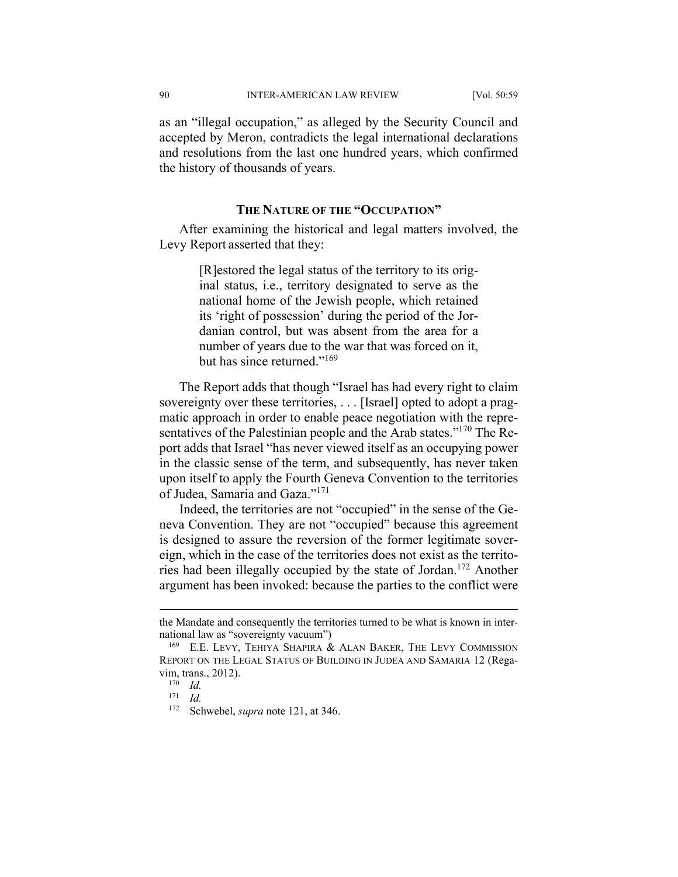90 INTER-AMERICAN LAW REVIEW [Vol. 50:59

as an "illegal occupation," as alleged by the Security Council and accepted by Meron, contradicts the legal international declarations and resolutions from the last one hundred years, which confirmed the history of thousands of years.

#### **THE NATURE OF THE "OCCUPATION"**

After examining the historical and legal matters involved, the Levy Report asserted that they:

> [R]estored the legal status of the territory to its original status, i.e., territory designated to serve as the national home of the Jewish people, which retained its 'right of possession' during the period of the Jordanian control, but was absent from the area for a number of years due to the war that was forced on it, but has since returned."<sup>169</sup>

The Report adds that though "Israel has had every right to claim sovereignty over these territories, . . . [Israel] opted to adopt a pragmatic approach in order to enable peace negotiation with the representatives of the Palestinian people and the Arab states."<sup>170</sup> The Report adds that Israel "has never viewed itself as an occupying power in the classic sense of the term, and subsequently, has never taken upon itself to apply the Fourth Geneva Convention to the territories of Judea, Samaria and Gaza."171

Indeed, the territories are not "occupied" in the sense of the Geneva Convention. They are not "occupied" because this agreement is designed to assure the reversion of the former legitimate sovereign, which in the case of the territories does not exist as the territories had been illegally occupied by the state of Jordan.172 Another argument has been invoked: because the parties to the conflict were

the Mandate and consequently the territories turned to be what is known in international law as "sovereignty vacuum")

<sup>169</sup> E.E. LEVY, TEHIYA SHAPIRA & ALAN BAKER, THE LEVY COMMISSION REPORT ON THE LEGAL STATUS OF BUILDING IN JUDEA AND SAMARIA 12 (Regavim, trans., 2012).

 $\frac{170}{171}$  *Id.* 

<sup>171</sup> *Id.*

<sup>172</sup> Schwebel, *supra* note 121, at 346.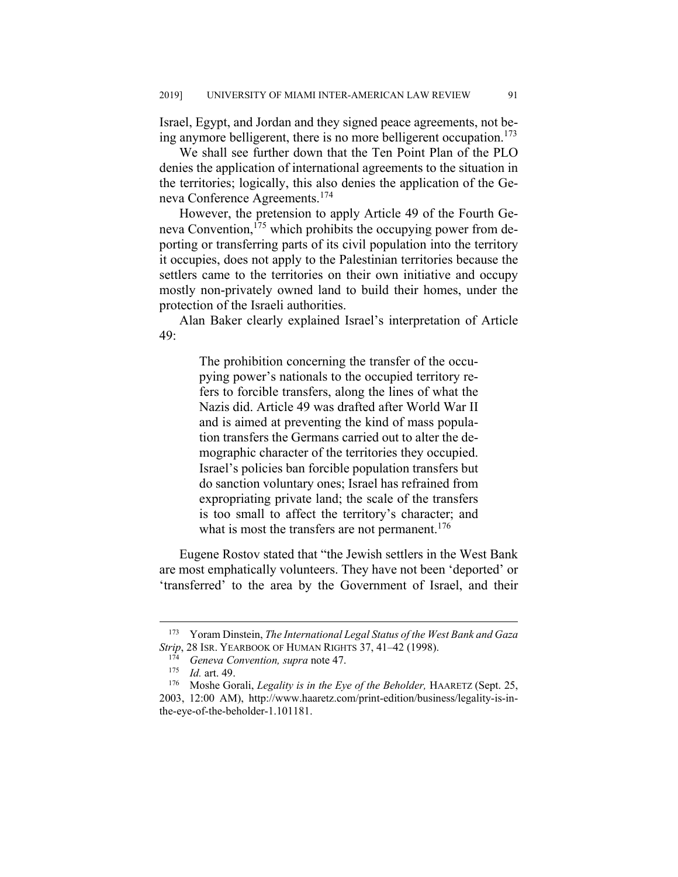Israel, Egypt, and Jordan and they signed peace agreements, not being anymore belligerent, there is no more belligerent occupation.<sup>173</sup>

We shall see further down that the Ten Point Plan of the PLO denies the application of international agreements to the situation in the territories; logically, this also denies the application of the Geneva Conference Agreements.<sup>174</sup>

However, the pretension to apply Article 49 of the Fourth Geneva Convention,<sup>175</sup> which prohibits the occupying power from deporting or transferring parts of its civil population into the territory it occupies, does not apply to the Palestinian territories because the settlers came to the territories on their own initiative and occupy mostly non-privately owned land to build their homes, under the protection of the Israeli authorities.

Alan Baker clearly explained Israel's interpretation of Article 49:

> The prohibition concerning the transfer of the occupying power's nationals to the occupied territory refers to forcible transfers, along the lines of what the Nazis did. Article 49 was drafted after World War II and is aimed at preventing the kind of mass population transfers the Germans carried out to alter the demographic character of the territories they occupied. Israel's policies ban forcible population transfers but do sanction voluntary ones; Israel has refrained from expropriating private land; the scale of the transfers is too small to affect the territory's character; and what is most the transfers are not permanent.<sup>176</sup>

Eugene Rostov stated that "the Jewish settlers in the West Bank are most emphatically volunteers. They have not been 'deported' or 'transferred' to the area by the Government of Israel, and their

 <sup>173</sup> Yoram Dinstein, *The International Legal Status of the West Bank and Gaza Strip*, 28 ISR. YEARBOOK OF HUMAN RIGHTS 37, 41–42 (1998).

<sup>174</sup> *Geneva Convention, supra* note 47.

<sup>175</sup> *Id.* art. 49.

<sup>176</sup> Moshe Gorali, *Legality is in the Eye of the Beholder,* HAARETZ (Sept. 25, 2003, 12:00 AM), http://www.haaretz.com/print-edition/business/legality-is-inthe-eye-of-the-beholder-1.101181.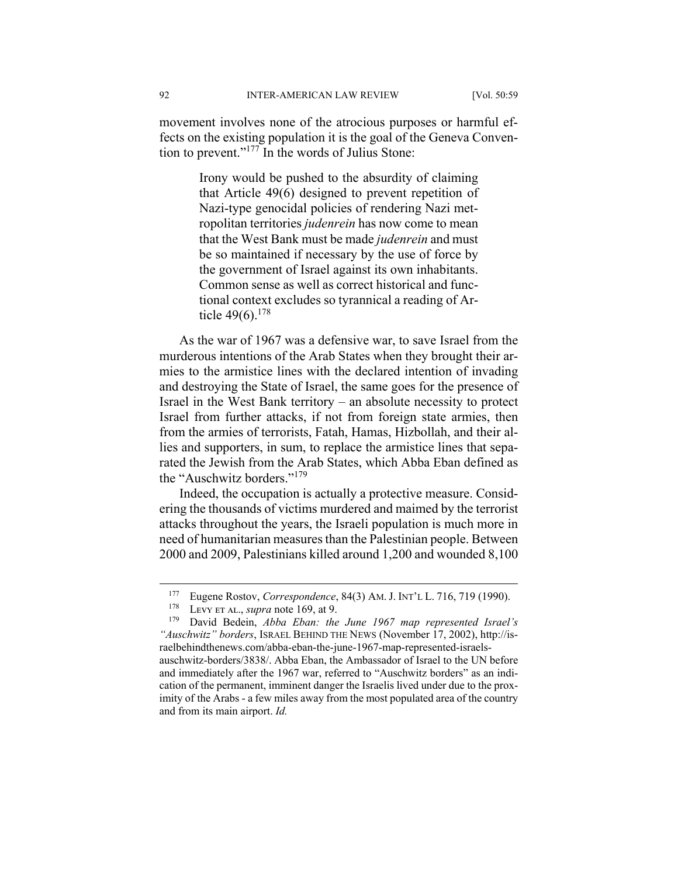movement involves none of the atrocious purposes or harmful effects on the existing population it is the goal of the Geneva Convention to prevent."177 In the words of Julius Stone:

> Irony would be pushed to the absurdity of claiming that Article 49(6) designed to prevent repetition of Nazi-type genocidal policies of rendering Nazi metropolitan territories *judenrein* has now come to mean that the West Bank must be made *judenrein* and must be so maintained if necessary by the use of force by the government of Israel against its own inhabitants. Common sense as well as correct historical and functional context excludes so tyrannical a reading of Article  $49(6)$ .<sup>178</sup>

As the war of 1967 was a defensive war, to save Israel from the murderous intentions of the Arab States when they brought their armies to the armistice lines with the declared intention of invading and destroying the State of Israel, the same goes for the presence of Israel in the West Bank territory – an absolute necessity to protect Israel from further attacks, if not from foreign state armies, then from the armies of terrorists, Fatah, Hamas, Hizbollah, and their allies and supporters, in sum, to replace the armistice lines that separated the Jewish from the Arab States, which Abba Eban defined as the "Auschwitz borders."<sup>179</sup>

Indeed, the occupation is actually a protective measure. Considering the thousands of victims murdered and maimed by the terrorist attacks throughout the years, the Israeli population is much more in need of humanitarian measures than the Palestinian people. Between 2000 and 2009, Palestinians killed around 1,200 and wounded 8,100

<sup>&</sup>lt;sup>177</sup> Eugene Rostov, *Correspondence*, 84(3) AM. J. INT'L L. 716, 719 (1990).

<sup>&</sup>lt;sup>178</sup> Levy et al., *supra* note 169, at 9.<br><sup>179</sup> David Bedein, *Abba Fhan: the* 

David Bedein, *Abba Eban: the June 1967 map represented Israel's "Auschwitz" borders*, ISRAEL BEHIND THE NEWS (November 17, 2002), http://israelbehindthenews.com/abba-eban-the-june-1967-map-represented-israelsauschwitz-borders/3838/. Abba Eban, the Ambassador of Israel to the UN before and immediately after the 1967 war, referred to "Auschwitz borders" as an indication of the permanent, imminent danger the Israelis lived under due to the proximity of the Arabs - a few miles away from the most populated area of the country and from its main airport. *Id.*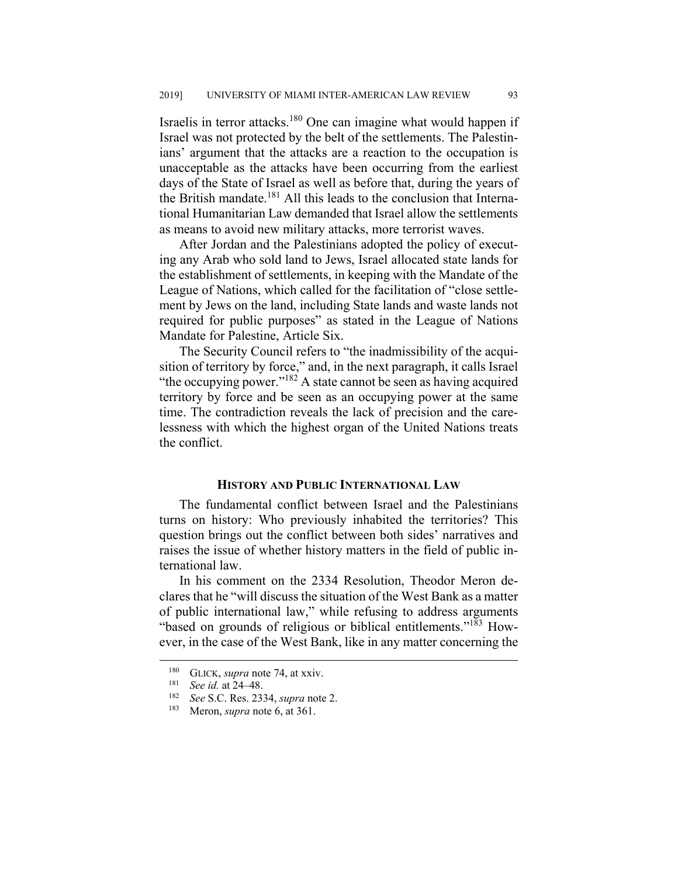Israelis in terror attacks.180 One can imagine what would happen if Israel was not protected by the belt of the settlements. The Palestinians' argument that the attacks are a reaction to the occupation is unacceptable as the attacks have been occurring from the earliest days of the State of Israel as well as before that, during the years of the British mandate.<sup>181</sup> All this leads to the conclusion that International Humanitarian Law demanded that Israel allow the settlements as means to avoid new military attacks, more terrorist waves.

After Jordan and the Palestinians adopted the policy of executing any Arab who sold land to Jews, Israel allocated state lands for the establishment of settlements, in keeping with the Mandate of the League of Nations, which called for the facilitation of "close settlement by Jews on the land, including State lands and waste lands not required for public purposes" as stated in the League of Nations Mandate for Palestine, Article Six.

The Security Council refers to "the inadmissibility of the acquisition of territory by force," and, in the next paragraph, it calls Israel "the occupying power." $182$  A state cannot be seen as having acquired territory by force and be seen as an occupying power at the same time. The contradiction reveals the lack of precision and the carelessness with which the highest organ of the United Nations treats the conflict.

#### **HISTORY AND PUBLIC INTERNATIONAL LAW**

The fundamental conflict between Israel and the Palestinians turns on history: Who previously inhabited the territories? This question brings out the conflict between both sides' narratives and raises the issue of whether history matters in the field of public international law.

In his comment on the 2334 Resolution, Theodor Meron declares that he "will discuss the situation of the West Bank as a matter of public international law," while refusing to address arguments "based on grounds of religious or biblical entitlements."<sup>183</sup> However, in the case of the West Bank, like in any matter concerning the

<sup>&</sup>lt;sup>180</sup> GLICK, *supra* note 74, at xxiv.<br><sup>181</sup> See id. at 24, 48

See id. at 24–48.

<sup>182</sup> *See* S.C. Res. 2334, *supra* note 2.

<sup>183</sup> Meron, *supra* note 6, at 361.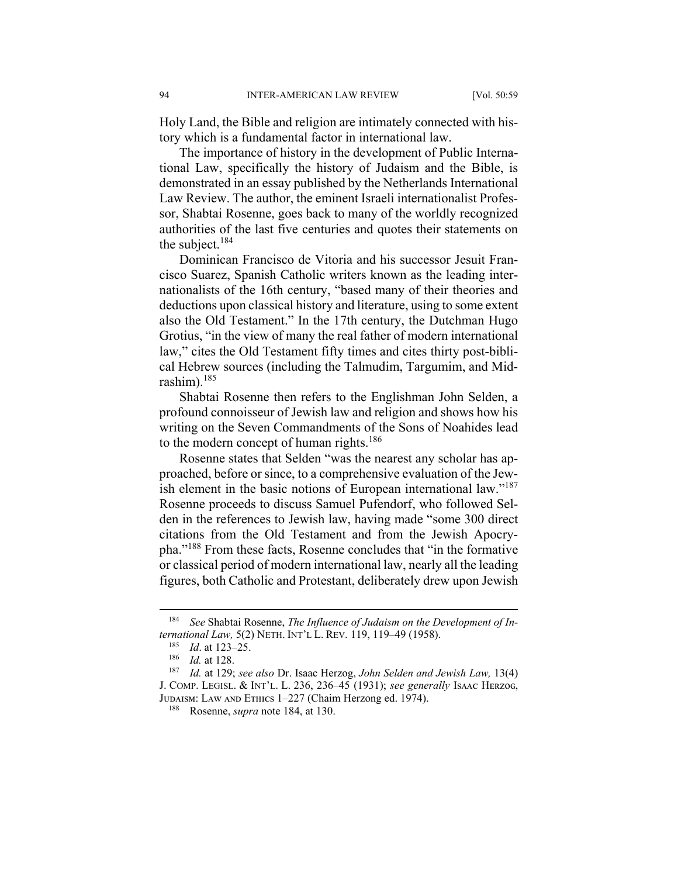Holy Land, the Bible and religion are intimately connected with history which is a fundamental factor in international law.

The importance of history in the development of Public International Law, specifically the history of Judaism and the Bible, is demonstrated in an essay published by the Netherlands International Law Review. The author, the eminent Israeli internationalist Professor, Shabtai Rosenne, goes back to many of the worldly recognized authorities of the last five centuries and quotes their statements on the subject.184

Dominican Francisco de Vitoria and his successor Jesuit Francisco Suarez, Spanish Catholic writers known as the leading internationalists of the 16th century, "based many of their theories and deductions upon classical history and literature, using to some extent also the Old Testament." In the 17th century, the Dutchman Hugo Grotius, "in the view of many the real father of modern international law," cites the Old Testament fifty times and cites thirty post-biblical Hebrew sources (including the Talmudim, Targumim, and Midrashim).185

Shabtai Rosenne then refers to the Englishman John Selden, a profound connoisseur of Jewish law and religion and shows how his writing on the Seven Commandments of the Sons of Noahides lead to the modern concept of human rights.<sup>186</sup>

Rosenne states that Selden "was the nearest any scholar has approached, before or since, to a comprehensive evaluation of the Jewish element in the basic notions of European international law."<sup>187</sup> Rosenne proceeds to discuss Samuel Pufendorf, who followed Selden in the references to Jewish law, having made "some 300 direct citations from the Old Testament and from the Jewish Apocrypha."188 From these facts, Rosenne concludes that "in the formative or classical period of modern international law, nearly all the leading figures, both Catholic and Protestant, deliberately drew upon Jewish

 <sup>184</sup> *See* Shabtai Rosenne, *The Influence of Judaism on the Development of International Law,* 5(2) NETH. INT'L L. REV. 119, 119‒49 (1958).

<sup>185</sup> *Id.* at 123–25.

<sup>186</sup> *Id.* at 128.

<sup>187</sup> *Id.* at 129; *see also* Dr. Isaac Herzog, *John Selden and Jewish Law,* 13(4) J. COMP. LEGISL. & INT'L. L. 236, 236–45 (1931); *see generally* Isaac HERZOG, JUDAISM: LAW AND ETHICS 1-227 (Chaim Herzong ed. 1974).

<sup>188</sup> Rosenne, *supra* note 184, at 130.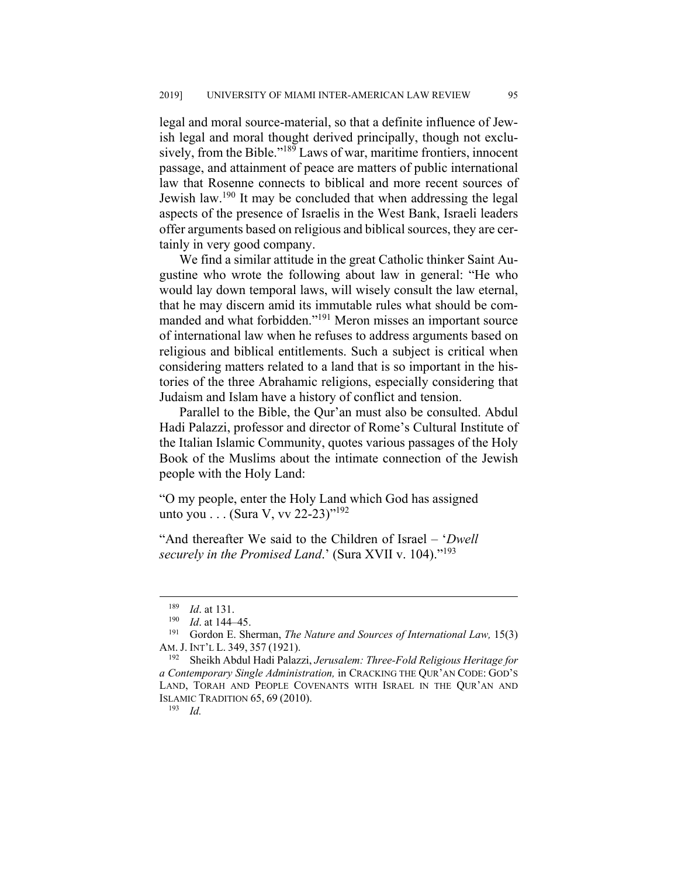legal and moral source-material, so that a definite influence of Jewish legal and moral thought derived principally, though not exclusively, from the Bible."<sup>189</sup> Laws of war, maritime frontiers, innocent passage, and attainment of peace are matters of public international law that Rosenne connects to biblical and more recent sources of Jewish law.<sup>190</sup> It may be concluded that when addressing the legal aspects of the presence of Israelis in the West Bank, Israeli leaders offer arguments based on religious and biblical sources, they are certainly in very good company.

We find a similar attitude in the great Catholic thinker Saint Augustine who wrote the following about law in general: "He who would lay down temporal laws, will wisely consult the law eternal, that he may discern amid its immutable rules what should be commanded and what forbidden."191 Meron misses an important source of international law when he refuses to address arguments based on religious and biblical entitlements. Such a subject is critical when considering matters related to a land that is so important in the histories of the three Abrahamic religions, especially considering that Judaism and Islam have a history of conflict and tension.

Parallel to the Bible, the Qur'an must also be consulted. Abdul Hadi Palazzi, professor and director of Rome's Cultural Institute of the Italian Islamic Community, quotes various passages of the Holy Book of the Muslims about the intimate connection of the Jewish people with the Holy Land:

"O my people, enter the Holy Land which God has assigned unto you . . . (Sura V, vv 22-23)"<sup>192</sup>

"And thereafter We said to the Children of Israel – '*Dwell securely in the Promised Land*.' (Sura XVII v. 104)."193

 $\frac{189}{190}$  *Id.* at 131.

 $\frac{190}{191}$  *Id.* at 144–45.

<sup>191</sup> Gordon E. Sherman, *The Nature and Sources of International Law,* 15(3) AM. J. INT'L L. 349, 357 (1921).

<sup>192</sup> Sheikh Abdul Hadi Palazzi, *Jerusalem: Three-Fold Religious Heritage for a Contemporary Single Administration,* in CRACKING THE QUR'AN CODE: GOD'S LAND, TORAH AND PEOPLE COVENANTS WITH ISRAEL IN THE QUR'AN AND ISLAMIC TRADITION 65, 69 (2010).

<sup>193</sup> *Id.*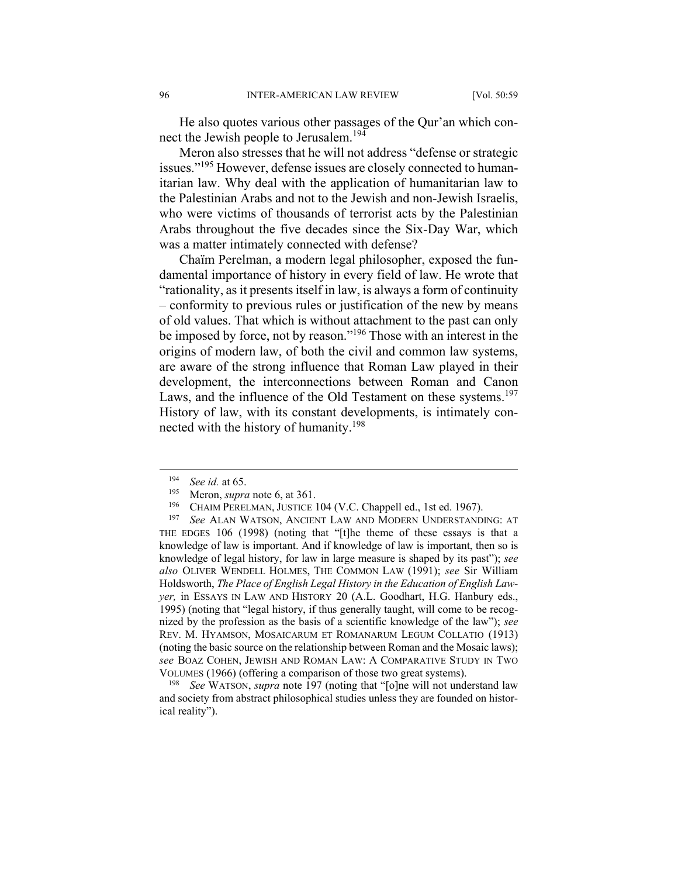He also quotes various other passages of the Qur'an which connect the Jewish people to Jerusalem.<sup>194</sup>

Meron also stresses that he will not address "defense or strategic issues."<sup>195</sup> However, defense issues are closely connected to humanitarian law. Why deal with the application of humanitarian law to the Palestinian Arabs and not to the Jewish and non-Jewish Israelis, who were victims of thousands of terrorist acts by the Palestinian Arabs throughout the five decades since the Six-Day War, which was a matter intimately connected with defense?

Chaïm Perelman, a modern legal philosopher, exposed the fundamental importance of history in every field of law. He wrote that "rationality, as it presents itself in law, is always a form of continuity – conformity to previous rules or justification of the new by means of old values. That which is without attachment to the past can only be imposed by force, not by reason."196 Those with an interest in the origins of modern law, of both the civil and common law systems, are aware of the strong influence that Roman Law played in their development, the interconnections between Roman and Canon Laws, and the influence of the Old Testament on these systems.<sup>197</sup> History of law, with its constant developments, is intimately connected with the history of humanity.<sup>198</sup>

See WATSON, *supra* note 197 (noting that "[o]ne will not understand law and society from abstract philosophical studies unless they are founded on historical reality").

 <sup>194</sup> *See id.* at 65.

<sup>&</sup>lt;sup>195</sup> Meron, *supra* note 6, at 361.<br><sup>196</sup> CHAIM PERELMAN, **ILISTICE** 

CHAIM PERELMAN, JUSTICE 104 (V.C. Chappell ed., 1st ed. 1967).

<sup>197</sup> *See* ALAN WATSON, ANCIENT LAW AND MODERN UNDERSTANDING: AT THE EDGES 106 (1998) (noting that "[t]he theme of these essays is that a knowledge of law is important. And if knowledge of law is important, then so is knowledge of legal history, for law in large measure is shaped by its past"); *see also* OLIVER WENDELL HOLMES, THE COMMON LAW (1991); *see* Sir William Holdsworth, *The Place of English Legal History in the Education of English Lawyer,* in ESSAYS IN LAW AND HISTORY 20 (A.L. Goodhart, H.G. Hanbury eds., 1995) (noting that "legal history, if thus generally taught, will come to be recognized by the profession as the basis of a scientific knowledge of the law"); *see* REV. M. HYAMSON, MOSAICARUM ET ROMANARUM LEGUM COLLATIO (1913) (noting the basic source on the relationship between Roman and the Mosaic laws); *see* BOAZ COHEN, JEWISH AND ROMAN LAW: A COMPARATIVE STUDY IN TWO VOLUMES (1966) (offering a comparison of those two great systems).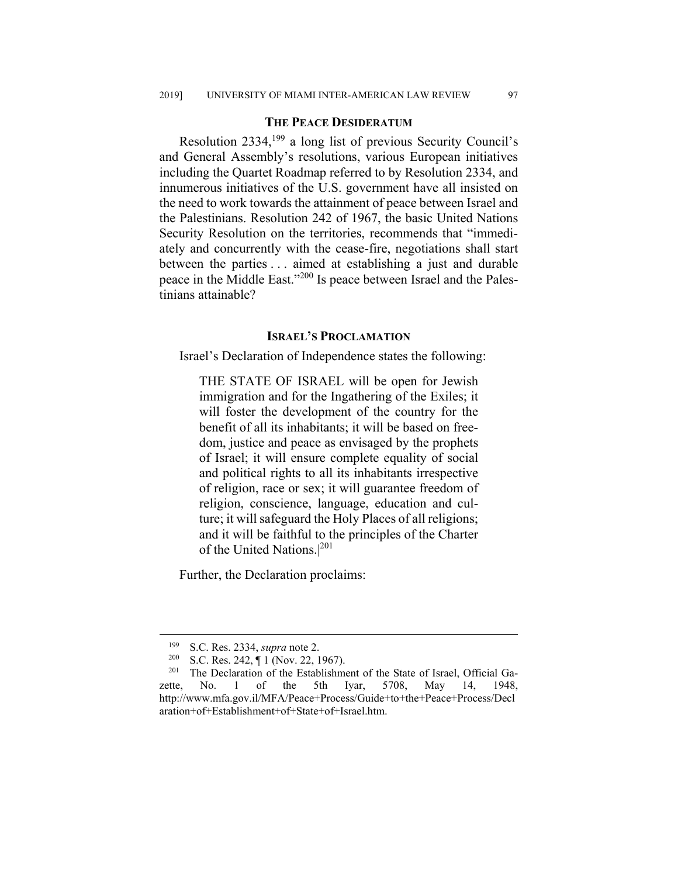#### **THE PEACE DESIDERATUM**

Resolution 2334,199 a long list of previous Security Council's and General Assembly's resolutions, various European initiatives including the Quartet Roadmap referred to by Resolution 2334, and innumerous initiatives of the U.S. government have all insisted on the need to work towards the attainment of peace between Israel and the Palestinians. Resolution 242 of 1967, the basic United Nations Security Resolution on the territories, recommends that "immediately and concurrently with the cease-fire, negotiations shall start between the parties . . . aimed at establishing a just and durable peace in the Middle East."200 Is peace between Israel and the Palestinians attainable?

#### **ISRAEL'S PROCLAMATION**

Israel's Declaration of Independence states the following:

THE STATE OF ISRAEL will be open for Jewish immigration and for the Ingathering of the Exiles; it will foster the development of the country for the benefit of all its inhabitants; it will be based on freedom, justice and peace as envisaged by the prophets of Israel; it will ensure complete equality of social and political rights to all its inhabitants irrespective of religion, race or sex; it will guarantee freedom of religion, conscience, language, education and culture; it will safeguard the Holy Places of all religions; and it will be faithful to the principles of the Charter of the United Nations.|<sup>201</sup>

Further, the Declaration proclaims:

<sup>&</sup>lt;sup>199</sup> S.C. Res. 2334, *supra* note 2.<br><sup>200</sup> S.C. Res. 242 ¶ 1 (Nov. 22. 1

 $\frac{200}{201}$  S.C. Res. 242,  $\P$  1 (Nov. 22, 1967).

The Declaration of the Establishment of the State of Israel, Official Gazette, No. 1 of the 5th Iyar, 5708, May 14, 1948, http://www.mfa.gov.il/MFA/Peace+Process/Guide+to+the+Peace+Process/Decl aration+of+Establishment+of+State+of+Israel.htm.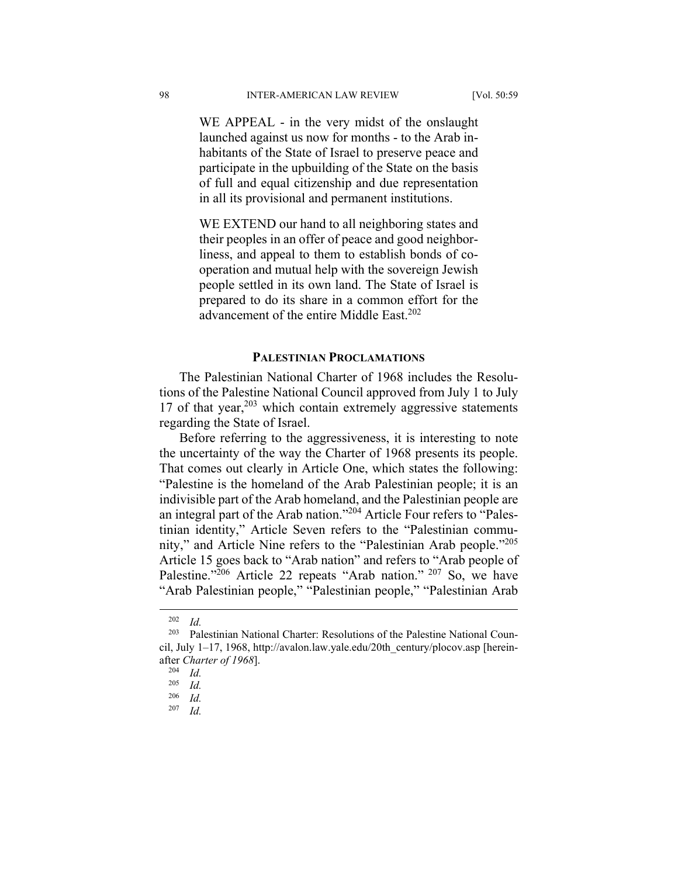WE APPEAL - in the very midst of the onslaught launched against us now for months - to the Arab inhabitants of the State of Israel to preserve peace and participate in the upbuilding of the State on the basis of full and equal citizenship and due representation in all its provisional and permanent institutions.

WE EXTEND our hand to all neighboring states and their peoples in an offer of peace and good neighborliness, and appeal to them to establish bonds of cooperation and mutual help with the sovereign Jewish people settled in its own land. The State of Israel is prepared to do its share in a common effort for the advancement of the entire Middle East.<sup>202</sup>

#### **PALESTINIAN PROCLAMATIONS**

The Palestinian National Charter of 1968 includes the Resolutions of the Palestine National Council approved from July 1 to July 17 of that year, $203$  which contain extremely aggressive statements regarding the State of Israel.

Before referring to the aggressiveness, it is interesting to note the uncertainty of the way the Charter of 1968 presents its people. That comes out clearly in Article One, which states the following: "Palestine is the homeland of the Arab Palestinian people; it is an indivisible part of the Arab homeland, and the Palestinian people are an integral part of the Arab nation."204 Article Four refers to "Palestinian identity," Article Seven refers to the "Palestinian community," and Article Nine refers to the "Palestinian Arab people."205 Article 15 goes back to "Arab nation" and refers to "Arab people of Palestine."<sup>206</sup> Article 22 repeats "Arab nation." <sup>207</sup> So, we have "Arab Palestinian people," "Palestinian people," "Palestinian Arab

 $202$  *Id.* 

<sup>203</sup> Palestinian National Charter: Resolutions of the Palestine National Council, July 1–17, 1968, http://avalon.law.yale.edu/20th\_century/plocov.asp [hereinafter *Charter of 1968*].

 $\frac{204}{205}$  *Id.* 

 $\frac{205}{206}$  *Id.* 

*Id.* 

<sup>207</sup> *Id.*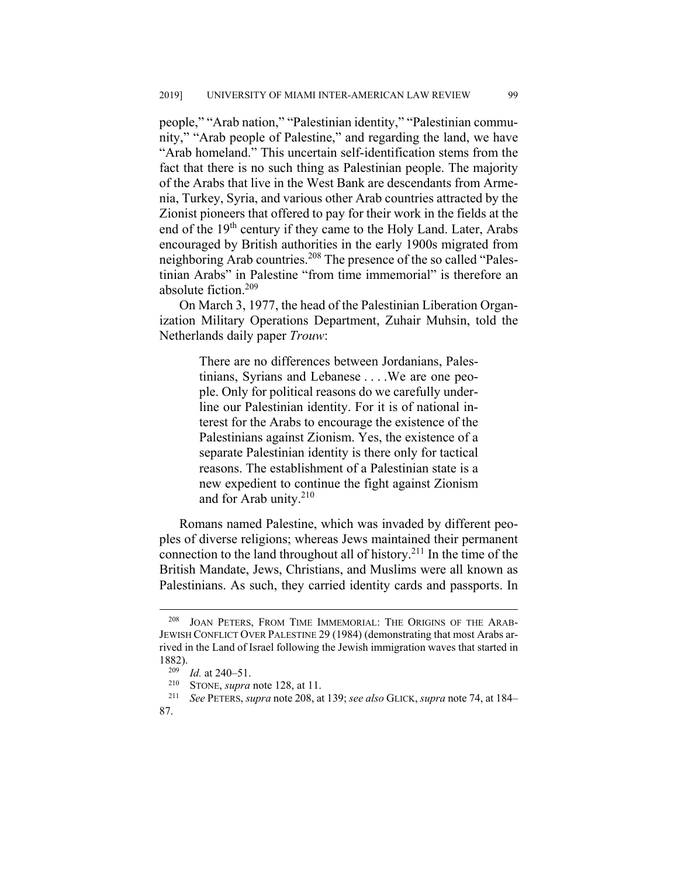people," "Arab nation," "Palestinian identity," "Palestinian community," "Arab people of Palestine," and regarding the land, we have "Arab homeland." This uncertain self-identification stems from the fact that there is no such thing as Palestinian people. The majority of the Arabs that live in the West Bank are descendants from Armenia, Turkey, Syria, and various other Arab countries attracted by the Zionist pioneers that offered to pay for their work in the fields at the end of the 19<sup>th</sup> century if they came to the Holy Land. Later, Arabs encouraged by British authorities in the early 1900s migrated from neighboring Arab countries.208 The presence of the so called "Palestinian Arabs" in Palestine "from time immemorial" is therefore an absolute fiction.209

On March 3, 1977, the head of the Palestinian Liberation Organization Military Operations Department, Zuhair Muhsin, told the Netherlands daily paper *Trouw*:

> There are no differences between Jordanians, Palestinians, Syrians and Lebanese . . . .We are one people. Only for political reasons do we carefully underline our Palestinian identity. For it is of national interest for the Arabs to encourage the existence of the Palestinians against Zionism. Yes, the existence of a separate Palestinian identity is there only for tactical reasons. The establishment of a Palestinian state is a new expedient to continue the fight against Zionism and for Arab unity. $210$

Romans named Palestine, which was invaded by different peoples of diverse religions; whereas Jews maintained their permanent connection to the land throughout all of history.<sup>211</sup> In the time of the British Mandate, Jews, Christians, and Muslims were all known as Palestinians. As such, they carried identity cards and passports. In

JOAN PETERS, FROM TIME IMMEMORIAL: THE ORIGINS OF THE ARAB-JEWISH CONFLICT OVER PALESTINE 29 (1984) (demonstrating that most Arabs arrived in the Land of Israel following the Jewish immigration waves that started in 1882).

 $\frac{209}{210}$  *Id.* at 240–51.

<sup>210</sup> STONE, *supra* note 128, at 11. 211 *See* PETERS, *supra* note 208, at 139; *see also* GLICK, *supra* note 74, at 184‒ 87.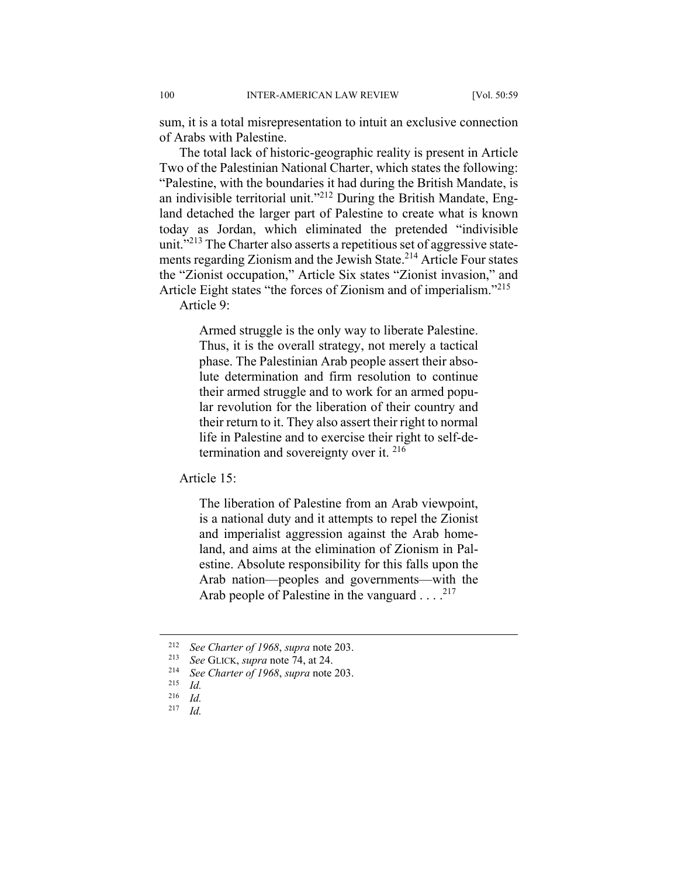sum, it is a total misrepresentation to intuit an exclusive connection of Arabs with Palestine.

The total lack of historic-geographic reality is present in Article Two of the Palestinian National Charter, which states the following: "Palestine, with the boundaries it had during the British Mandate, is an indivisible territorial unit."<sup>212</sup> During the British Mandate, England detached the larger part of Palestine to create what is known today as Jordan, which eliminated the pretended "indivisible unit."<sup>213</sup> The Charter also asserts a repetitious set of aggressive statements regarding Zionism and the Jewish State.<sup>214</sup> Article Four states the "Zionist occupation," Article Six states "Zionist invasion," and Article Eight states "the forces of Zionism and of imperialism."<sup>215</sup> Article 9:

> Armed struggle is the only way to liberate Palestine. Thus, it is the overall strategy, not merely a tactical phase. The Palestinian Arab people assert their absolute determination and firm resolution to continue their armed struggle and to work for an armed popular revolution for the liberation of their country and their return to it. They also assert their right to normal life in Palestine and to exercise their right to self-determination and sovereignty over it. 216

Article 15:

The liberation of Palestine from an Arab viewpoint, is a national duty and it attempts to repel the Zionist and imperialist aggression against the Arab homeland, and aims at the elimination of Zionism in Palestine. Absolute responsibility for this falls upon the Arab nation—peoples and governments—with the Arab people of Palestine in the vanguard  $\dots$ .<sup>217</sup>

 <sup>212</sup> *See Charter of 1968*, *supra* note 203.

<sup>213</sup> *See* GLICK, *supra* note 74, at 24. 214 *See Charter of 1968*, *supra* note 203.

 $\frac{215}{216}$  *Id.* 

<sup>216</sup> *Id.*

<sup>217</sup> *Id.*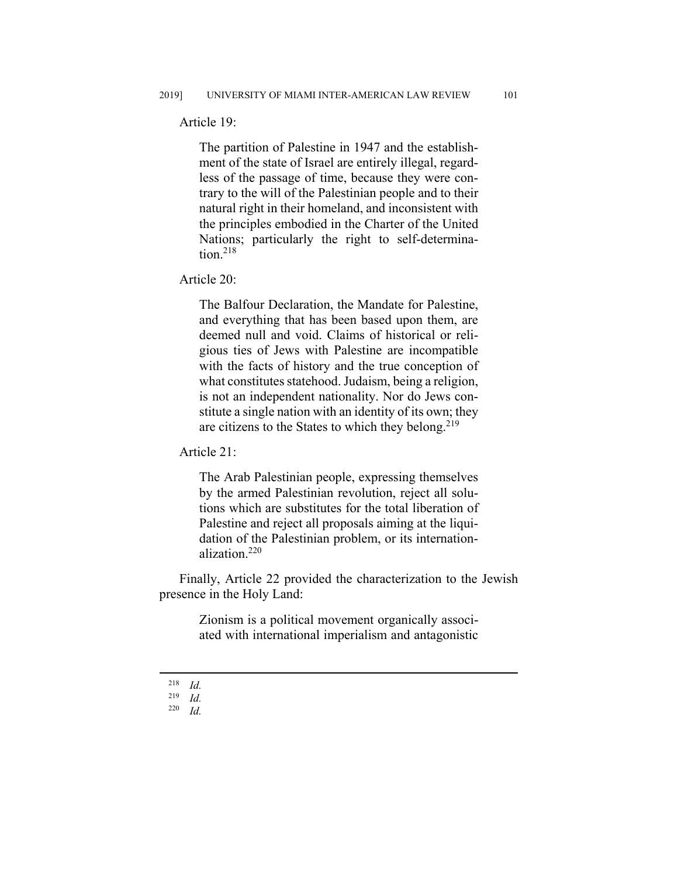Article 19:

The partition of Palestine in 1947 and the establishment of the state of Israel are entirely illegal, regardless of the passage of time, because they were contrary to the will of the Palestinian people and to their natural right in their homeland, and inconsistent with the principles embodied in the Charter of the United Nations; particularly the right to self-determina $tion.<sup>218</sup>$ 

Article 20:

The Balfour Declaration, the Mandate for Palestine, and everything that has been based upon them, are deemed null and void. Claims of historical or religious ties of Jews with Palestine are incompatible with the facts of history and the true conception of what constitutes statehood. Judaism, being a religion, is not an independent nationality. Nor do Jews constitute a single nation with an identity of its own; they are citizens to the States to which they belong.<sup>219</sup>

Article 21:

The Arab Palestinian people, expressing themselves by the armed Palestinian revolution, reject all solutions which are substitutes for the total liberation of Palestine and reject all proposals aiming at the liquidation of the Palestinian problem, or its internationalization.220

Finally, Article 22 provided the characterization to the Jewish presence in the Holy Land:

> Zionism is a political movement organically associated with international imperialism and antagonistic

 $\frac{218}{219}$  *Id.* 

 $\frac{219}{220}$  *Id.* 

<sup>220</sup> *Id.*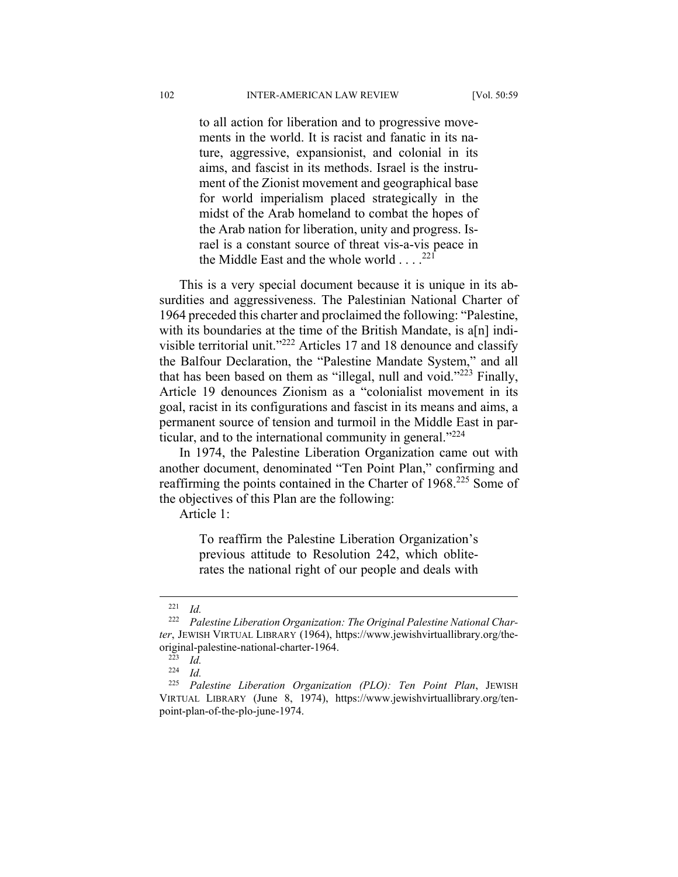to all action for liberation and to progressive movements in the world. It is racist and fanatic in its nature, aggressive, expansionist, and colonial in its aims, and fascist in its methods. Israel is the instrument of the Zionist movement and geographical base for world imperialism placed strategically in the midst of the Arab homeland to combat the hopes of the Arab nation for liberation, unity and progress. Israel is a constant source of threat vis-a-vis peace in the Middle East and the whole world  $\dots$ .<sup>221</sup>

This is a very special document because it is unique in its absurdities and aggressiveness. The Palestinian National Charter of 1964 preceded this charter and proclaimed the following: "Palestine, with its boundaries at the time of the British Mandate, is a[n] indivisible territorial unit."222 Articles 17 and 18 denounce and classify the Balfour Declaration, the "Palestine Mandate System," and all that has been based on them as "illegal, null and void." $2^{223}$  Finally, Article 19 denounces Zionism as a "colonialist movement in its goal, racist in its configurations and fascist in its means and aims, a permanent source of tension and turmoil in the Middle East in particular, and to the international community in general."<sup>224</sup>

In 1974, the Palestine Liberation Organization came out with another document, denominated "Ten Point Plan," confirming and reaffirming the points contained in the Charter of 1968.<sup>225</sup> Some of the objectives of this Plan are the following:

Article 1:

To reaffirm the Palestine Liberation Organization's previous attitude to Resolution 242, which obliterates the national right of our people and deals with

 $\frac{221}{222}$  *Id.* 

Palestine Liberation Organization: The Original Palestine National Char*ter*, JEWISH VIRTUAL LIBRARY (1964), https://www.jewishvirtuallibrary.org/theoriginal-palestine-national-charter-1964.

 $rac{223}{224}$  *Id.* 

 $\frac{224}{225}$  *Id.* 

<sup>225</sup> *Palestine Liberation Organization (PLO): Ten Point Plan*, JEWISH VIRTUAL LIBRARY (June 8, 1974), https://www.jewishvirtuallibrary.org/tenpoint-plan-of-the-plo-june-1974.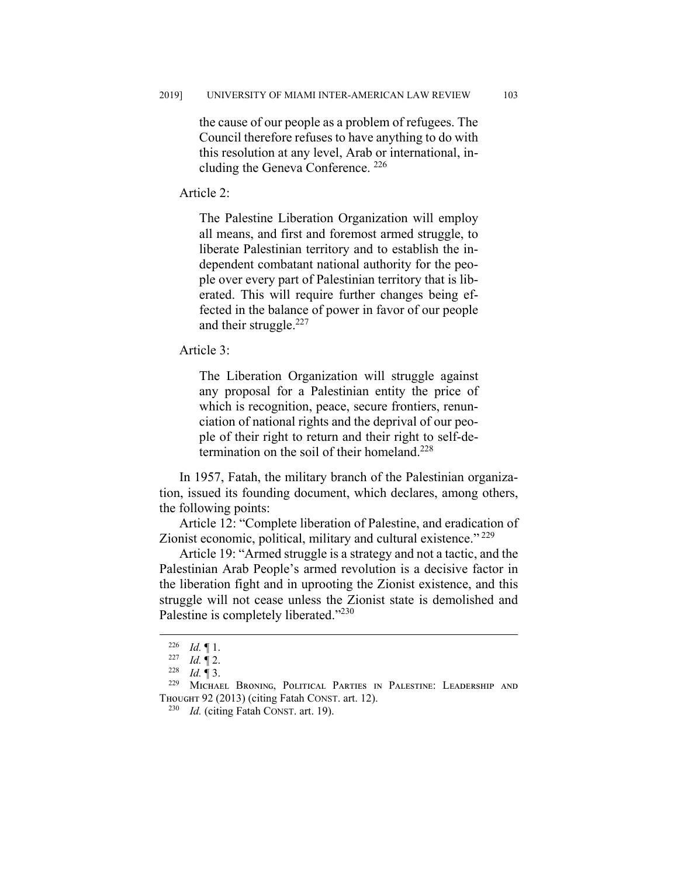the cause of our people as a problem of refugees. The Council therefore refuses to have anything to do with this resolution at any level, Arab or international, including the Geneva Conference. 226

Article 2:

The Palestine Liberation Organization will employ all means, and first and foremost armed struggle, to liberate Palestinian territory and to establish the independent combatant national authority for the people over every part of Palestinian territory that is liberated. This will require further changes being effected in the balance of power in favor of our people and their struggle. $227$ 

Article 3:

The Liberation Organization will struggle against any proposal for a Palestinian entity the price of which is recognition, peace, secure frontiers, renunciation of national rights and the deprival of our people of their right to return and their right to self-determination on the soil of their homeland.<sup>228</sup>

In 1957, Fatah, the military branch of the Palestinian organization, issued its founding document, which declares, among others, the following points:

Article 12: "Complete liberation of Palestine, and eradication of Zionist economic, political, military and cultural existence."<sup>229</sup>

Article 19: "Armed struggle is a strategy and not a tactic, and the Palestinian Arab People's armed revolution is a decisive factor in the liberation fight and in uprooting the Zionist existence, and this struggle will not cease unless the Zionist state is demolished and Palestine is completely liberated."<sup>230</sup>

<sup>&</sup>lt;sup>226</sup> *Id.*  $\llbracket$  1.

 $\begin{array}{cc} 227 & Id. \ \ \frac{1}{228} & Id. \ \ \frac{1}{288} & \frac{1}{288} \end{array}$ 

<sup>228</sup> *Id.* ¶ 3.

MICHAEL BRONING, POLITICAL PARTIES IN PALESTINE: LEADERSHIP AND THOUGHT 92 (2013) (citing Fatah CONST. art. 12).

<sup>230</sup> *Id.* (citing Fatah CONST. art. 19).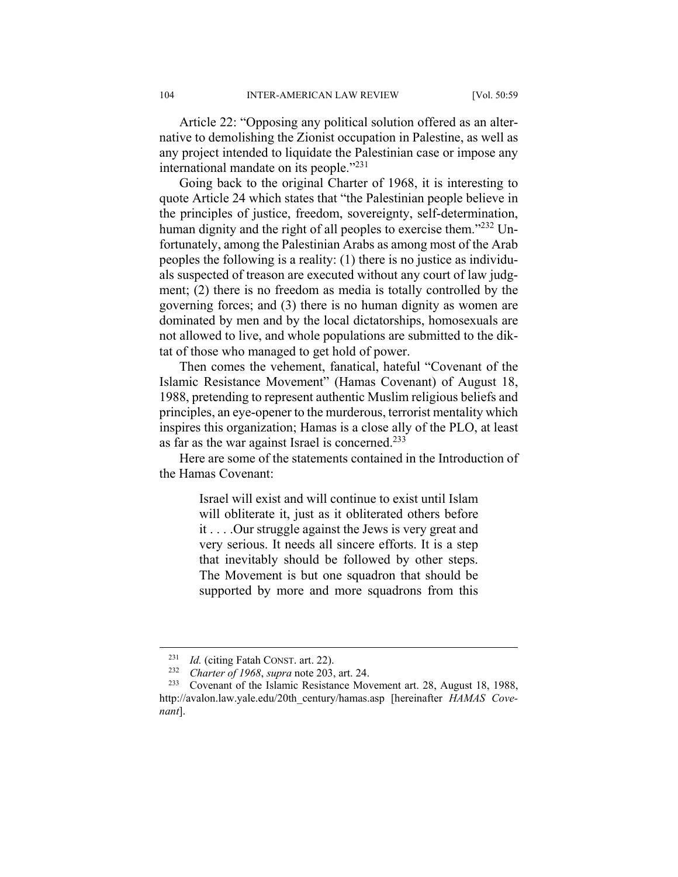Article 22: "Opposing any political solution offered as an alternative to demolishing the Zionist occupation in Palestine, as well as any project intended to liquidate the Palestinian case or impose any international mandate on its people."<sup>231</sup>

Going back to the original Charter of 1968, it is interesting to quote Article 24 which states that "the Palestinian people believe in the principles of justice, freedom, sovereignty, self-determination, human dignity and the right of all peoples to exercise them."<sup>232</sup> Unfortunately, among the Palestinian Arabs as among most of the Arab peoples the following is a reality: (1) there is no justice as individuals suspected of treason are executed without any court of law judgment; (2) there is no freedom as media is totally controlled by the governing forces; and (3) there is no human dignity as women are dominated by men and by the local dictatorships, homosexuals are not allowed to live, and whole populations are submitted to the diktat of those who managed to get hold of power.

Then comes the vehement, fanatical, hateful "Covenant of the Islamic Resistance Movement" (Hamas Covenant) of August 18, 1988, pretending to represent authentic Muslim religious beliefs and principles, an eye-opener to the murderous, terrorist mentality which inspires this organization; Hamas is a close ally of the PLO, at least as far as the war against Israel is concerned.233

Here are some of the statements contained in the Introduction of the Hamas Covenant:

> Israel will exist and will continue to exist until Islam will obliterate it, just as it obliterated others before it . . . .Our struggle against the Jews is very great and very serious. It needs all sincere efforts. It is a step that inevitably should be followed by other steps. The Movement is but one squadron that should be supported by more and more squadrons from this

 <sup>231</sup> *Id.* (citing Fatah CONST. art. 22).

<sup>232</sup> *Charter of 1968*, *supra* note 203, art. 24.

<sup>&</sup>lt;sup>233</sup> Covenant of the Islamic Resistance Movement art. 28, August 18, 1988, http://avalon.law.yale.edu/20th\_century/hamas.asp [hereinafter *HAMAS Covenant*].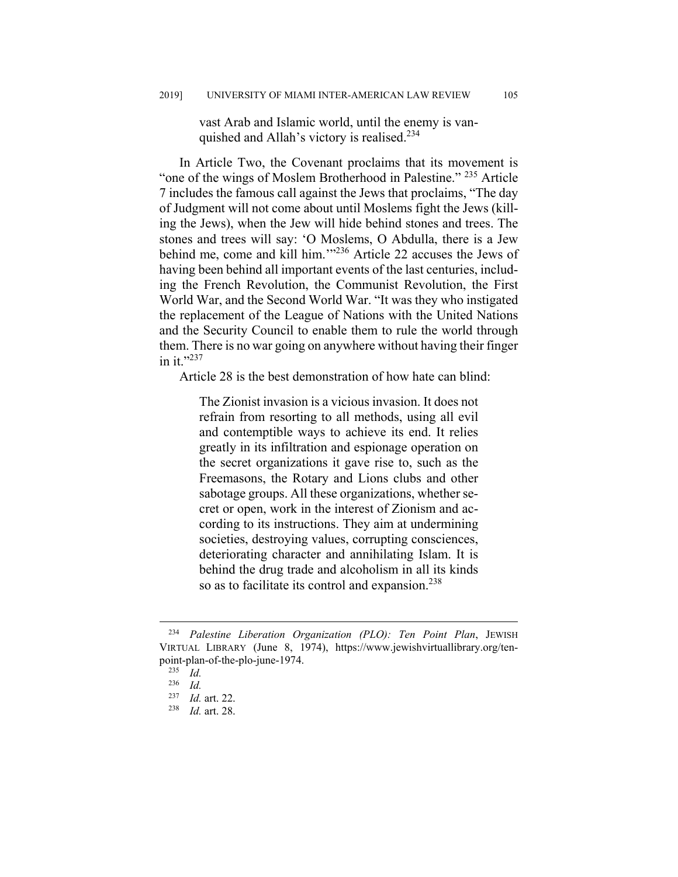vast Arab and Islamic world, until the enemy is vanquished and Allah's victory is realised.<sup>234</sup>

In Article Two, the Covenant proclaims that its movement is "one of the wings of Moslem Brotherhood in Palestine." 235 Article 7 includes the famous call against the Jews that proclaims, "The day of Judgment will not come about until Moslems fight the Jews (killing the Jews), when the Jew will hide behind stones and trees. The stones and trees will say: 'O Moslems, O Abdulla, there is a Jew behind me, come and kill him."<sup>236</sup> Article 22 accuses the Jews of having been behind all important events of the last centuries, including the French Revolution, the Communist Revolution, the First World War, and the Second World War. "It was they who instigated the replacement of the League of Nations with the United Nations and the Security Council to enable them to rule the world through them. There is no war going on anywhere without having their finger in it."237

Article 28 is the best demonstration of how hate can blind:

The Zionist invasion is a vicious invasion. It does not refrain from resorting to all methods, using all evil and contemptible ways to achieve its end. It relies greatly in its infiltration and espionage operation on the secret organizations it gave rise to, such as the Freemasons, the Rotary and Lions clubs and other sabotage groups. All these organizations, whether secret or open, work in the interest of Zionism and according to its instructions. They aim at undermining societies, destroying values, corrupting consciences, deteriorating character and annihilating Islam. It is behind the drug trade and alcoholism in all its kinds so as to facilitate its control and expansion.<sup>238</sup>

 <sup>234</sup> *Palestine Liberation Organization (PLO): Ten Point Plan*, JEWISH VIRTUAL LIBRARY (June 8, 1974), https://www.jewishvirtuallibrary.org/tenpoint-plan-of-the-plo-june-1974.

 $\frac{235}{236}$  *Id.* 

 $\frac{236}{237}$  *Id.* 

*Id.* art. 22.

<sup>238</sup> *Id.* art. 28.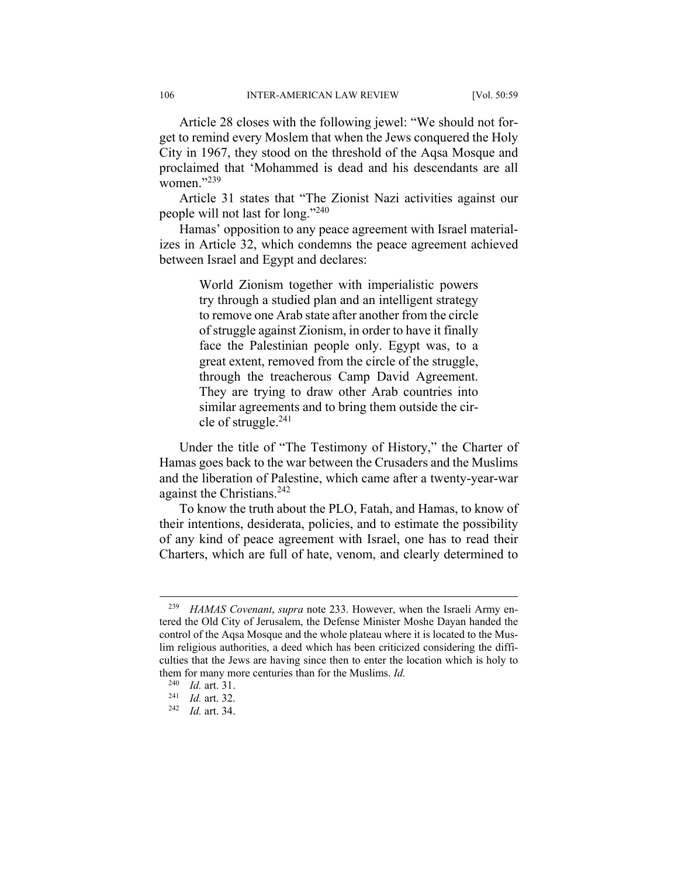Article 28 closes with the following jewel: "We should not forget to remind every Moslem that when the Jews conquered the Holy City in 1967, they stood on the threshold of the Aqsa Mosque and proclaimed that 'Mohammed is dead and his descendants are all women."<sup>239</sup>

Article 31 states that "The Zionist Nazi activities against our people will not last for long."240

Hamas' opposition to any peace agreement with Israel materializes in Article 32, which condemns the peace agreement achieved between Israel and Egypt and declares:

> World Zionism together with imperialistic powers try through a studied plan and an intelligent strategy to remove one Arab state after another from the circle of struggle against Zionism, in order to have it finally face the Palestinian people only. Egypt was, to a great extent, removed from the circle of the struggle, through the treacherous Camp David Agreement. They are trying to draw other Arab countries into similar agreements and to bring them outside the circle of struggle.241

Under the title of "The Testimony of History," the Charter of Hamas goes back to the war between the Crusaders and the Muslims and the liberation of Palestine, which came after a twenty-year-war against the Christians.<sup>242</sup>

To know the truth about the PLO, Fatah, and Hamas, to know of their intentions, desiderata, policies, and to estimate the possibility of any kind of peace agreement with Israel, one has to read their Charters, which are full of hate, venom, and clearly determined to

 <sup>239</sup> *HAMAS Covenant*, *supra* note 233. However, when the Israeli Army entered the Old City of Jerusalem, the Defense Minister Moshe Dayan handed the control of the Aqsa Mosque and the whole plateau where it is located to the Muslim religious authorities, a deed which has been criticized considering the difficulties that the Jews are having since then to enter the location which is holy to them for many more centuries than for the Muslims. *Id.* <sup>240</sup> *Id.* art <sup>21</sup>

<sup>240</sup> *Id.* art. 31. 241 *Id.* art. 32. 242 *Id.* art. 34.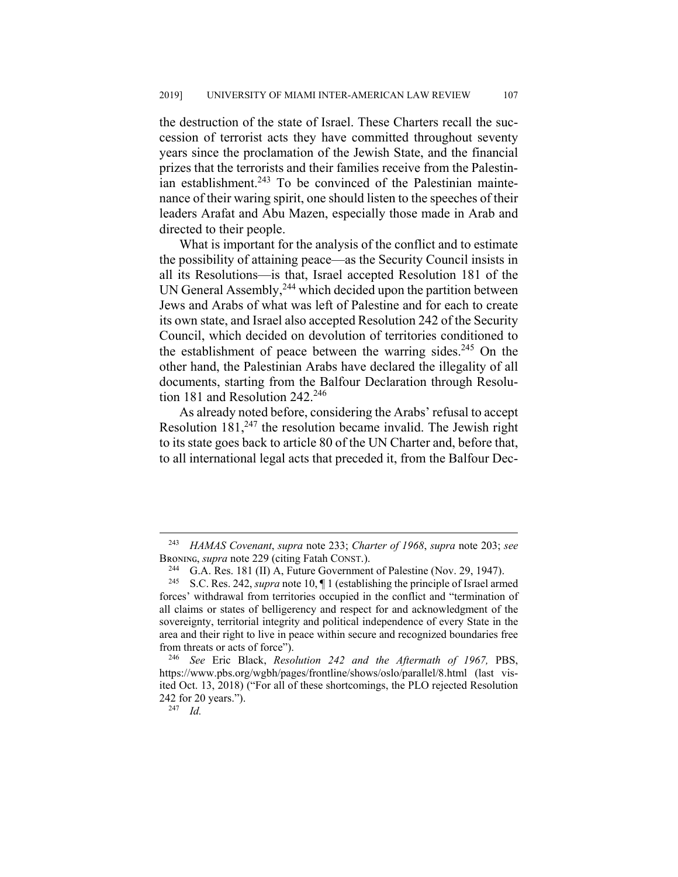the destruction of the state of Israel. These Charters recall the succession of terrorist acts they have committed throughout seventy years since the proclamation of the Jewish State, and the financial prizes that the terrorists and their families receive from the Palestinian establishment. $243$  To be convinced of the Palestinian maintenance of their waring spirit, one should listen to the speeches of their leaders Arafat and Abu Mazen, especially those made in Arab and directed to their people.

What is important for the analysis of the conflict and to estimate the possibility of attaining peace—as the Security Council insists in all its Resolutions—is that, Israel accepted Resolution 181 of the UN General Assembly,<sup>244</sup> which decided upon the partition between Jews and Arabs of what was left of Palestine and for each to create its own state, and Israel also accepted Resolution 242 of the Security Council, which decided on devolution of territories conditioned to the establishment of peace between the warring sides.<sup>245</sup> On the other hand, the Palestinian Arabs have declared the illegality of all documents, starting from the Balfour Declaration through Resolution 181 and Resolution 242.<sup>246</sup>

As already noted before, considering the Arabs' refusal to accept Resolution  $181<sub>1</sub><sup>247</sup>$  the resolution became invalid. The Jewish right to its state goes back to article 80 of the UN Charter and, before that, to all international legal acts that preceded it, from the Balfour Dec-

 <sup>243</sup> *HAMAS Covenant*, *supra* note 233; *Charter of 1968*, *supra* note 203; *see* BRONING, *supra* note 229 (citing Fatah CONST.).<br><sup>244</sup> G.A. Res. 181 (II) A, Future Government of Palestine (Nov. 29, 1947).

<sup>245</sup> S.C. Res. 242, *supra* note 10, ¶ 1 (establishing the principle of Israel armed forces' withdrawal from territories occupied in the conflict and "termination of all claims or states of belligerency and respect for and acknowledgment of the sovereignty, territorial integrity and political independence of every State in the area and their right to live in peace within secure and recognized boundaries free from threats or acts of force").

<sup>246</sup> *See* Eric Black, *Resolution 242 and the Aftermath of 1967,* PBS, https://www.pbs.org/wgbh/pages/frontline/shows/oslo/parallel/8.html (last visited Oct. 13, 2018) ("For all of these shortcomings, the PLO rejected Resolution 242 for 20 years.").

<sup>247</sup> *Id.*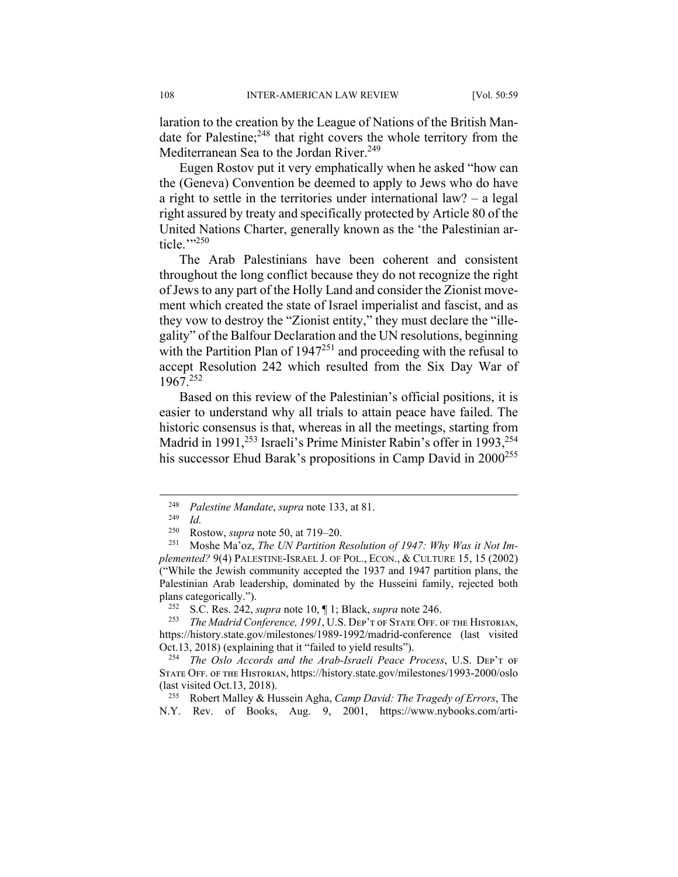laration to the creation by the League of Nations of the British Mandate for Palestine;<sup>248</sup> that right covers the whole territory from the Mediterranean Sea to the Jordan River.<sup>249</sup>

Eugen Rostov put it very emphatically when he asked "how can the (Geneva) Convention be deemed to apply to Jews who do have a right to settle in the territories under international law? – a legal right assured by treaty and specifically protected by Article 80 of the United Nations Charter, generally known as the 'the Palestinian article."?250

The Arab Palestinians have been coherent and consistent throughout the long conflict because they do not recognize the right of Jews to any part of the Holly Land and consider the Zionist movement which created the state of Israel imperialist and fascist, and as they vow to destroy the "Zionist entity," they must declare the "illegality" of the Balfour Declaration and the UN resolutions, beginning with the Partition Plan of  $1947^{251}$  and proceeding with the refusal to accept Resolution 242 which resulted from the Six Day War of 1967.252

Based on this review of the Palestinian's official positions, it is easier to understand why all trials to attain peace have failed. The historic consensus is that, whereas in all the meetings, starting from Madrid in 1991,<sup>253</sup> Israeli's Prime Minister Rabin's offer in 1993,<sup>254</sup> his successor Ehud Barak's propositions in Camp David in 2000<sup>255</sup>

<sup>252</sup> S.C. Res. 242, *supra* note 10,  $\P$  1; Black, *supra* note 246.<br><sup>253</sup> The Madrid Conference 1991 U.S. DER'T OF STATE OFF 6

 <sup>248</sup> *Palestine Mandate*, *supra* note 133, at 81.

 $\frac{249}{250}$  *Id.* 

<sup>250</sup> Rostow, *supra* note 50, at 719‒20.

<sup>251</sup> Moshe Ma'oz, *The UN Partition Resolution of 1947: Why Was it Not Implemented?* 9(4) PALESTINE-ISRAEL J. OF POL., ECON., & CULTURE 15, 15 (2002) ("While the Jewish community accepted the 1937 and 1947 partition plans, the Palestinian Arab leadership, dominated by the Husseini family, rejected both plans categorically.").<br> $^{252}$  S C Pes 242

The Madrid Conference, 1991, U.S. DEP'T OF STATE OFF. OF THE HISTORIAN, https://history.state.gov/milestones/1989-1992/madrid-conference (last visited Oct.13, 2018) (explaining that it "failed to yield results").

<sup>&</sup>lt;sup>254</sup> The Oslo Accords and the Arab-Israeli Peace Process, U.S. DEP'T OF STATE OFF. OF THE HISTORIAN, https://history.state.gov/milestones/1993-2000/oslo (last visited Oct.13, 2018).

<sup>255</sup> Robert Malley & Hussein Agha, *Camp David: The Tragedy of Errors*, The N.Y. Rev. of Books, Aug. 9, 2001, https://www.nybooks.com/arti-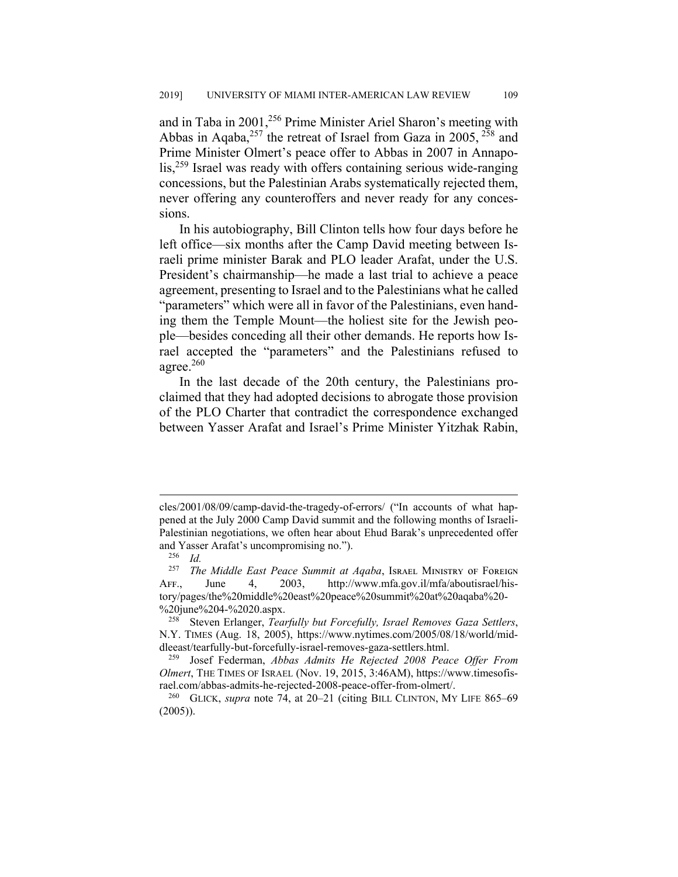and in Taba in 2001,<sup>256</sup> Prime Minister Ariel Sharon's meeting with Abbas in Aqaba,<sup>257</sup> the retreat of Israel from Gaza in 2005,  $^{258}$  and Prime Minister Olmert's peace offer to Abbas in 2007 in Annapolis,<sup>259</sup> Israel was ready with offers containing serious wide-ranging concessions, but the Palestinian Arabs systematically rejected them, never offering any counteroffers and never ready for any concessions.

In his autobiography, Bill Clinton tells how four days before he left office—six months after the Camp David meeting between Israeli prime minister Barak and PLO leader Arafat, under the U.S. President's chairmanship—he made a last trial to achieve a peace agreement, presenting to Israel and to the Palestinians what he called "parameters" which were all in favor of the Palestinians, even handing them the Temple Mount—the holiest site for the Jewish people—besides conceding all their other demands. He reports how Israel accepted the "parameters" and the Palestinians refused to agree.260

In the last decade of the 20th century, the Palestinians proclaimed that they had adopted decisions to abrogate those provision of the PLO Charter that contradict the correspondence exchanged between Yasser Arafat and Israel's Prime Minister Yitzhak Rabin,

cles/2001/08/09/camp-david-the-tragedy-of-errors/ ("In accounts of what happened at the July 2000 Camp David summit and the following months of Israeli-Palestinian negotiations, we often hear about Ehud Barak's unprecedented offer and Yasser Arafat's uncompromising no.").

 $rac{256}{257}$  *Id.* 

The Middle East Peace Summit at Aqaba, Israel MINISTRY OF FOREIGN AFF., June 4, 2003, http://www.mfa.gov.il/mfa/aboutisrael/history/pages/the%20middle%20east%20peace%20summit%20at%20aqaba%20- %20june%204-%2020.aspx.

<sup>258</sup> Steven Erlanger, *Tearfully but Forcefully, Israel Removes Gaza Settlers*, N.Y. TIMES (Aug. 18, 2005), https://www.nytimes.com/2005/08/18/world/middleeast/tearfully-but-forcefully-israel-removes-gaza-settlers.html.

<sup>259</sup> Josef Federman, *Abbas Admits He Rejected 2008 Peace Offer From Olmert*, THE TIMES OF ISRAEL (Nov. 19, 2015, 3:46AM), https://www.timesofis-

rael.com/abbas-admits-he-rejected-2008-peace-offer-from-olmert/.<br><sup>260</sup> GLICK, *supra* note 74, at 20–21 (citing BILL CLINTON, MY LIFE 865–69  $(2005)$ ).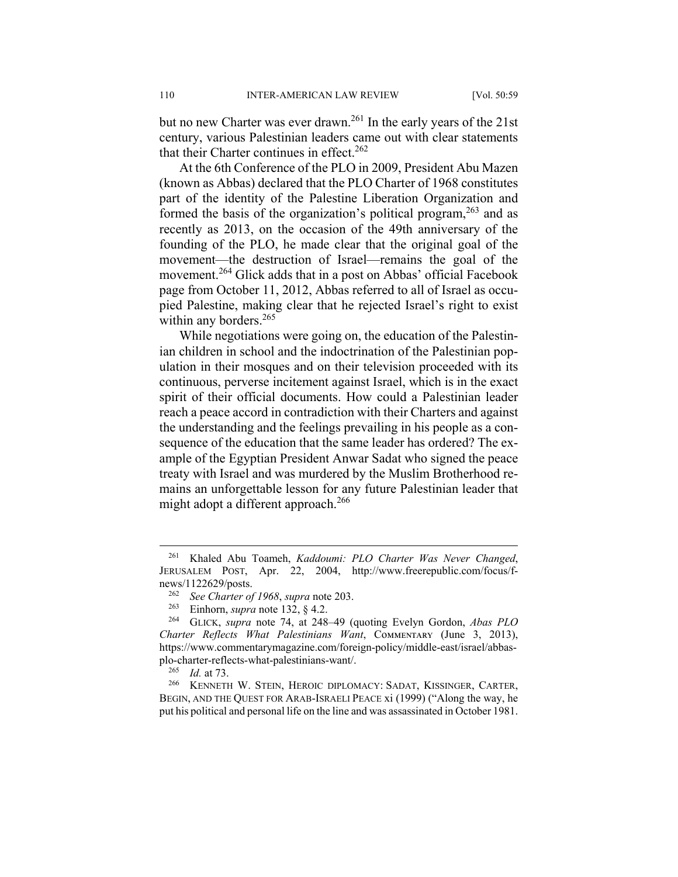but no new Charter was ever drawn.<sup>261</sup> In the early years of the 21st century, various Palestinian leaders came out with clear statements that their Charter continues in effect.<sup>262</sup>

At the 6th Conference of the PLO in 2009, President Abu Mazen (known as Abbas) declared that the PLO Charter of 1968 constitutes part of the identity of the Palestine Liberation Organization and formed the basis of the organization's political program,  $263$  and as recently as 2013, on the occasion of the 49th anniversary of the founding of the PLO, he made clear that the original goal of the movement—the destruction of Israel—remains the goal of the movement.<sup>264</sup> Glick adds that in a post on Abbas' official Facebook page from October 11, 2012, Abbas referred to all of Israel as occupied Palestine, making clear that he rejected Israel's right to exist within any borders. $265$ 

While negotiations were going on, the education of the Palestinian children in school and the indoctrination of the Palestinian population in their mosques and on their television proceeded with its continuous, perverse incitement against Israel, which is in the exact spirit of their official documents. How could a Palestinian leader reach a peace accord in contradiction with their Charters and against the understanding and the feelings prevailing in his people as a consequence of the education that the same leader has ordered? The example of the Egyptian President Anwar Sadat who signed the peace treaty with Israel and was murdered by the Muslim Brotherhood remains an unforgettable lesson for any future Palestinian leader that might adopt a different approach.<sup>266</sup>

 <sup>261</sup> Khaled Abu Toameh, *Kaddoumi: PLO Charter Was Never Changed*, JERUSALEM POST, Apr. 22, 2004, http://www.freerepublic.com/focus/fnews/1122629/posts.

<sup>262</sup> *See Charter of 1968*, *supra* note 203.

<sup>&</sup>lt;sup>263</sup> Einhorn, *supra* note 132, § 4.2.<br><sup>264</sup> GUCK *supra* note 74, at 248

GLICK, *supra* note 74, at 248–49 (quoting Evelyn Gordon, *Abas PLO Charter Reflects What Palestinians Want*, Cᴏᴍᴍᴇɴᴛᴀʀʏ (June 3, 2013), https://www.commentarymagazine.com/foreign-policy/middle-east/israel/abbasplo-charter-reflects-what-palestinians-want/.<br> $^{265}$  *Id at* 73

<sup>&</sup>lt;sup>265</sup> *Id.* at 73.<br><sup>266</sup> **KENNETE** 

<sup>266</sup> KENNETH W. STEIN, HEROIC DIPLOMACY: SADAT, KISSINGER, CARTER, BEGIN, AND THE QUEST FOR ARAB-ISRAELI PEACE xi (1999) ("Along the way, he put his political and personal life on the line and was assassinated in October 1981.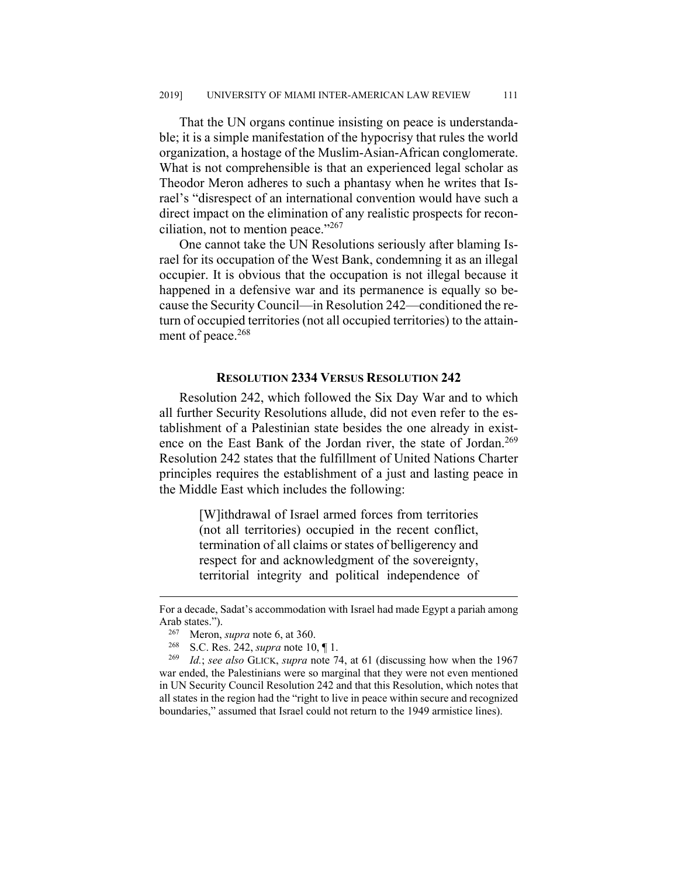That the UN organs continue insisting on peace is understandable; it is a simple manifestation of the hypocrisy that rules the world organization, a hostage of the Muslim-Asian-African conglomerate. What is not comprehensible is that an experienced legal scholar as Theodor Meron adheres to such a phantasy when he writes that Israel's "disrespect of an international convention would have such a direct impact on the elimination of any realistic prospects for reconciliation, not to mention peace." $267$ 

One cannot take the UN Resolutions seriously after blaming Israel for its occupation of the West Bank, condemning it as an illegal occupier. It is obvious that the occupation is not illegal because it happened in a defensive war and its permanence is equally so because the Security Council—in Resolution 242—conditioned the return of occupied territories (not all occupied territories) to the attainment of peace. $268$ 

#### **RESOLUTION 2334 VERSUS RESOLUTION 242**

Resolution 242, which followed the Six Day War and to which all further Security Resolutions allude, did not even refer to the establishment of a Palestinian state besides the one already in existence on the East Bank of the Jordan river, the state of Jordan.<sup>269</sup> Resolution 242 states that the fulfillment of United Nations Charter principles requires the establishment of a just and lasting peace in the Middle East which includes the following:

> [W]ithdrawal of Israel armed forces from territories (not all territories) occupied in the recent conflict, termination of all claims or states of belligerency and respect for and acknowledgment of the sovereignty, territorial integrity and political independence of

For a decade, Sadat's accommodation with Israel had made Egypt a pariah among Arab states.").

<sup>&</sup>lt;sup>267</sup> Meron, *supra* note 6, at 360.<br><sup>268</sup> S.C. Pes. 242, supra pote 10

<sup>268</sup> S.C. Res. 242, *supra* note 10, ¶ 1.

<sup>269</sup> *Id.*; *see also* GLICK, *supra* note 74, at 61 (discussing how when the 1967 war ended, the Palestinians were so marginal that they were not even mentioned in UN Security Council Resolution 242 and that this Resolution, which notes that all states in the region had the "right to live in peace within secure and recognized boundaries," assumed that Israel could not return to the 1949 armistice lines).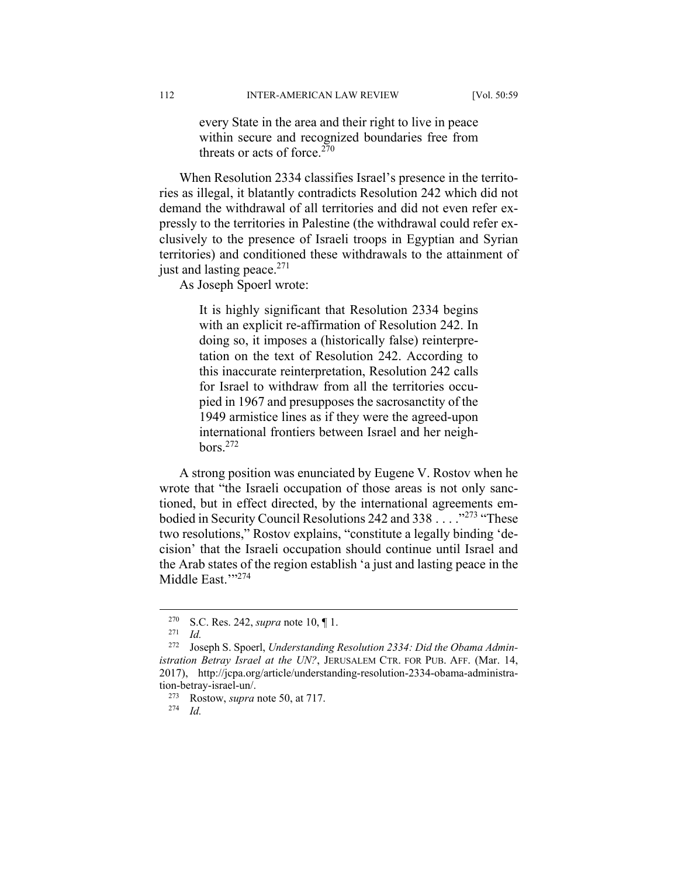every State in the area and their right to live in peace within secure and recognized boundaries free from threats or acts of force.<sup>270</sup>

When Resolution 2334 classifies Israel's presence in the territories as illegal, it blatantly contradicts Resolution 242 which did not demand the withdrawal of all territories and did not even refer expressly to the territories in Palestine (the withdrawal could refer exclusively to the presence of Israeli troops in Egyptian and Syrian territories) and conditioned these withdrawals to the attainment of just and lasting peace. $271$ 

As Joseph Spoerl wrote:

It is highly significant that Resolution 2334 begins with an explicit re-affirmation of Resolution 242. In doing so, it imposes a (historically false) reinterpretation on the text of Resolution 242. According to this inaccurate reinterpretation, Resolution 242 calls for Israel to withdraw from all the territories occupied in 1967 and presupposes the sacrosanctity of the 1949 armistice lines as if they were the agreed-upon international frontiers between Israel and her neigh $bors.<sup>272</sup>$ 

A strong position was enunciated by Eugene V. Rostov when he wrote that "the Israeli occupation of those areas is not only sanctioned, but in effect directed, by the international agreements embodied in Security Council Resolutions 242 and 338 . . . . "<sup>273</sup> "These two resolutions," Rostov explains, "constitute a legally binding 'decision' that the Israeli occupation should continue until Israel and the Arab states of the region establish 'a just and lasting peace in the Middle East.""274

 <sup>270</sup> S.C. Res. 242, *supra* note 10, ¶ 1.

 $\frac{271}{272}$  *Id.* 

Joseph S. Spoerl, *Understanding Resolution 2334: Did the Obama Administration Betray Israel at the UN?*, JERUSALEM CTR. FOR PUB. AFF. (Mar. 14, 2017), http://jcpa.org/article/understanding-resolution-2334-obama-administration-betray-israel-un/.

<sup>273</sup> Rostow, *supra* note 50, at 717.

<sup>274</sup> *Id.*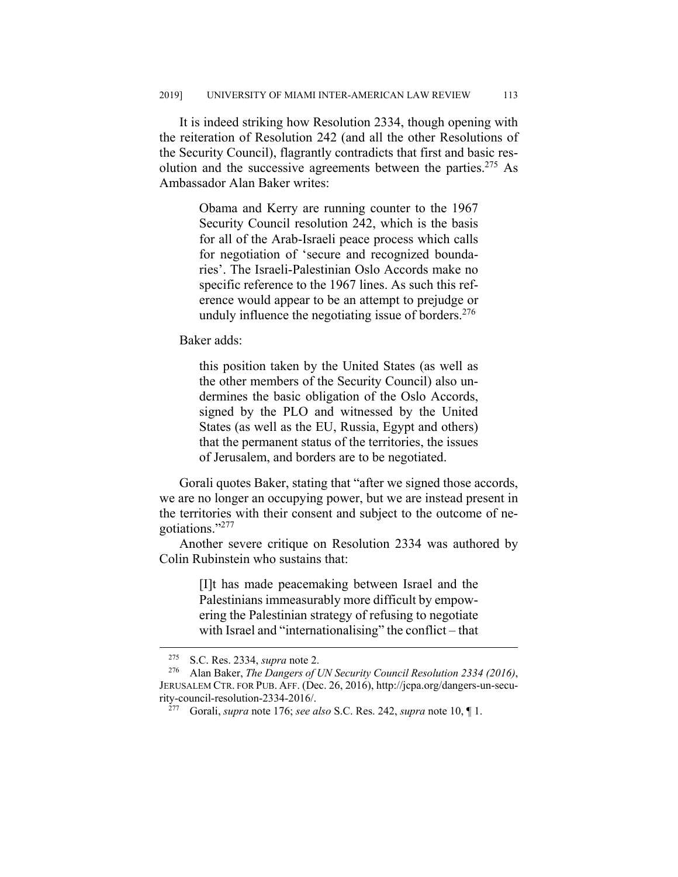It is indeed striking how Resolution 2334, though opening with the reiteration of Resolution 242 (and all the other Resolutions of the Security Council), flagrantly contradicts that first and basic resolution and the successive agreements between the parties.<sup>275</sup> As Ambassador Alan Baker writes:

> Obama and Kerry are running counter to the 1967 Security Council resolution 242, which is the basis for all of the Arab-Israeli peace process which calls for negotiation of 'secure and recognized boundaries'. The Israeli-Palestinian Oslo Accords make no specific reference to the 1967 lines. As such this reference would appear to be an attempt to prejudge or unduly influence the negotiating issue of borders. $276$

Baker adds:

this position taken by the United States (as well as the other members of the Security Council) also undermines the basic obligation of the Oslo Accords, signed by the PLO and witnessed by the United States (as well as the EU, Russia, Egypt and others) that the permanent status of the territories, the issues of Jerusalem, and borders are to be negotiated.

Gorali quotes Baker, stating that "after we signed those accords, we are no longer an occupying power, but we are instead present in the territories with their consent and subject to the outcome of negotiations."277

Another severe critique on Resolution 2334 was authored by Colin Rubinstein who sustains that:

> [I]t has made peacemaking between Israel and the Palestinians immeasurably more difficult by empowering the Palestinian strategy of refusing to negotiate with Israel and "internationalising" the conflict – that

<sup>&</sup>lt;sup>275</sup> S.C. Res. 2334, *supra* note 2.<br><sup>276</sup> Alan Baker. *The Dangers of I* 

<sup>276</sup> Alan Baker, *The Dangers of UN Security Council Resolution 2334 (2016)*, JERUSALEM CTR. FOR PUB. AFF. (Dec. 26, 2016), http://jcpa.org/dangers-un-security-council-resolution-2334-2016/.

<sup>277</sup> Gorali, *supra* note 176; *see also* S.C. Res. 242, *supra* note 10, ¶ 1.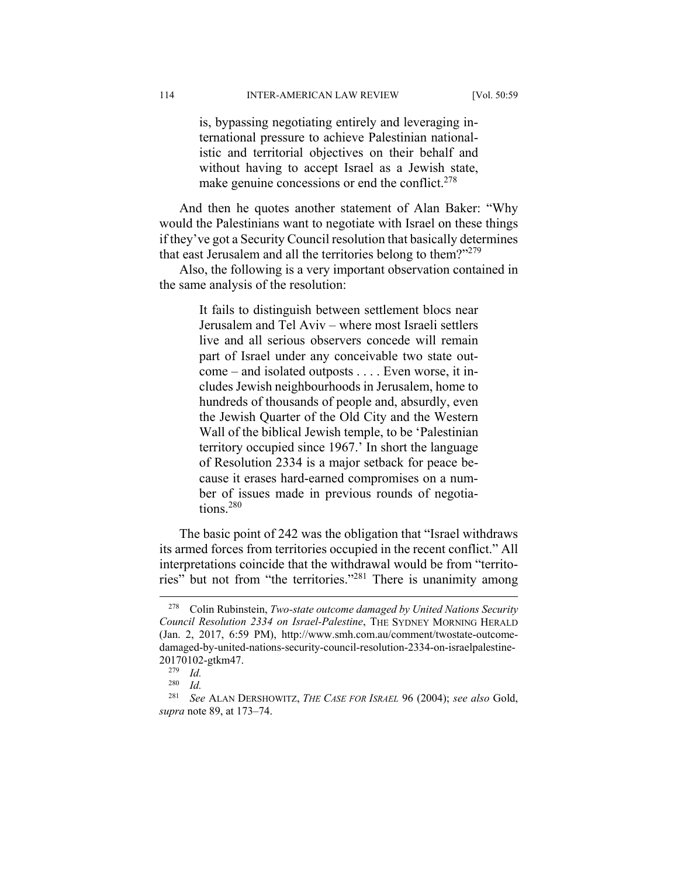is, bypassing negotiating entirely and leveraging international pressure to achieve Palestinian nationalistic and territorial objectives on their behalf and without having to accept Israel as a Jewish state, make genuine concessions or end the conflict.<sup>278</sup>

And then he quotes another statement of Alan Baker: "Why would the Palestinians want to negotiate with Israel on these things if they've got a Security Council resolution that basically determines that east Jerusalem and all the territories belong to them?"<sup>279</sup>

Also, the following is a very important observation contained in the same analysis of the resolution:

> It fails to distinguish between settlement blocs near Jerusalem and Tel Aviv – where most Israeli settlers live and all serious observers concede will remain part of Israel under any conceivable two state outcome – and isolated outposts . . . . Even worse, it includes Jewish neighbourhoods in Jerusalem, home to hundreds of thousands of people and, absurdly, even the Jewish Quarter of the Old City and the Western Wall of the biblical Jewish temple, to be 'Palestinian territory occupied since 1967.' In short the language of Resolution 2334 is a major setback for peace because it erases hard-earned compromises on a number of issues made in previous rounds of negotiations.280

The basic point of 242 was the obligation that "Israel withdraws its armed forces from territories occupied in the recent conflict." All interpretations coincide that the withdrawal would be from "territories" but not from "the territories."281 There is unanimity among

 <sup>278</sup> Colin Rubinstein, *Two-state outcome damaged by United Nations Security Council Resolution 2334 on Israel-Palestine*, THE SYDNEY MORNING HERALD (Jan. 2, 2017, 6:59 PM), http://www.smh.com.au/comment/twostate-outcomedamaged-by-united-nations-security-council-resolution-2334-on-israelpalestine-20170102-gtkm47.

 $\frac{279}{280}$  *Id.* 

*Id.* 

<sup>281</sup> *See* ALAN DERSHOWITZ, *THE CASE FOR ISRAEL* 96 (2004); *see also* Gold, *supra* note 89, at 173–74.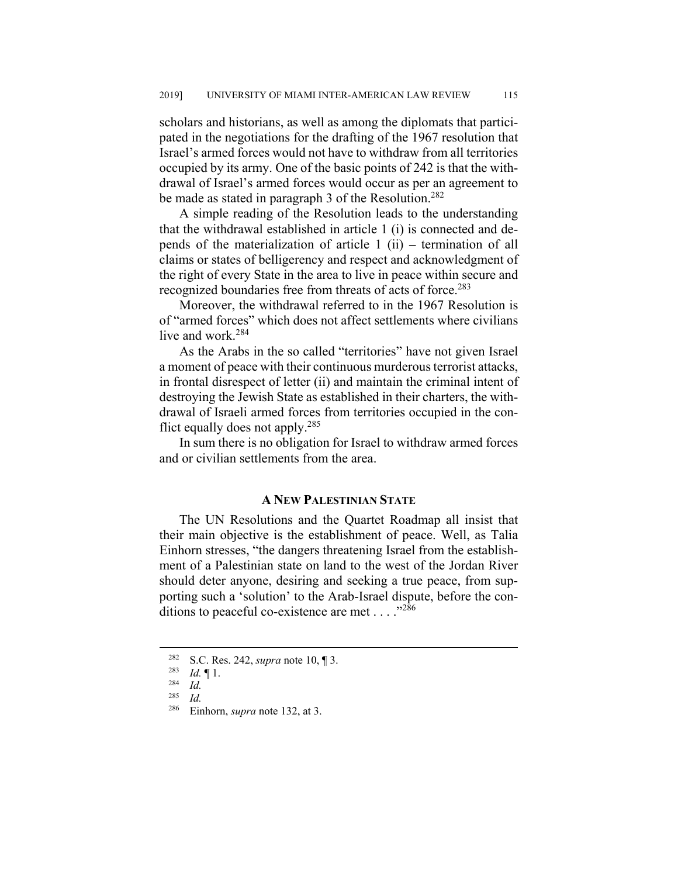scholars and historians, as well as among the diplomats that participated in the negotiations for the drafting of the 1967 resolution that Israel's armed forces would not have to withdraw from all territories occupied by its army. One of the basic points of 242 is that the withdrawal of Israel's armed forces would occur as per an agreement to be made as stated in paragraph 3 of the Resolution.<sup>282</sup>

A simple reading of the Resolution leads to the understanding that the withdrawal established in article 1 (i) is connected and depends of the materialization of article 1 (ii) **–** termination of all claims or states of belligerency and respect and acknowledgment of the right of every State in the area to live in peace within secure and recognized boundaries free from threats of acts of force.<sup>283</sup>

Moreover, the withdrawal referred to in the 1967 Resolution is of "armed forces" which does not affect settlements where civilians live and work.<sup>284</sup>

As the Arabs in the so called "territories" have not given Israel a moment of peace with their continuous murderous terrorist attacks, in frontal disrespect of letter (ii) and maintain the criminal intent of destroying the Jewish State as established in their charters, the withdrawal of Israeli armed forces from territories occupied in the conflict equally does not apply.285

In sum there is no obligation for Israel to withdraw armed forces and or civilian settlements from the area.

#### **A NEW PALESTINIAN STATE**

The UN Resolutions and the Quartet Roadmap all insist that their main objective is the establishment of peace. Well, as Talia Einhorn stresses, "the dangers threatening Israel from the establishment of a Palestinian state on land to the west of the Jordan River should deter anyone, desiring and seeking a true peace, from supporting such a 'solution' to the Arab-Israel dispute, before the conditions to peaceful co-existence are met  $\dots$ ."286

<sup>&</sup>lt;sup>282</sup> S.C. Res. 242, *supra* note 10, 1 3.<br><sup>283</sup> *L*. **F** 1

 $\frac{283}{284}$  *Id.* 1.

 $\frac{284}{285}$  *Id.* 

*Id.* 

<sup>286</sup> Einhorn, *supra* note 132, at 3.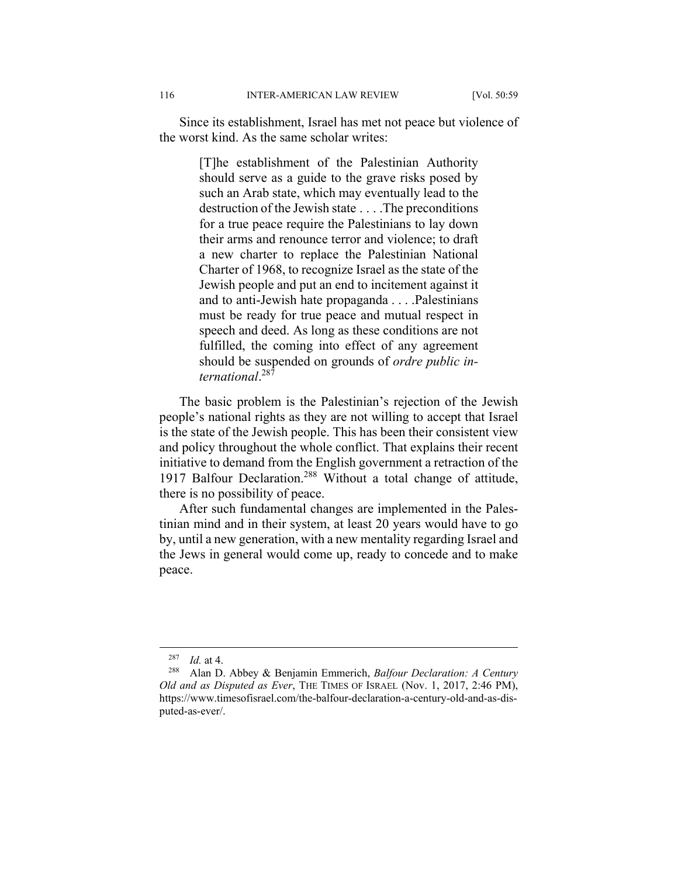Since its establishment, Israel has met not peace but violence of the worst kind. As the same scholar writes:

> [T]he establishment of the Palestinian Authority should serve as a guide to the grave risks posed by such an Arab state, which may eventually lead to the destruction of the Jewish state . . . .The preconditions for a true peace require the Palestinians to lay down their arms and renounce terror and violence; to draft a new charter to replace the Palestinian National Charter of 1968, to recognize Israel as the state of the Jewish people and put an end to incitement against it and to anti-Jewish hate propaganda . . . .Palestinians must be ready for true peace and mutual respect in speech and deed. As long as these conditions are not fulfilled, the coming into effect of any agreement should be suspended on grounds of *ordre public international*. 287

The basic problem is the Palestinian's rejection of the Jewish people's national rights as they are not willing to accept that Israel is the state of the Jewish people. This has been their consistent view and policy throughout the whole conflict. That explains their recent initiative to demand from the English government a retraction of the 1917 Balfour Declaration.<sup>288</sup> Without a total change of attitude, there is no possibility of peace.

After such fundamental changes are implemented in the Palestinian mind and in their system, at least 20 years would have to go by, until a new generation, with a new mentality regarding Israel and the Jews in general would come up, ready to concede and to make peace.

 <sup>287</sup> *Id.* at 4.

<sup>288</sup> Alan D. Abbey & Benjamin Emmerich, *Balfour Declaration: A Century Old and as Disputed as Ever*, THE TIMES OF ISRAEL (Nov. 1, 2017, 2:46 PM), https://www.timesofisrael.com/the-balfour-declaration-a-century-old-and-as-disputed-as-ever/.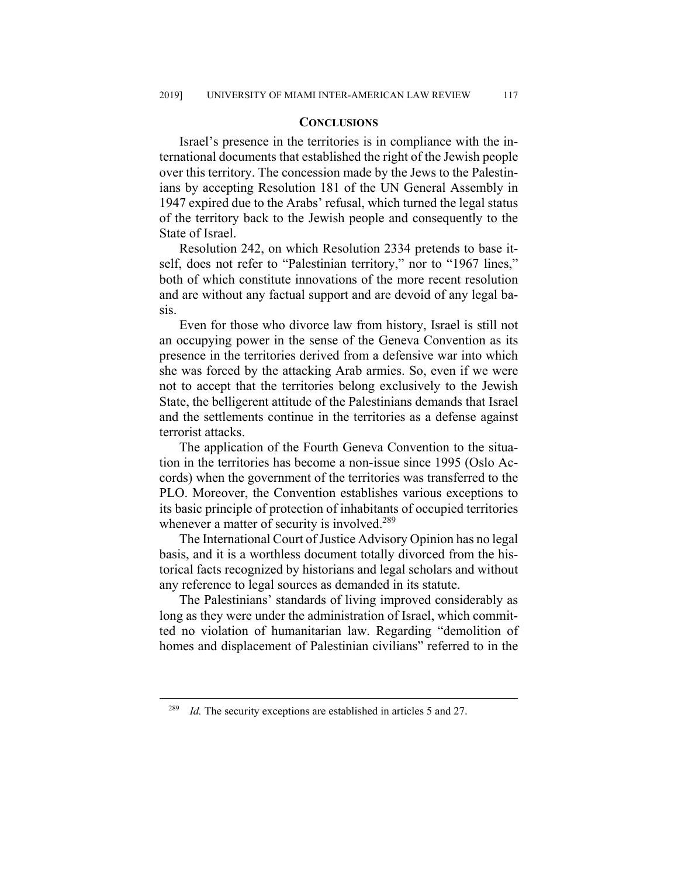#### **CONCLUSIONS**

Israel's presence in the territories is in compliance with the international documents that established the right of the Jewish people over this territory. The concession made by the Jews to the Palestinians by accepting Resolution 181 of the UN General Assembly in 1947 expired due to the Arabs' refusal, which turned the legal status of the territory back to the Jewish people and consequently to the State of Israel.

Resolution 242, on which Resolution 2334 pretends to base itself, does not refer to "Palestinian territory," nor to "1967 lines," both of which constitute innovations of the more recent resolution and are without any factual support and are devoid of any legal basis.

Even for those who divorce law from history, Israel is still not an occupying power in the sense of the Geneva Convention as its presence in the territories derived from a defensive war into which she was forced by the attacking Arab armies. So, even if we were not to accept that the territories belong exclusively to the Jewish State, the belligerent attitude of the Palestinians demands that Israel and the settlements continue in the territories as a defense against terrorist attacks.

The application of the Fourth Geneva Convention to the situation in the territories has become a non-issue since 1995 (Oslo Accords) when the government of the territories was transferred to the PLO. Moreover, the Convention establishes various exceptions to its basic principle of protection of inhabitants of occupied territories whenever a matter of security is involved.<sup>289</sup>

The International Court of Justice Advisory Opinion has no legal basis, and it is a worthless document totally divorced from the historical facts recognized by historians and legal scholars and without any reference to legal sources as demanded in its statute.

The Palestinians' standards of living improved considerably as long as they were under the administration of Israel, which committed no violation of humanitarian law. Regarding "demolition of homes and displacement of Palestinian civilians" referred to in the

<sup>&</sup>lt;sup>289</sup> *Id.* The security exceptions are established in articles 5 and 27.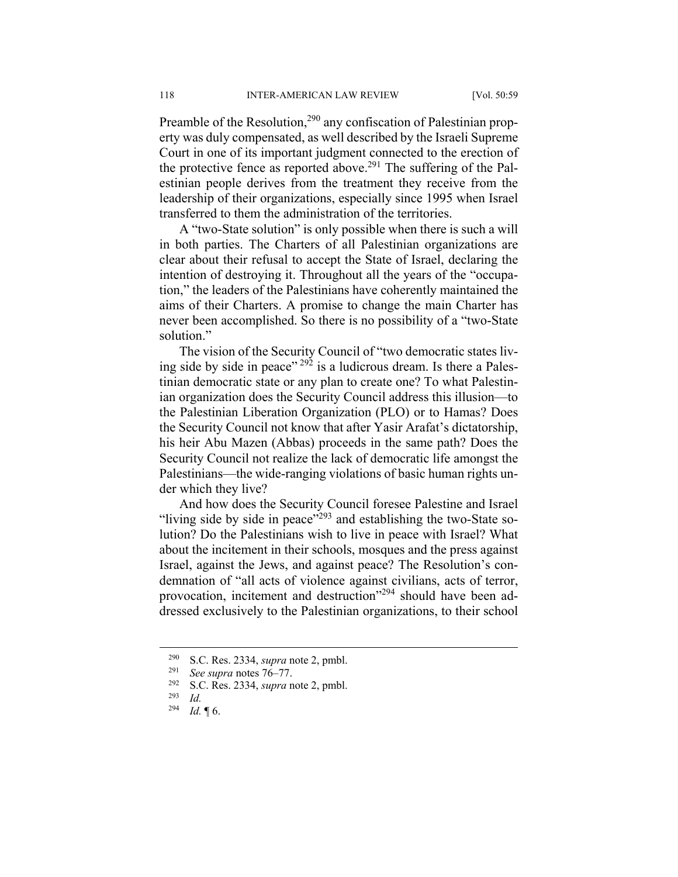Preamble of the Resolution,<sup>290</sup> any confiscation of Palestinian property was duly compensated, as well described by the Israeli Supreme Court in one of its important judgment connected to the erection of the protective fence as reported above.<sup>291</sup> The suffering of the Palestinian people derives from the treatment they receive from the leadership of their organizations, especially since 1995 when Israel transferred to them the administration of the territories.

A "two-State solution" is only possible when there is such a will in both parties. The Charters of all Palestinian organizations are clear about their refusal to accept the State of Israel, declaring the intention of destroying it. Throughout all the years of the "occupation," the leaders of the Palestinians have coherently maintained the aims of their Charters. A promise to change the main Charter has never been accomplished. So there is no possibility of a "two-State solution."

The vision of the Security Council of "two democratic states living side by side in peace"  $292$  is a ludicrous dream. Is there a Palestinian democratic state or any plan to create one? To what Palestinian organization does the Security Council address this illusion—to the Palestinian Liberation Organization (PLO) or to Hamas? Does the Security Council not know that after Yasir Arafat's dictatorship, his heir Abu Mazen (Abbas) proceeds in the same path? Does the Security Council not realize the lack of democratic life amongst the Palestinians—the wide-ranging violations of basic human rights under which they live?

And how does the Security Council foresee Palestine and Israel "living side by side in peace"<sup>293</sup> and establishing the two-State solution? Do the Palestinians wish to live in peace with Israel? What about the incitement in their schools, mosques and the press against Israel, against the Jews, and against peace? The Resolution's condemnation of "all acts of violence against civilians, acts of terror, provocation, incitement and destruction<sup>"294</sup> should have been addressed exclusively to the Palestinian organizations, to their school

 <sup>290</sup> S.C. Res. 2334, *supra* note 2, pmbl.

<sup>&</sup>lt;sup>291</sup> *See supra* notes  $76-77$ .<br><sup>292</sup> S.C. Pes. 2334 supra r

<sup>&</sup>lt;sup>292</sup> S.C. Res. 2334, *supra* note 2, pmbl.<br><sup>293</sup> Id

*Id.* 

<sup>294</sup> *Id.* ¶ 6.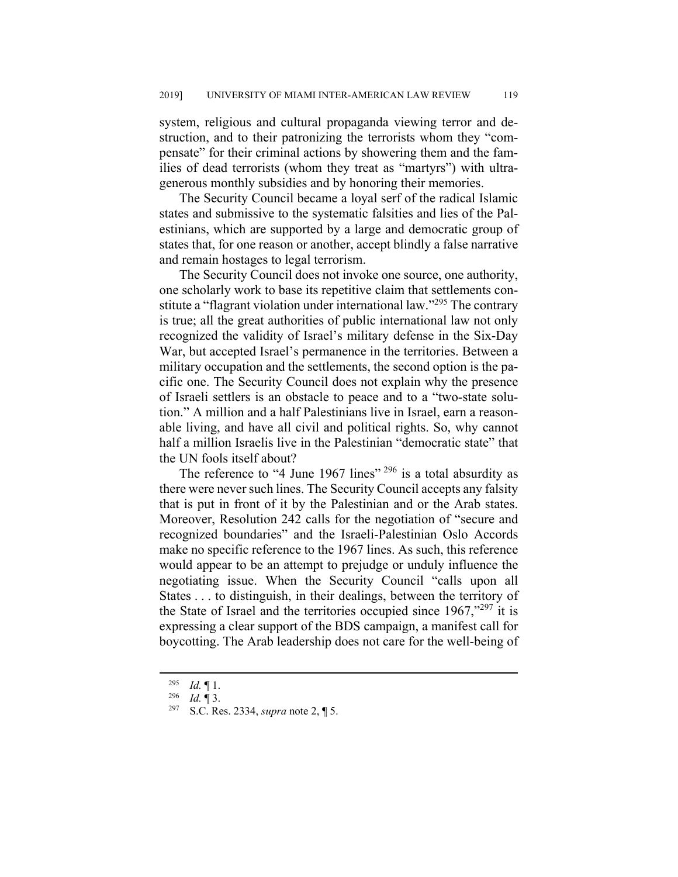system, religious and cultural propaganda viewing terror and destruction, and to their patronizing the terrorists whom they "compensate" for their criminal actions by showering them and the families of dead terrorists (whom they treat as "martyrs") with ultragenerous monthly subsidies and by honoring their memories.

The Security Council became a loyal serf of the radical Islamic states and submissive to the systematic falsities and lies of the Palestinians, which are supported by a large and democratic group of states that, for one reason or another, accept blindly a false narrative and remain hostages to legal terrorism.

The Security Council does not invoke one source, one authority, one scholarly work to base its repetitive claim that settlements constitute a "flagrant violation under international law."<sup>295</sup> The contrary is true; all the great authorities of public international law not only recognized the validity of Israel's military defense in the Six-Day War, but accepted Israel's permanence in the territories. Between a military occupation and the settlements, the second option is the pacific one. The Security Council does not explain why the presence of Israeli settlers is an obstacle to peace and to a "two-state solution." A million and a half Palestinians live in Israel, earn a reasonable living, and have all civil and political rights. So, why cannot half a million Israelis live in the Palestinian "democratic state" that the UN fools itself about?

The reference to "4 June 1967 lines" <sup>296</sup> is a total absurdity as there were never such lines. The Security Council accepts any falsity that is put in front of it by the Palestinian and or the Arab states. Moreover, Resolution 242 calls for the negotiation of "secure and recognized boundaries" and the Israeli-Palestinian Oslo Accords make no specific reference to the 1967 lines. As such, this reference would appear to be an attempt to prejudge or unduly influence the negotiating issue. When the Security Council "calls upon all States . . . to distinguish, in their dealings, between the territory of the State of Israel and the territories occupied since  $1967$ ,"<sup>297</sup> it is expressing a clear support of the BDS campaign, a manifest call for boycotting. The Arab leadership does not care for the well-being of

 $\begin{array}{cc} 295 & Id. \ \ \frac{\pi}{4} & \pi \end{array}$  1.

<sup>296</sup> *Id.* ¶ 3.

<sup>297</sup> S.C. Res. 2334, *supra* note 2, ¶ 5.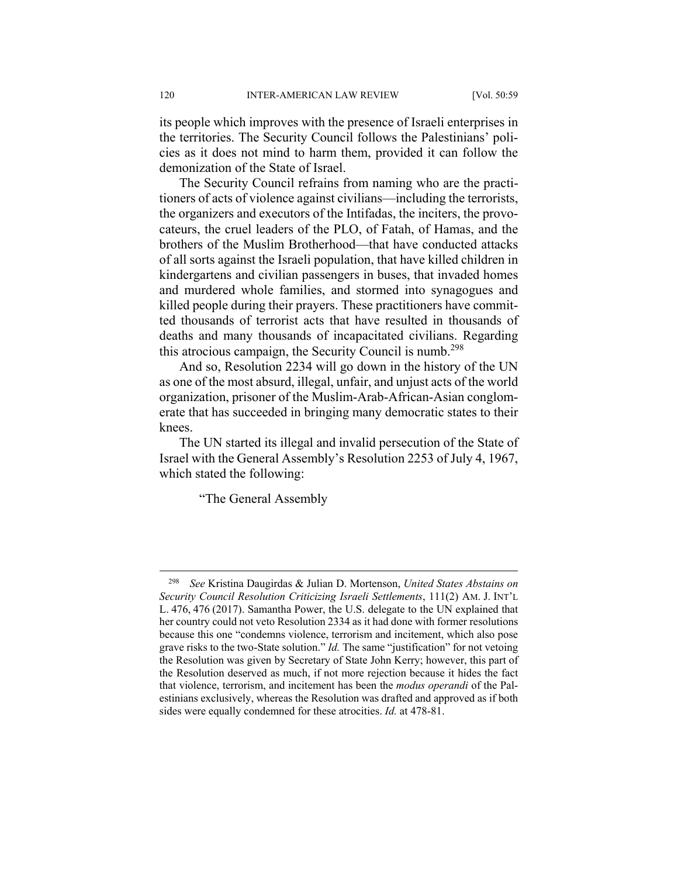its people which improves with the presence of Israeli enterprises in the territories. The Security Council follows the Palestinians' policies as it does not mind to harm them, provided it can follow the demonization of the State of Israel.

The Security Council refrains from naming who are the practitioners of acts of violence against civilians—including the terrorists, the organizers and executors of the Intifadas, the inciters, the provocateurs, the cruel leaders of the PLO, of Fatah, of Hamas, and the brothers of the Muslim Brotherhood—that have conducted attacks of all sorts against the Israeli population, that have killed children in kindergartens and civilian passengers in buses, that invaded homes and murdered whole families, and stormed into synagogues and killed people during their prayers. These practitioners have committed thousands of terrorist acts that have resulted in thousands of deaths and many thousands of incapacitated civilians. Regarding this atrocious campaign, the Security Council is numb.<sup>298</sup>

And so, Resolution 2234 will go down in the history of the UN as one of the most absurd, illegal, unfair, and unjust acts of the world organization, prisoner of the Muslim-Arab-African-Asian conglomerate that has succeeded in bringing many democratic states to their knees.

The UN started its illegal and invalid persecution of the State of Israel with the General Assembly's Resolution 2253 of July 4, 1967, which stated the following:

"The General Assembly

 <sup>298</sup> *See* Kristina Daugirdas & Julian D. Mortenson, *United States Abstains on Security Council Resolution Criticizing Israeli Settlements*, 111(2) AM. J. INT'L L. 476, 476 (2017). Samantha Power, the U.S. delegate to the UN explained that her country could not veto Resolution 2334 as it had done with former resolutions because this one "condemns violence, terrorism and incitement, which also pose grave risks to the two-State solution." *Id.* The same "justification" for not vetoing the Resolution was given by Secretary of State John Kerry; however, this part of the Resolution deserved as much, if not more rejection because it hides the fact that violence, terrorism, and incitement has been the *modus operandi* of the Palestinians exclusively, whereas the Resolution was drafted and approved as if both sides were equally condemned for these atrocities. *Id.* at 478-81.